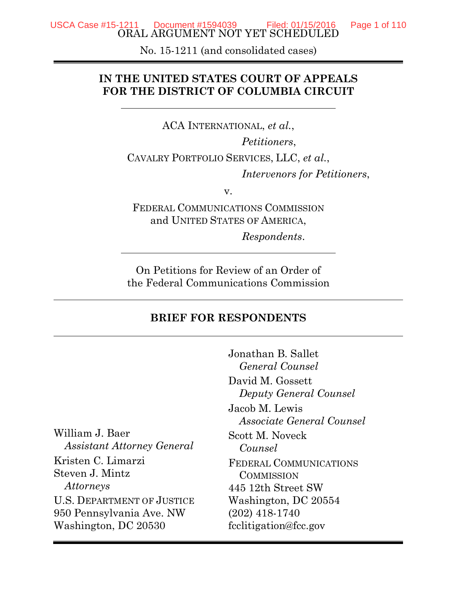ORAL ARGUMENT NOT YET SCHEDULED USCA Case #15-1211 Document #1594039 Filed: 01/15/2016 Page 1 of 110

No. 15-1211 (and consolidated cases)

### **IN THE UNITED STATES COURT OF APPEALS FOR THE DISTRICT OF COLUMBIA CIRCUIT**

ACA INTERNATIONAL, *et al.*,

*Petitioners*,

CAVALRY PORTFOLIO SERVICES, LLC, *et al.*,

*Intervenors for Petitioners*,

v.

FEDERAL COMMUNICATIONS COMMISSION and UNITED STATES OF AMERICA,

*Respondents*.

On Petitions for Review of an Order of the Federal Communications Commission

#### **BRIEF FOR RESPONDENTS**

William J. Baer *Assistant Attorney General* Kristen C. Limarzi Steven J. Mintz *Attorneys* U.S. DEPARTMENT OF JUSTICE 950 Pennsylvania Ave. NW Washington, DC 20530

Jonathan B. Sallet *General Counsel* David M. Gossett *Deputy General Counsel* Jacob M. Lewis *Associate General Counsel* Scott M. Noveck *Counsel* FEDERAL COMMUNICATIONS **COMMISSION** 445 12th Street SW Washington, DC 20554 (202) 418-1740 fcclitigation@fcc.gov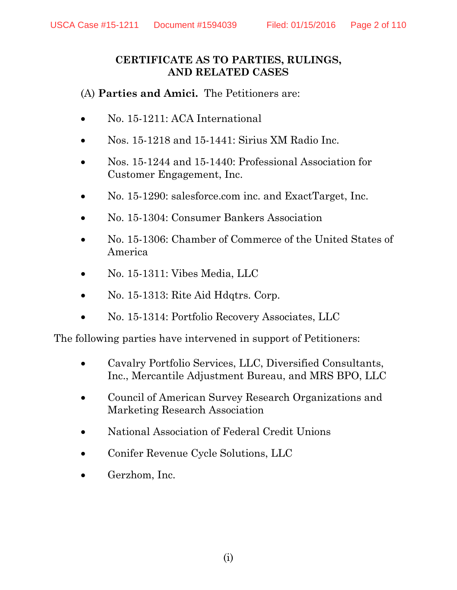#### **CERTIFICATE AS TO PARTIES, RULINGS, AND RELATED CASES**

(A) **Parties and Amici.** The Petitioners are:

- No. 15-1211: ACA International
- Nos. 15-1218 and 15-1441: Sirius XM Radio Inc.
- Nos. 15-1244 and 15-1440: Professional Association for Customer Engagement, Inc.
- No. 15-1290: salesforce.com inc. and ExactTarget, Inc.
- No. 15-1304: Consumer Bankers Association
- No. 15-1306: Chamber of Commerce of the United States of America
- No. 15-1311: Vibes Media, LLC
- No. 15-1313: Rite Aid Hdqtrs. Corp.
- No. 15-1314: Portfolio Recovery Associates, LLC

The following parties have intervened in support of Petitioners:

- Cavalry Portfolio Services, LLC, Diversified Consultants, Inc., Mercantile Adjustment Bureau, and MRS BPO, LLC
- Council of American Survey Research Organizations and Marketing Research Association
- National Association of Federal Credit Unions
- Conifer Revenue Cycle Solutions, LLC
- Gerzhom, Inc.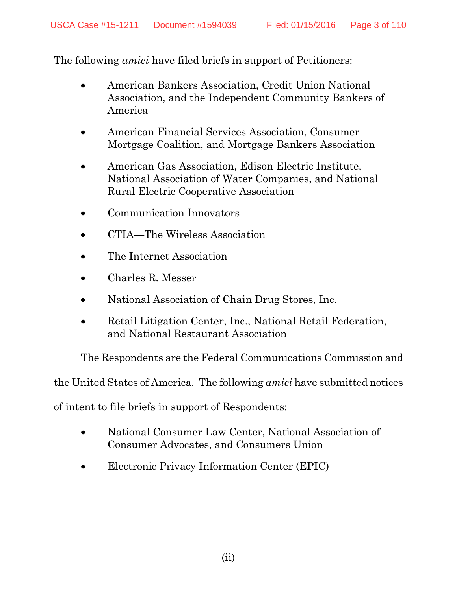The following *amici* have filed briefs in support of Petitioners:

- American Bankers Association, Credit Union National Association, and the Independent Community Bankers of America
- American Financial Services Association, Consumer Mortgage Coalition, and Mortgage Bankers Association
- American Gas Association, Edison Electric Institute, National Association of Water Companies, and National Rural Electric Cooperative Association
- Communication Innovators
- CTIA—The Wireless Association
- The Internet Association
- Charles R. Messer
- National Association of Chain Drug Stores, Inc.
- Retail Litigation Center, Inc., National Retail Federation, and National Restaurant Association

The Respondents are the Federal Communications Commission and

the United States of America. The following *amici* have submitted notices

of intent to file briefs in support of Respondents:

- National Consumer Law Center, National Association of Consumer Advocates, and Consumers Union
- Electronic Privacy Information Center (EPIC)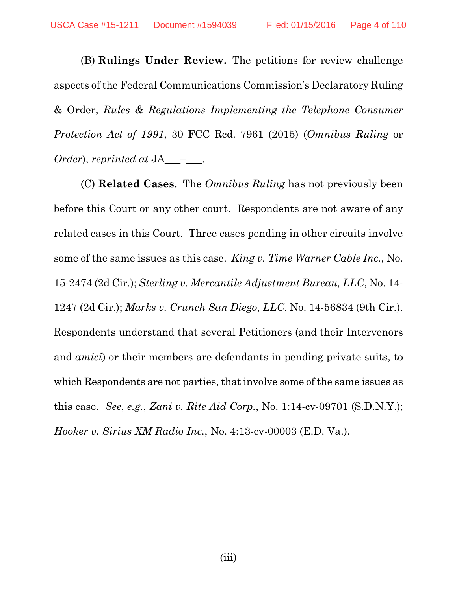(B) **Rulings Under Review.** The petitions for review challenge aspects of the Federal Communications Commission's Declaratory Ruling & Order, *Rules & Regulations Implementing the Telephone Consumer Protection Act of 1991*, 30 FCC Rcd. 7961 (2015) (*Omnibus Ruling* or *Order*), *reprinted at* JA\_\_\_–\_\_\_.

(C) **Related Cases.** The *Omnibus Ruling* has not previously been before this Court or any other court. Respondents are not aware of any related cases in this Court. Three cases pending in other circuits involve some of the same issues as this case. *King v. Time Warner Cable Inc.*, No. 15-2474 (2d Cir.); *Sterling v. Mercantile Adjustment Bureau, LLC*, No. 14- 1247 (2d Cir.); *Marks v. Crunch San Diego, LLC*, No. 14-56834 (9th Cir.). Respondents understand that several Petitioners (and their Intervenors and *amici*) or their members are defendants in pending private suits, to which Respondents are not parties, that involve some of the same issues as this case. *See*, *e.g.*, *Zani v. Rite Aid Corp.*, No. 1:14-cv-09701 (S.D.N.Y.); *Hooker v. Sirius XM Radio Inc.*, No. 4:13-cv-00003 (E.D. Va.).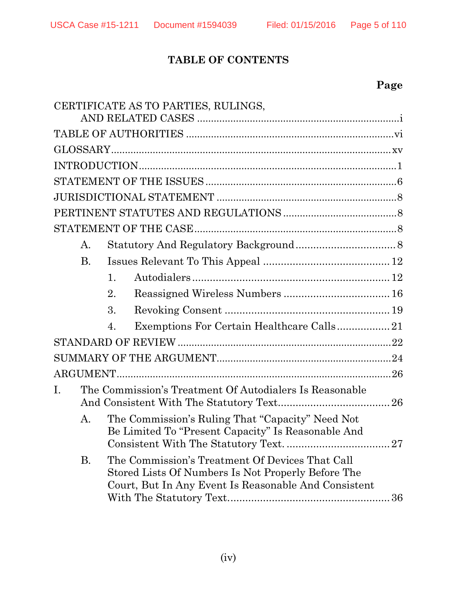# **TABLE OF CONTENTS**

|                | CERTIFICATE AS TO PARTIES, RULINGS,                                                                                                                                 |
|----------------|---------------------------------------------------------------------------------------------------------------------------------------------------------------------|
|                |                                                                                                                                                                     |
|                |                                                                                                                                                                     |
|                |                                                                                                                                                                     |
|                |                                                                                                                                                                     |
|                |                                                                                                                                                                     |
|                |                                                                                                                                                                     |
|                |                                                                                                                                                                     |
| А.             |                                                                                                                                                                     |
| <b>B.</b>      |                                                                                                                                                                     |
|                | 1.                                                                                                                                                                  |
|                | 2.                                                                                                                                                                  |
|                | 3.                                                                                                                                                                  |
|                | Exemptions For Certain Healthcare Calls21<br>4.                                                                                                                     |
|                |                                                                                                                                                                     |
|                |                                                                                                                                                                     |
|                |                                                                                                                                                                     |
| $\mathbf{I}$ . | The Commission's Treatment Of Autodialers Is Reasonable                                                                                                             |
| А.             | The Commission's Ruling That "Capacity" Need Not<br>Be Limited To "Present Capacity" Is Reasonable And                                                              |
| В.             | The Commission's Treatment Of Devices That Call<br>Stored Lists Of Numbers Is Not Properly Before The<br>Court, But In Any Event Is Reasonable And Consistent<br>36 |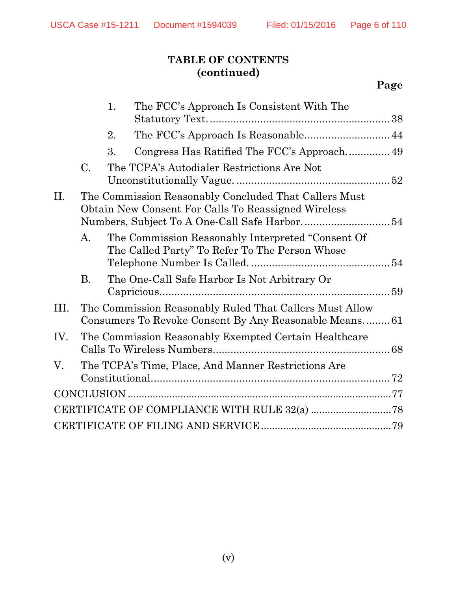# **TABLE OF CONTENTS (continued)**

# **Page**

|      |           | 1. | The FCC's Approach Is Consistent With The                                                                        |  |
|------|-----------|----|------------------------------------------------------------------------------------------------------------------|--|
|      |           | 2. |                                                                                                                  |  |
|      |           | 3. |                                                                                                                  |  |
|      | C.        |    | The TCPA's Autodialer Restrictions Are Not                                                                       |  |
| II.  |           |    | The Commission Reasonably Concluded That Callers Must<br>Obtain New Consent For Calls To Reassigned Wireless     |  |
|      | A.        |    | The Commission Reasonably Interpreted "Consent Of<br>The Called Party" To Refer To The Person Whose              |  |
|      | <b>B.</b> |    | The One-Call Safe Harbor Is Not Arbitrary Or                                                                     |  |
| III. |           |    | The Commission Reasonably Ruled That Callers Must Allow<br>Consumers To Revoke Consent By Any Reasonable Means61 |  |
| IV.  |           |    | The Commission Reasonably Exempted Certain Healthcare                                                            |  |
| V.   |           |    | The TCPA's Time, Place, And Manner Restrictions Are                                                              |  |
|      |           |    |                                                                                                                  |  |
|      |           |    |                                                                                                                  |  |
|      |           |    |                                                                                                                  |  |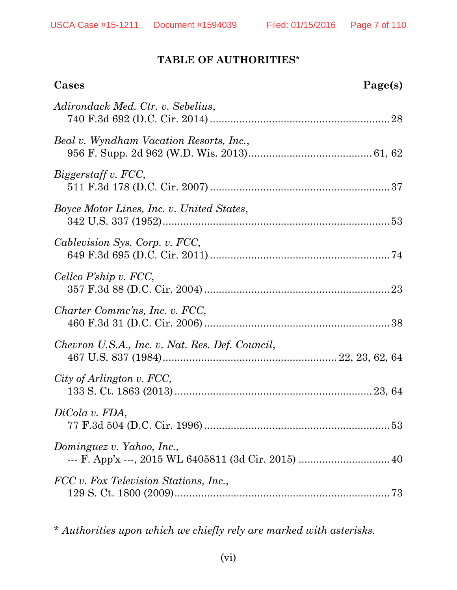$\overline{a}$ 

### **TABLE OF AUTHORITIES\***

| Cases                                           | Page(s) |
|-------------------------------------------------|---------|
| Adirondack Med. Ctr. v. Sebelius,               |         |
| Beal v. Wyndham Vacation Resorts, Inc.,         |         |
| Biggerstaff v. FCC,                             |         |
| Boyce Motor Lines, Inc. v. United States,       |         |
| Cablevision Sys. Corp. v. FCC,                  |         |
| Cellco P'ship v. FCC,                           |         |
| Charter Commc'ns, Inc. v. FCC,                  |         |
| Chevron U.S.A., Inc. v. Nat. Res. Def. Council, |         |
| City of Arlington v. FCC,                       |         |
| DiCola v. FDA,                                  |         |
| Dominguez v. Yahoo, Inc.,                       |         |
| FCC v. Fox Television Stations, Inc.,           |         |

\* *Authorities upon which we chiefly rely are marked with asterisks.*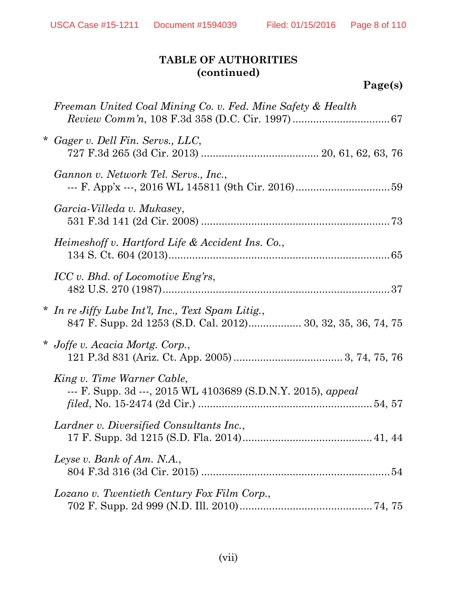# **Page(s)**

| Freeman United Coal Mining Co. v. Fed. Mine Safety & Health                                                       |
|-------------------------------------------------------------------------------------------------------------------|
| * Gager v. Dell Fin. Servs., LLC,                                                                                 |
| Gannon v. Network Tel. Servs., Inc.,                                                                              |
| Garcia-Villeda v. Mukasey,                                                                                        |
| Heimeshoff v. Hartford Life & Accident Ins. Co.,                                                                  |
| ICC v. Bhd. of Locomotive Eng'rs,                                                                                 |
| * In re Jiffy Lube Int'l, Inc., Text Spam Litig.,<br>847 F. Supp. 2d 1253 (S.D. Cal. 2012) 30, 32, 35, 36, 74, 75 |
| * Joffe v. Acacia Mortg. Corp.,                                                                                   |
| King v. Time Warner Cable,<br>--- F. Supp. 3d ---, 2015 WL 4103689 (S.D.N.Y. 2015), appeal                        |
| Lardner v. Diversified Consultants Inc.,                                                                          |
| Leyse v. Bank of Am. N.A.,                                                                                        |
| Lozano v. Twentieth Century Fox Film Corp.,                                                                       |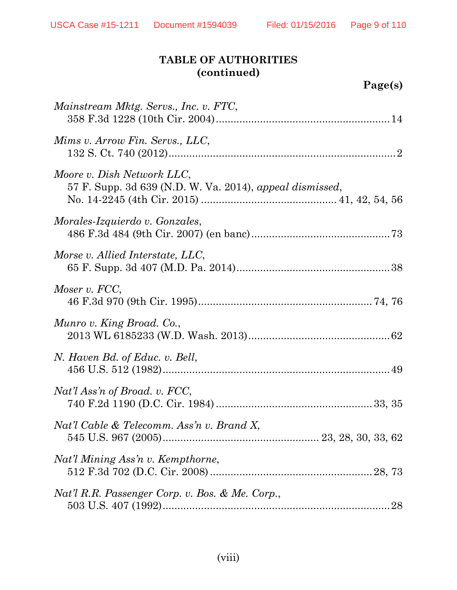| Page(s) |
|---------|
|---------|

| Mainstream Mktg. Servs., Inc. v. FTC,                                                  |
|----------------------------------------------------------------------------------------|
| Mims v. Arrow Fin. Servs., LLC,                                                        |
| Moore v. Dish Network LLC,<br>57 F. Supp. 3d 639 (N.D. W. Va. 2014), appeal dismissed, |
| Morales-Izquierdo v. Gonzales,                                                         |
| Morse v. Allied Interstate, LLC,                                                       |
| Moser v. FCC,                                                                          |
| Munro v. King Broad. Co.,                                                              |
| N. Haven Bd. of Educ. v. Bell,                                                         |
| Nat'l Ass'n of Broad. v. FCC,                                                          |
| Nat'l Cable & Telecomm. Ass'n v. Brand X,                                              |
| Nat'l Mining Ass'n v. Kempthorne,                                                      |
| Nat'l R.R. Passenger Corp. v. Bos. & Me. Corp.,                                        |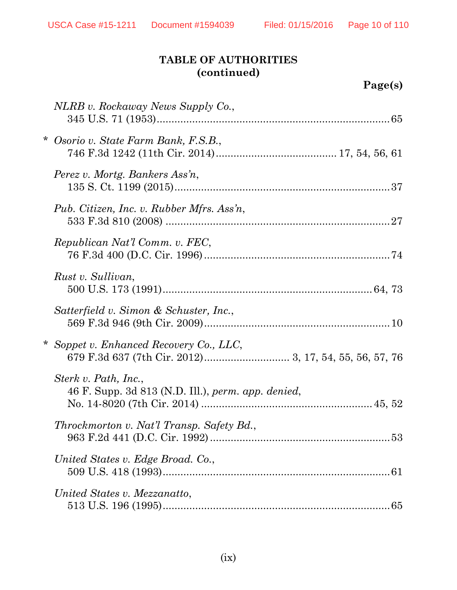| Page(s) |
|---------|
|---------|

| NLRB v. Rockaway News Supply Co.,                                          |
|----------------------------------------------------------------------------|
| Osorio v. State Farm Bank, F.S.B.,                                         |
| Perez v. Mortg. Bankers Ass'n,                                             |
| Pub. Citizen, Inc. v. Rubber Mfrs. Ass'n,                                  |
| Republican Nat'l Comm. v. FEC,                                             |
| Rust v. Sullivan,                                                          |
| Satterfield v. Simon & Schuster, Inc.,                                     |
| * Soppet v. Enhanced Recovery Co., LLC,                                    |
| Sterk v. Path, Inc.,<br>46 F. Supp. 3d 813 (N.D. Ill.), perm. app. denied, |
| Throckmorton v. Nat'l Transp. Safety Bd.,                                  |
| United States v. Edge Broad. Co.,                                          |
| United States v. Mezzanatto,                                               |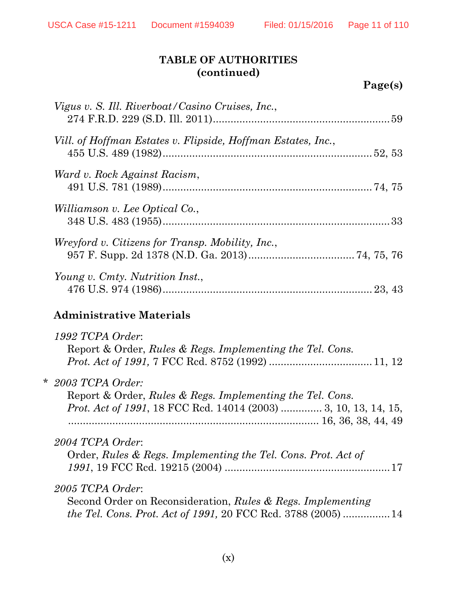| D<br>Page(s) |  |
|--------------|--|
|--------------|--|

| Vigus v. S. Ill. Riverboat/Casino Cruises, Inc.,                                                                                                             |
|--------------------------------------------------------------------------------------------------------------------------------------------------------------|
| Vill. of Hoffman Estates v. Flipside, Hoffman Estates, Inc.,                                                                                                 |
| Ward v. Rock Against Racism,                                                                                                                                 |
| Williamson v. Lee Optical Co.,                                                                                                                               |
| Wreyford v. Citizens for Transp. Mobility, Inc.,                                                                                                             |
| Young v. Cmty. Nutrition Inst.,                                                                                                                              |
| <b>Administrative Materials</b>                                                                                                                              |
| 1992 TCPA Order:<br>Report & Order, Rules & Regs. Implementing the Tel. Cons.                                                                                |
| $*$ 2003 TCPA Order:<br>Report & Order, Rules & Regs. Implementing the Tel. Cons.<br><i>Prot. Act of 1991</i> , 18 FCC Rcd. 14014 (2003)  3, 10, 13, 14, 15, |
| 2004 TCPA Order:<br>Order, Rules & Regs. Implementing the Tel. Cons. Prot. Act of                                                                            |
|                                                                                                                                                              |
| 2005 TCPA Order:<br>Second Order on Reconsideration, Rules & Regs. Implementing<br><i>the Tel. Cons. Prot. Act of 1991, 20 FCC Rcd. 3788 (2005) </i> 14      |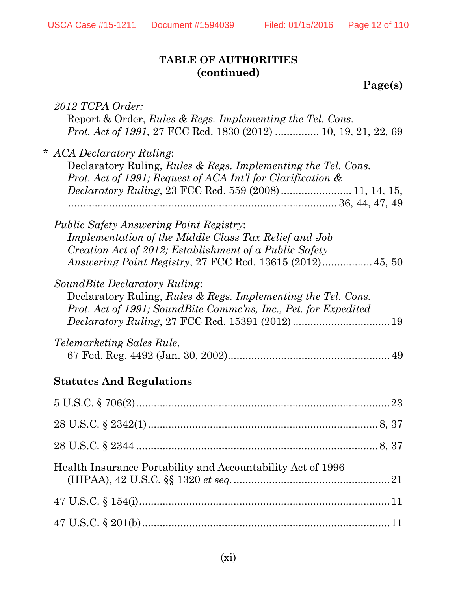**Page(s)**

| 2012 TCPA Order:<br>Report & Order, Rules & Regs. Implementing the Tel. Cons.<br><i>Prot. Act of 1991, 27 FCC Rcd. 1830 (2012)  10, 19, 21, 22, 69</i>                                                                                |
|---------------------------------------------------------------------------------------------------------------------------------------------------------------------------------------------------------------------------------------|
| * ACA Declaratory Ruling:<br>Declaratory Ruling, Rules & Regs. Implementing the Tel. Cons.<br>Prot. Act of 1991; Request of ACA Int'l for Clarification &                                                                             |
| <i>Public Safety Answering Point Registry:</i><br>Implementation of the Middle Class Tax Relief and Job<br>Creation Act of 2012; Establishment of a Public Safety<br><i>Answering Point Registry, 27 FCC Rcd. 13615 (2012)</i> 45, 50 |
| Sound Bite Declaratory Ruling:<br>Declaratory Ruling, Rules & Regs. Implementing the Tel. Cons.<br>Prot. Act of 1991; SoundBite Commc'ns, Inc., Pet. for Expedited                                                                    |
| <i>Telemarketing Sales Rule,</i>                                                                                                                                                                                                      |
| <b>Statutes And Regulations</b>                                                                                                                                                                                                       |
| 23                                                                                                                                                                                                                                    |
|                                                                                                                                                                                                                                       |
|                                                                                                                                                                                                                                       |
| Health Insurance Portability and Accountability Act of 1996                                                                                                                                                                           |
|                                                                                                                                                                                                                                       |
|                                                                                                                                                                                                                                       |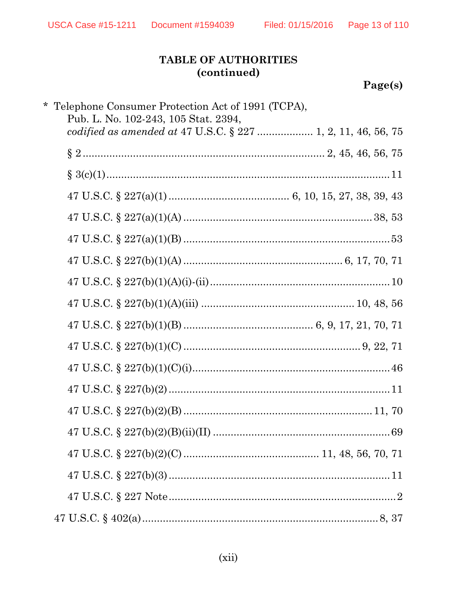# Page(s)

| * Telephone Consumer Protection Act of 1991 (TCPA),<br>Pub. L. No. 102-243, 105 Stat. 2394, |  |
|---------------------------------------------------------------------------------------------|--|
| codified as amended at 47 U.S.C. § 227  1, 2, 11, 46, 56, 75                                |  |
|                                                                                             |  |
|                                                                                             |  |
|                                                                                             |  |
|                                                                                             |  |
|                                                                                             |  |
|                                                                                             |  |
|                                                                                             |  |
|                                                                                             |  |
|                                                                                             |  |
|                                                                                             |  |
|                                                                                             |  |
|                                                                                             |  |
|                                                                                             |  |
|                                                                                             |  |
|                                                                                             |  |
|                                                                                             |  |
|                                                                                             |  |
|                                                                                             |  |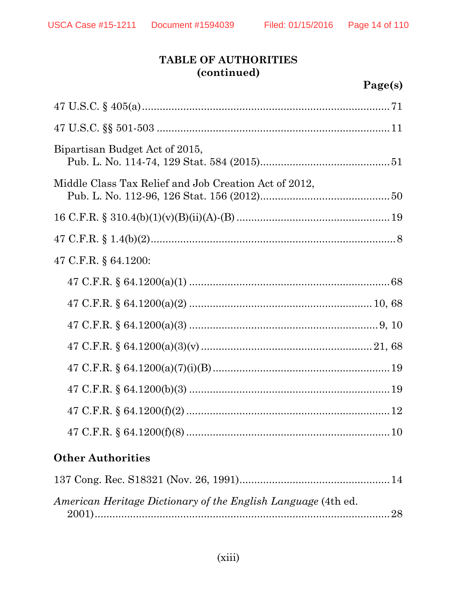| Bipartisan Budget Act of 2015,                        |  |  |  |  |
|-------------------------------------------------------|--|--|--|--|
| Middle Class Tax Relief and Job Creation Act of 2012, |  |  |  |  |
|                                                       |  |  |  |  |
|                                                       |  |  |  |  |
| 47 C.F.R. § 64.1200:                                  |  |  |  |  |
|                                                       |  |  |  |  |
|                                                       |  |  |  |  |
|                                                       |  |  |  |  |
|                                                       |  |  |  |  |
|                                                       |  |  |  |  |
|                                                       |  |  |  |  |
|                                                       |  |  |  |  |
|                                                       |  |  |  |  |
| <b>Other Authorities</b>                              |  |  |  |  |

| American Heritage Dictionary of the English Language (4th ed. |  |
|---------------------------------------------------------------|--|
|                                                               |  |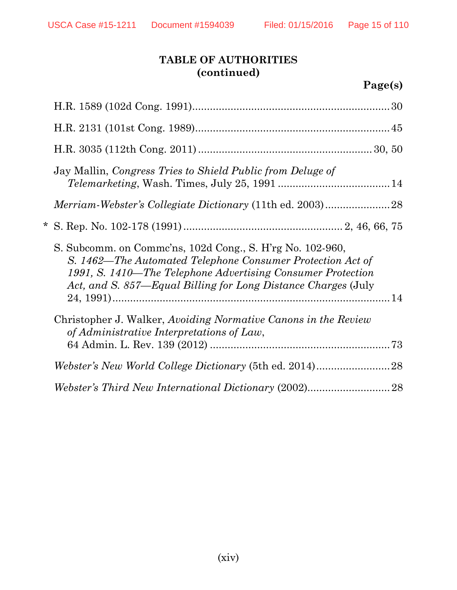| Page(s) |
|---------|
|---------|

|                                                                                                                                                                                                                                                         | Jay Mallin, Congress Tries to Shield Public from Deluge of                                                  |  |
|---------------------------------------------------------------------------------------------------------------------------------------------------------------------------------------------------------------------------------------------------------|-------------------------------------------------------------------------------------------------------------|--|
|                                                                                                                                                                                                                                                         |                                                                                                             |  |
|                                                                                                                                                                                                                                                         |                                                                                                             |  |
| S. Subcomm. on Comme'ns, 102d Cong., S. H'rg No. 102-960,<br>S. 1462—The Automated Telephone Consumer Protection Act of<br>1991, S. 1410—The Telephone Advertising Consumer Protection<br>Act, and S. 857—Equal Billing for Long Distance Charges (July |                                                                                                             |  |
|                                                                                                                                                                                                                                                         | Christopher J. Walker, Avoiding Normative Canons in the Review<br>of Administrative Interpretations of Law, |  |
|                                                                                                                                                                                                                                                         |                                                                                                             |  |
|                                                                                                                                                                                                                                                         |                                                                                                             |  |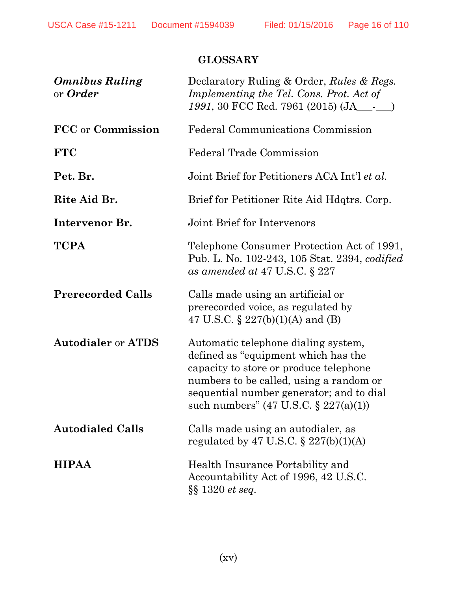# **GLOSSARY**

| <b>Omnibus Ruling</b><br>or <b>Order</b> | Declaratory Ruling & Order, Rules & Regs.<br>Implementing the Tel. Cons. Prot. Act of<br>1991, 30 FCC Rcd. 7961 (2015) (JA___-__)                                                                                                                               |
|------------------------------------------|-----------------------------------------------------------------------------------------------------------------------------------------------------------------------------------------------------------------------------------------------------------------|
| FCC or Commission                        | Federal Communications Commission                                                                                                                                                                                                                               |
| <b>FTC</b>                               | <b>Federal Trade Commission</b>                                                                                                                                                                                                                                 |
| Pet. Br.                                 | Joint Brief for Petitioners ACA Int'l et al.                                                                                                                                                                                                                    |
| Rite Aid Br.                             | Brief for Petitioner Rite Aid Hdqtrs. Corp.                                                                                                                                                                                                                     |
| Intervenor Br.                           | Joint Brief for Intervenors                                                                                                                                                                                                                                     |
| <b>TCPA</b>                              | Telephone Consumer Protection Act of 1991,<br>Pub. L. No. 102-243, 105 Stat. 2394, <i>codified</i><br>as amended at 47 U.S.C. $\S 227$                                                                                                                          |
| <b>Prerecorded Calls</b>                 | Calls made using an artificial or<br>prerecorded voice, as regulated by<br>47 U.S.C. $\S 227(b)(1)(A)$ and (B)                                                                                                                                                  |
| <b>Autodialer or ATDS</b>                | Automatic telephone dialing system,<br>defined as "equipment which has the<br>capacity to store or produce telephone<br>numbers to be called, using a random or<br>sequential number generator; and to dial<br>such numbers" $(47 \text{ U.S.C. } § 227(a)(1))$ |
| <b>Autodialed Calls</b>                  | Calls made using an autodialer, as<br>regulated by 47 U.S.C. $\S 227(b)(1)(A)$                                                                                                                                                                                  |
| <b>HIPAA</b>                             | Health Insurance Portability and<br>Accountability Act of 1996, 42 U.S.C.<br>$\S\S 1320$ et seq.                                                                                                                                                                |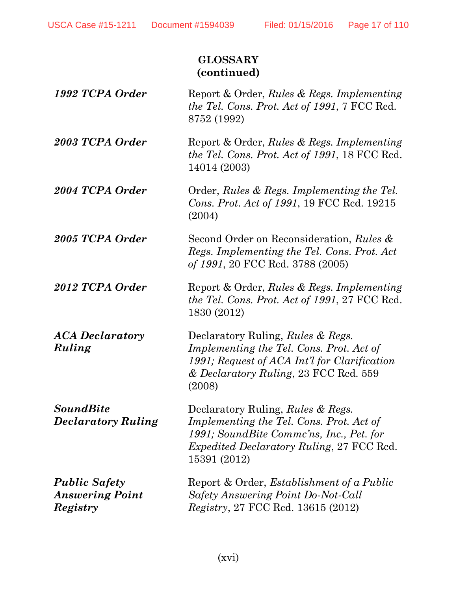## **GLOSSARY (continued)**

- *1992 TCPA Order* Report & Order, *Rules & Regs. Implementing the Tel. Cons. Prot. Act of 1991*, 7 FCC Rcd. 8752 (1992)
- **2003 TCPA Order** Report & Order, *Rules & Regs. Implementing the Tel. Cons. Prot. Act of 1991*, 18 FCC Rcd. 14014 (2003)
- 2004 TCPA Order Order, *Rules & Regs. Implementing the Tel. Cons. Prot. Act of 1991*, 19 FCC Rcd. 19215 (2004)
- *2005 TCPA Order* Second Order on Reconsideration, *Rules & Regs. Implementing the Tel. Cons. Prot. Act of 1991*, 20 FCC Rcd. 3788 (2005)
- 2012 TCPA Order Report & Order, *Rules & Regs. Implementing the Tel. Cons. Prot. Act of 1991*, 27 FCC Rcd. 1830 (2012)
- *ACA Declaratory Ruling* Declaratory Ruling, *Rules & Regs. Implementing the Tel. Cons. Prot. Act of 1991; Request of ACA Int'l for Clarification & Declaratory Ruling*, 23 FCC Rcd. 559 (2008)

*Declaratory Ruling* Declaratory Ruling, *Rules & Regs. Implementing the Tel. Cons. Prot. Act of 1991; SoundBite Commc'ns, Inc., Pet. for Expedited Declaratory Ruling*, 27 FCC Rcd. 15391 (2012)

*Public Safety Answering Point Registry*

*SoundBite* 

Report & Order, *Establishment of a Public Safety Answering Point Do-Not-Call Registry*, 27 FCC Rcd. 13615 (2012)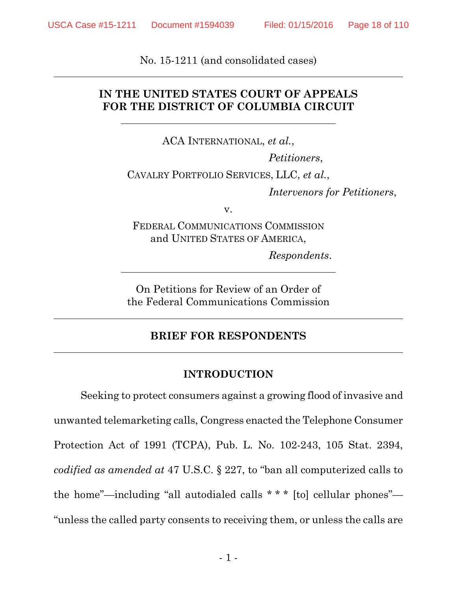No. 15-1211 (and consolidated cases)

#### **IN THE UNITED STATES COURT OF APPEALS FOR THE DISTRICT OF COLUMBIA CIRCUIT**

ACA INTERNATIONAL, *et al.*, *Petitioners*, CAVALRY PORTFOLIO SERVICES, LLC, *et al.*, *Intervenors for Petitioners*,

v.

FEDERAL COMMUNICATIONS COMMISSION and UNITED STATES OF AMERICA,

*Respondents*.

On Petitions for Review of an Order of the Federal Communications Commission

#### **BRIEF FOR RESPONDENTS**

#### **INTRODUCTION**

Seeking to protect consumers against a growing flood of invasive and unwanted telemarketing calls, Congress enacted the Telephone Consumer Protection Act of 1991 (TCPA), Pub. L. No. 102-243, 105 Stat. 2394, *codified as amended at* 47 U.S.C. § 227, to "ban all computerized calls to the home"—including "all autodialed calls \* \* \* [to] cellular phones"— "unless the called party consents to receiving them, or unless the calls are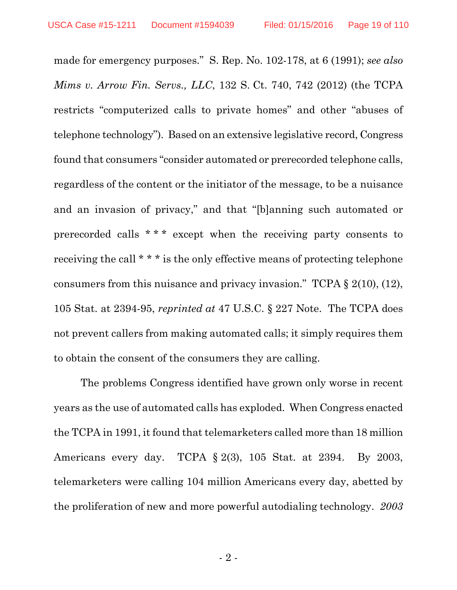made for emergency purposes." S. Rep. No. 102-178, at 6 (1991); *see also Mims v. Arrow Fin. Servs., LLC*, 132 S. Ct. 740, 742 (2012) (the TCPA restricts "computerized calls to private homes" and other "abuses of telephone technology"). Based on an extensive legislative record, Congress found that consumers "consider automated or prerecorded telephone calls, regardless of the content or the initiator of the message, to be a nuisance and an invasion of privacy," and that "[b]anning such automated or prerecorded calls \* \* \* except when the receiving party consents to receiving the call \* \* \* is the only effective means of protecting telephone consumers from this nuisance and privacy invasion." TCPA § 2(10), (12), 105 Stat. at 2394-95, *reprinted at* 47 U.S.C. § 227 Note. The TCPA does not prevent callers from making automated calls; it simply requires them to obtain the consent of the consumers they are calling.

The problems Congress identified have grown only worse in recent years as the use of automated calls has exploded. When Congress enacted the TCPA in 1991, it found that telemarketers called more than 18 million Americans every day. TCPA § 2(3), 105 Stat. at 2394. By 2003, telemarketers were calling 104 million Americans every day, abetted by the proliferation of new and more powerful autodialing technology. *2003*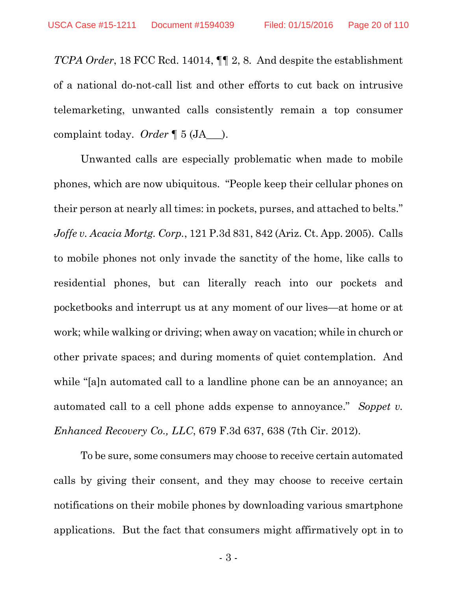*TCPA Order*, 18 FCC Rcd. 14014, ¶¶ 2, 8. And despite the establishment of a national do-not-call list and other efforts to cut back on intrusive telemarketing, unwanted calls consistently remain a top consumer complaint today. *Order* ¶ 5 (JA\_\_\_).

Unwanted calls are especially problematic when made to mobile phones, which are now ubiquitous. "People keep their cellular phones on their person at nearly all times: in pockets, purses, and attached to belts." *Joffe v. Acacia Mortg. Corp.*, 121 P.3d 831, 842 (Ariz. Ct. App. 2005). Calls to mobile phones not only invade the sanctity of the home, like calls to residential phones, but can literally reach into our pockets and pocketbooks and interrupt us at any moment of our lives—at home or at work; while walking or driving; when away on vacation; while in church or other private spaces; and during moments of quiet contemplation. And while "[a]n automated call to a landline phone can be an annoyance; an automated call to a cell phone adds expense to annoyance." *Soppet v. Enhanced Recovery Co., LLC*, 679 F.3d 637, 638 (7th Cir. 2012).

To be sure, some consumers may choose to receive certain automated calls by giving their consent, and they may choose to receive certain notifications on their mobile phones by downloading various smartphone applications. But the fact that consumers might affirmatively opt in to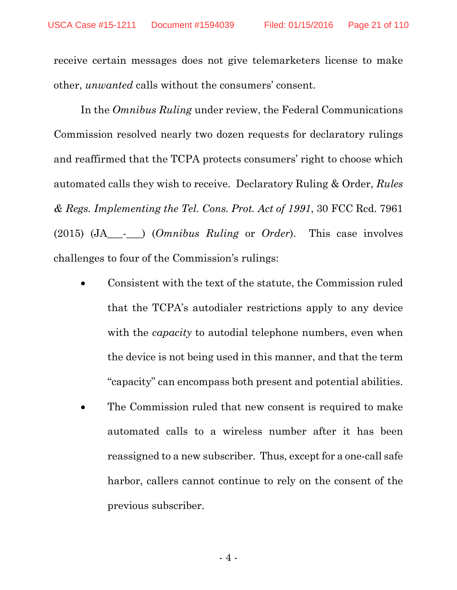receive certain messages does not give telemarketers license to make other, *unwanted* calls without the consumers' consent.

In the *Omnibus Ruling* under review, the Federal Communications Commission resolved nearly two dozen requests for declaratory rulings and reaffirmed that the TCPA protects consumers' right to choose which automated calls they wish to receive. Declaratory Ruling & Order, *Rules & Regs. Implementing the Tel. Cons. Prot. Act of 1991*, 30 FCC Rcd. 7961 (2015) (JA\_\_\_-\_\_\_) (*Omnibus Ruling* or *Order*). This case involves challenges to four of the Commission's rulings:

- Consistent with the text of the statute, the Commission ruled that the TCPA's autodialer restrictions apply to any device with the *capacity* to autodial telephone numbers, even when the device is not being used in this manner, and that the term "capacity" can encompass both present and potential abilities.
- The Commission ruled that new consent is required to make automated calls to a wireless number after it has been reassigned to a new subscriber. Thus, except for a one-call safe harbor, callers cannot continue to rely on the consent of the previous subscriber.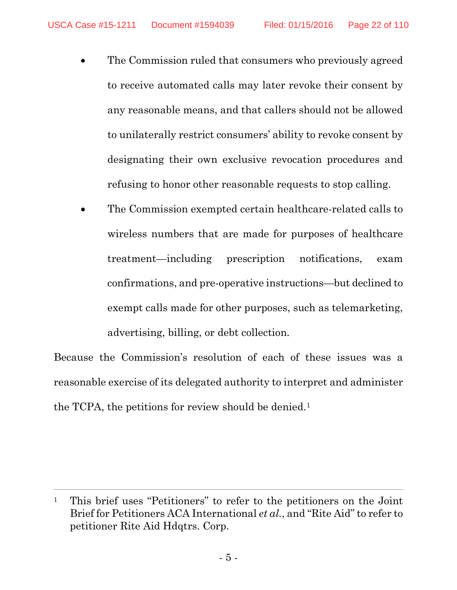- The Commission ruled that consumers who previously agreed to receive automated calls may later revoke their consent by any reasonable means, and that callers should not be allowed to unilaterally restrict consumers' ability to revoke consent by designating their own exclusive revocation procedures and refusing to honor other reasonable requests to stop calling.
- The Commission exempted certain healthcare-related calls to wireless numbers that are made for purposes of healthcare treatment—including prescription notifications, exam confirmations, and pre-operative instructions—but declined to exempt calls made for other purposes, such as telemarketing, advertising, billing, or debt collection.

Because the Commission's resolution of each of these issues was a reasonable exercise of its delegated authority to interpret and administer the TCPA, the petitions for review should be denied.<sup>1</sup>

 $\overline{a}$ 

<sup>1</sup> This brief uses "Petitioners" to refer to the petitioners on the Joint Brief for Petitioners ACA International *et al.*, and "Rite Aid" to refer to petitioner Rite Aid Hdqtrs. Corp.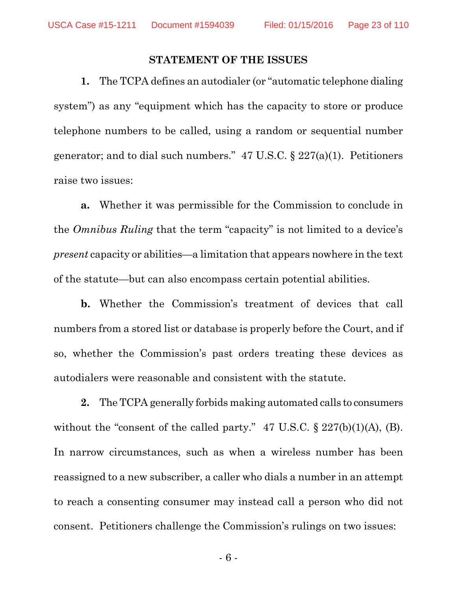#### **STATEMENT OF THE ISSUES**

**1.** The TCPA defines an autodialer (or "automatic telephone dialing system") as any "equipment which has the capacity to store or produce telephone numbers to be called, using a random or sequential number generator; and to dial such numbers."  $47 \text{ U.S.C.} \$   $227(a)(1)$ . Petitioners raise two issues:

**a.** Whether it was permissible for the Commission to conclude in the *Omnibus Ruling* that the term "capacity" is not limited to a device's *present* capacity or abilities—a limitation that appears nowhere in the text of the statute—but can also encompass certain potential abilities.

**b.** Whether the Commission's treatment of devices that call numbers from a stored list or database is properly before the Court, and if so, whether the Commission's past orders treating these devices as autodialers were reasonable and consistent with the statute.

**2.** The TCPA generally forbids making automated calls to consumers without the "consent of the called party."  $47 \text{ U.S.C.} \$   $227(b)(1)(A)$ , (B). In narrow circumstances, such as when a wireless number has been reassigned to a new subscriber, a caller who dials a number in an attempt to reach a consenting consumer may instead call a person who did not consent. Petitioners challenge the Commission's rulings on two issues:

- 6 -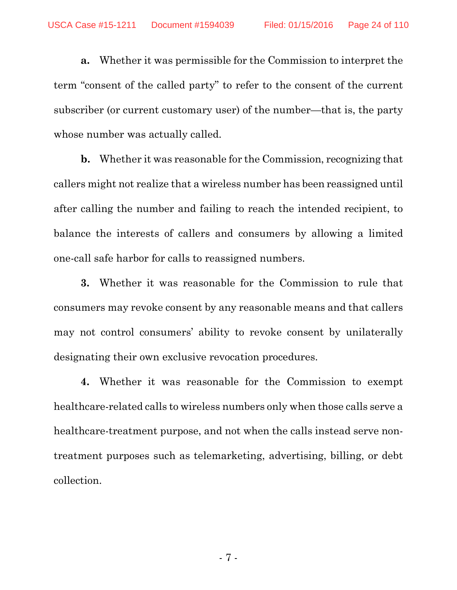**a.** Whether it was permissible for the Commission to interpret the term "consent of the called party" to refer to the consent of the current subscriber (or current customary user) of the number—that is, the party whose number was actually called.

**b.** Whether it was reasonable for the Commission, recognizing that callers might not realize that a wireless number has been reassigned until after calling the number and failing to reach the intended recipient, to balance the interests of callers and consumers by allowing a limited one-call safe harbor for calls to reassigned numbers.

**3.** Whether it was reasonable for the Commission to rule that consumers may revoke consent by any reasonable means and that callers may not control consumers' ability to revoke consent by unilaterally designating their own exclusive revocation procedures.

**4.** Whether it was reasonable for the Commission to exempt healthcare-related calls to wireless numbers only when those calls serve a healthcare-treatment purpose, and not when the calls instead serve nontreatment purposes such as telemarketing, advertising, billing, or debt collection.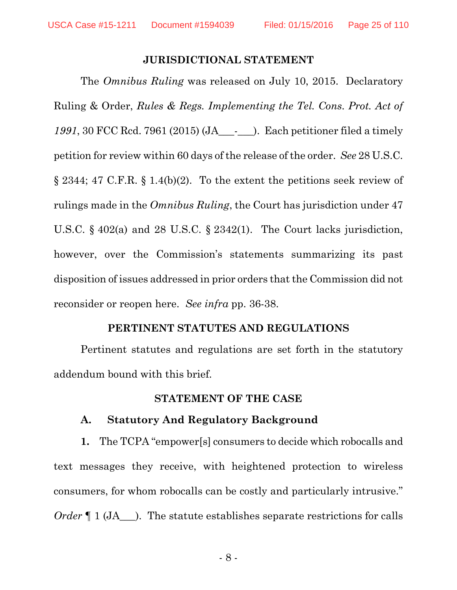#### **JURISDICTIONAL STATEMENT**

The *Omnibus Ruling* was released on July 10, 2015. Declaratory Ruling & Order, *Rules & Regs. Implementing the Tel. Cons. Prot. Act of 1991*, 30 FCC Rcd. 7961 (2015) (JA\_\_\_-\_\_\_). Each petitioner filed a timely petition for review within 60 days of the release of the order. *See* 28 U.S.C. § 2344; 47 C.F.R. § 1.4(b)(2). To the extent the petitions seek review of rulings made in the *Omnibus Ruling*, the Court has jurisdiction under 47 U.S.C. § 402(a) and 28 U.S.C. § 2342(1). The Court lacks jurisdiction, however, over the Commission's statements summarizing its past disposition of issues addressed in prior orders that the Commission did not reconsider or reopen here. *See infra* pp. 36-38.

#### **PERTINENT STATUTES AND REGULATIONS**

Pertinent statutes and regulations are set forth in the statutory addendum bound with this brief.

#### **STATEMENT OF THE CASE**

#### **A. Statutory And Regulatory Background**

**1.** The TCPA "empower[s] consumers to decide which robocalls and text messages they receive, with heightened protection to wireless consumers, for whom robocalls can be costly and particularly intrusive." *Order*  $\P$  1 (JA  $\blacksquare$ ). The statute establishes separate restrictions for calls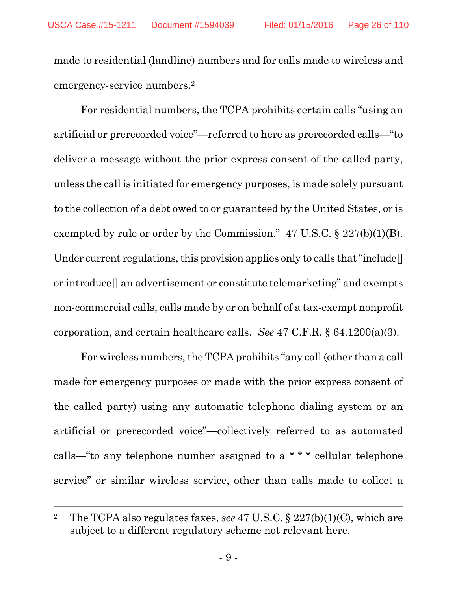made to residential (landline) numbers and for calls made to wireless and emergency-service numbers.2

For residential numbers, the TCPA prohibits certain calls "using an artificial or prerecorded voice"—referred to here as prerecorded calls—"to deliver a message without the prior express consent of the called party, unless the call is initiated for emergency purposes, is made solely pursuant to the collection of a debt owed to or guaranteed by the United States, or is exempted by rule or order by the Commission." 47 U.S.C. § 227(b)(1)(B). Under current regulations, this provision applies only to calls that "include. or introduce[] an advertisement or constitute telemarketing" and exempts non-commercial calls, calls made by or on behalf of a tax-exempt nonprofit corporation, and certain healthcare calls. *See* 47 C.F.R. § 64.1200(a)(3).

For wireless numbers, the TCPA prohibits "any call (other than a call made for emergency purposes or made with the prior express consent of the called party) using any automatic telephone dialing system or an artificial or prerecorded voice"—collectively referred to as automated calls—"to any telephone number assigned to a \* \* \* cellular telephone service" or similar wireless service, other than calls made to collect a

 $\overline{a}$ 

<sup>2</sup> The TCPA also regulates faxes, *see* 47 U.S.C. § 227(b)(1)(C), which are subject to a different regulatory scheme not relevant here.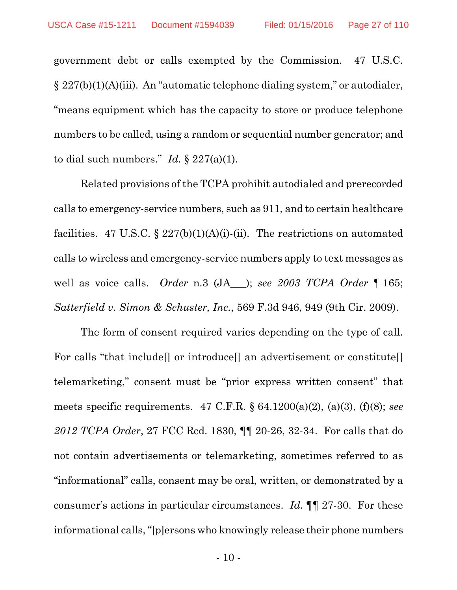government debt or calls exempted by the Commission. 47 U.S.C. § 227(b)(1)(A)(iii). An "automatic telephone dialing system," or autodialer, "means equipment which has the capacity to store or produce telephone numbers to be called, using a random or sequential number generator; and to dial such numbers." *Id.*  $\S 227(a)(1)$ .

Related provisions of the TCPA prohibit autodialed and prerecorded calls to emergency-service numbers, such as 911, and to certain healthcare facilities. 47 U.S.C.  $\S 227(b)(1)(A)(i)$ -(ii). The restrictions on automated calls to wireless and emergency-service numbers apply to text messages as well as voice calls. *Order* n.3 (JA\_\_\_); *see 2003 TCPA Order* ¶ 165; *Satterfield v. Simon & Schuster, Inc.*, 569 F.3d 946, 949 (9th Cir. 2009).

The form of consent required varies depending on the type of call. For calls "that include<sup>[]</sup> or introduce<sup>[]</sup> an advertisement or constitute<sup>[]</sup> telemarketing," consent must be "prior express written consent" that meets specific requirements. 47 C.F.R. § 64.1200(a)(2), (a)(3), (f)(8); *see 2012 TCPA Order*, 27 FCC Rcd. 1830, ¶¶ 20-26, 32-34. For calls that do not contain advertisements or telemarketing, sometimes referred to as "informational" calls, consent may be oral, written, or demonstrated by a consumer's actions in particular circumstances. *Id.* ¶¶ 27-30. For these informational calls, "[p]ersons who knowingly release their phone numbers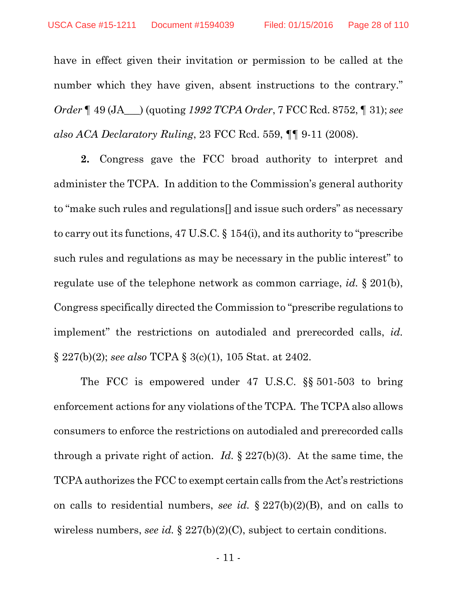have in effect given their invitation or permission to be called at the number which they have given, absent instructions to the contrary." *Order* ¶ 49 (JA\_\_\_) (quoting *1992 TCPA Order*, 7 FCC Rcd. 8752, ¶ 31); *see also ACA Declaratory Ruling*, 23 FCC Rcd. 559, ¶¶ 9-11 (2008).

**2.** Congress gave the FCC broad authority to interpret and administer the TCPA. In addition to the Commission's general authority to "make such rules and regulations[] and issue such orders" as necessary to carry out its functions, 47 U.S.C. § 154(i), and its authority to "prescribe such rules and regulations as may be necessary in the public interest" to regulate use of the telephone network as common carriage, *id.* § 201(b), Congress specifically directed the Commission to "prescribe regulations to implement" the restrictions on autodialed and prerecorded calls, *id.* § 227(b)(2); *see also* TCPA § 3(c)(1), 105 Stat. at 2402.

The FCC is empowered under 47 U.S.C. §§ 501-503 to bring enforcement actions for any violations of the TCPA. The TCPA also allows consumers to enforce the restrictions on autodialed and prerecorded calls through a private right of action. *Id.* § 227(b)(3). At the same time, the TCPA authorizes the FCC to exempt certain calls from the Act's restrictions on calls to residential numbers, *see id.* § 227(b)(2)(B), and on calls to wireless numbers, *see id.* § 227(b)(2)(C), subject to certain conditions.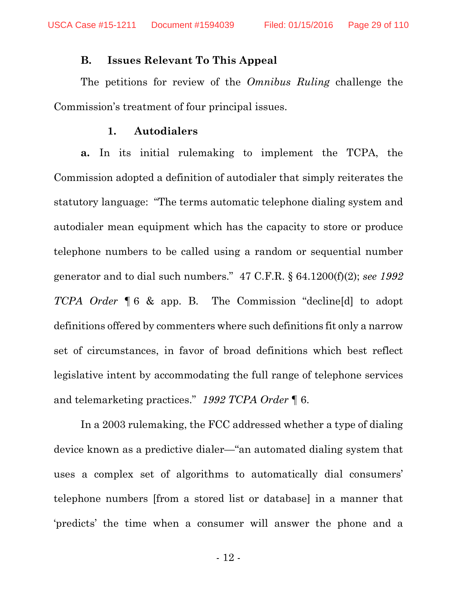#### **B. Issues Relevant To This Appeal**

The petitions for review of the *Omnibus Ruling* challenge the Commission's treatment of four principal issues.

#### **1. Autodialers**

**a.** In its initial rulemaking to implement the TCPA, the Commission adopted a definition of autodialer that simply reiterates the statutory language: "The terms automatic telephone dialing system and autodialer mean equipment which has the capacity to store or produce telephone numbers to be called using a random or sequential number generator and to dial such numbers." 47 C.F.R. § 64.1200(f)(2); *see 1992 TCPA Order* ¶ 6 & app. B. The Commission "decline[d] to adopt definitions offered by commenters where such definitions fit only a narrow set of circumstances, in favor of broad definitions which best reflect legislative intent by accommodating the full range of telephone services and telemarketing practices." *1992 TCPA Order* ¶ 6.

In a 2003 rulemaking, the FCC addressed whether a type of dialing device known as a predictive dialer—"an automated dialing system that uses a complex set of algorithms to automatically dial consumers' telephone numbers [from a stored list or database] in a manner that 'predicts' the time when a consumer will answer the phone and a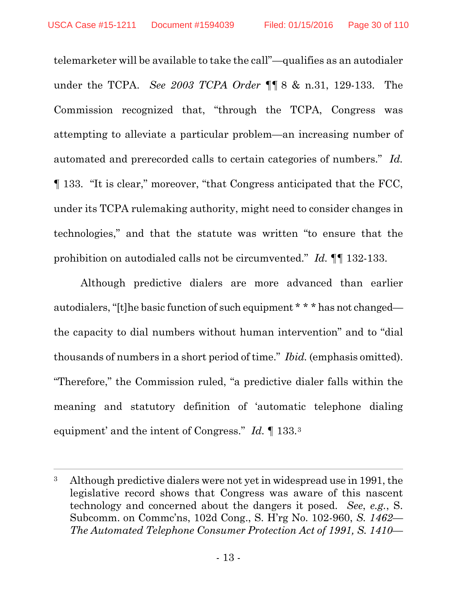telemarketer will be available to take the call"—qualifies as an autodialer under the TCPA. *See 2003 TCPA Order* ¶¶ 8 & n.31, 129-133. The Commission recognized that, "through the TCPA, Congress was attempting to alleviate a particular problem—an increasing number of automated and prerecorded calls to certain categories of numbers." *Id.* ¶ 133. "It is clear," moreover, "that Congress anticipated that the FCC, under its TCPA rulemaking authority, might need to consider changes in technologies," and that the statute was written "to ensure that the prohibition on autodialed calls not be circumvented." *Id.* ¶¶ 132-133.

Although predictive dialers are more advanced than earlier autodialers, "[t]he basic function of such equipment \* \* \* has not changed the capacity to dial numbers without human intervention" and to "dial thousands of numbers in a short period of time." *Ibid.* (emphasis omitted). "Therefore," the Commission ruled, "a predictive dialer falls within the meaning and statutory definition of 'automatic telephone dialing equipment' and the intent of Congress." *Id.* ¶ 133.3

 $\overline{a}$ 

<sup>3</sup> Although predictive dialers were not yet in widespread use in 1991, the legislative record shows that Congress was aware of this nascent technology and concerned about the dangers it posed. *See*, *e.g.*, S. Subcomm. on Commc'ns, 102d Cong., S. H'rg No. 102-960, *S. 1462— The Automated Telephone Consumer Protection Act of 1991, S. 1410—*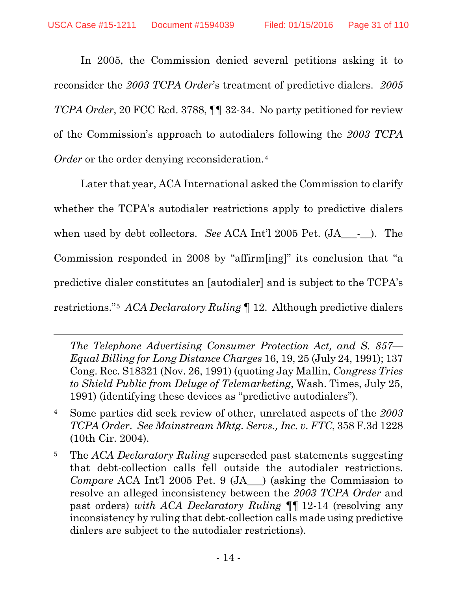In 2005, the Commission denied several petitions asking it to reconsider the *2003 TCPA Order*'s treatment of predictive dialers. *2005 TCPA Order*, 20 FCC Rcd. 3788, ¶¶ 32-34. No party petitioned for review of the Commission's approach to autodialers following the *2003 TCPA Order* or the order denying reconsideration.<sup>4</sup>

Later that year, ACA International asked the Commission to clarify whether the TCPA's autodialer restrictions apply to predictive dialers when used by debt collectors. *See* ACA Int'l 2005 Pet. (JA - ). The Commission responded in 2008 by "affirm[ing]" its conclusion that "a predictive dialer constitutes an [autodialer] and is subject to the TCPA's restrictions."5 *ACA Declaratory Ruling* ¶ 12. Although predictive dialers

*The Telephone Advertising Consumer Protection Act, and S. 857— Equal Billing for Long Distance Charges* 16, 19, 25 (July 24, 1991); 137 Cong. Rec. S18321 (Nov. 26, 1991) (quoting Jay Mallin, *Congress Tries to Shield Public from Deluge of Telemarketing*, Wash. Times, July 25, 1991) (identifying these devices as "predictive autodialers").

 $\overline{a}$ 

- 4 Some parties did seek review of other, unrelated aspects of the *2003 TCPA Order*. *See Mainstream Mktg. Servs., Inc. v. FTC*, 358 F.3d 1228 (10th Cir. 2004).
- 5 The *ACA Declaratory Ruling* superseded past statements suggesting that debt-collection calls fell outside the autodialer restrictions. *Compare* ACA Int'l 2005 Pet. 9 (JA ) (asking the Commission to resolve an alleged inconsistency between the *2003 TCPA Order* and past orders) *with ACA Declaratory Ruling* ¶¶ 12-14 (resolving any inconsistency by ruling that debt-collection calls made using predictive dialers are subject to the autodialer restrictions).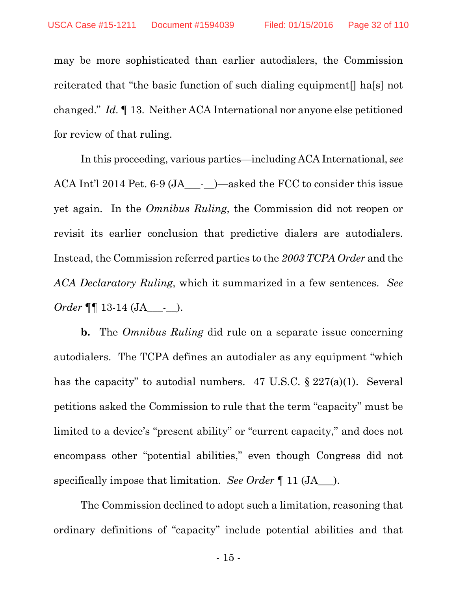may be more sophisticated than earlier autodialers, the Commission reiterated that "the basic function of such dialing equipment[] ha[s] not changed." *Id.* ¶ 13. Neither ACA International nor anyone else petitioned for review of that ruling.

In this proceeding, various parties—including ACA International, *see* ACA Int'l 2014 Pet. 6-9 (JA\_\_\_-\_\_)—asked the FCC to consider this issue yet again. In the *Omnibus Ruling*, the Commission did not reopen or revisit its earlier conclusion that predictive dialers are autodialers. Instead, the Commission referred parties to the *2003 TCPA Order* and the *ACA Declaratory Ruling*, which it summarized in a few sentences. *See Order* ¶¶ 13-14 (JA\_\_\_-\_\_).

**b.** The *Omnibus Ruling* did rule on a separate issue concerning autodialers. The TCPA defines an autodialer as any equipment "which has the capacity" to autodial numbers. 47 U.S.C. § 227(a)(1). Several petitions asked the Commission to rule that the term "capacity" must be limited to a device's "present ability" or "current capacity," and does not encompass other "potential abilities," even though Congress did not specifically impose that limitation. *See Order* ¶ 11 (JA\_\_\_).

The Commission declined to adopt such a limitation, reasoning that ordinary definitions of "capacity" include potential abilities and that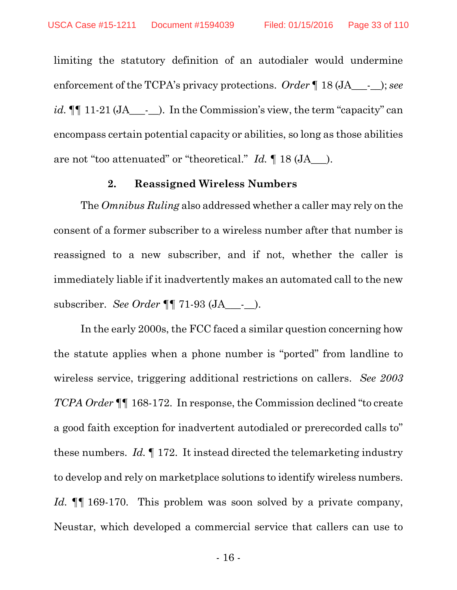limiting the statutory definition of an autodialer would undermine enforcement of the TCPA's privacy protections. *Order* ¶ 18 (JA\_\_\_-\_\_); *see id.*  $\P\P$  11-21 (JA\_\_\_-\_). In the Commission's view, the term "capacity" can encompass certain potential capacity or abilities, so long as those abilities are not "too attenuated" or "theoretical." *Id.* ¶ 18 (JA\_\_\_).

#### **2. Reassigned Wireless Numbers**

The *Omnibus Ruling* also addressed whether a caller may rely on the consent of a former subscriber to a wireless number after that number is reassigned to a new subscriber, and if not, whether the caller is immediately liable if it inadvertently makes an automated call to the new subscriber. *See Order* ¶¶ 71-93 (JA\_\_\_-\_\_).

In the early 2000s, the FCC faced a similar question concerning how the statute applies when a phone number is "ported" from landline to wireless service, triggering additional restrictions on callers. *See 2003 TCPA Order* ¶¶ 168-172. In response, the Commission declined "to create a good faith exception for inadvertent autodialed or prerecorded calls to" these numbers. *Id.* ¶ 172. It instead directed the telemarketing industry to develop and rely on marketplace solutions to identify wireless numbers. *Id.* **[1** 169-170. This problem was soon solved by a private company, Neustar, which developed a commercial service that callers can use to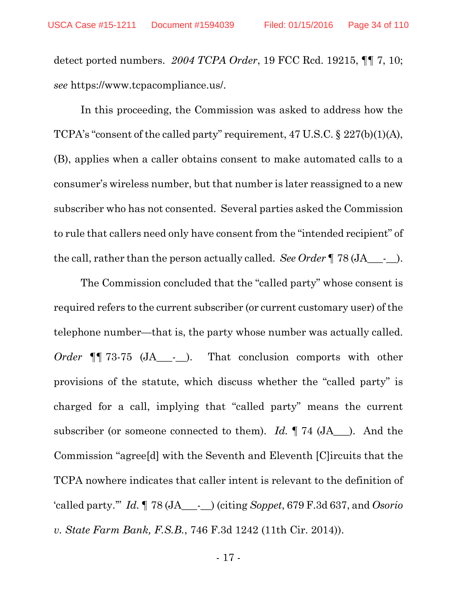detect ported numbers. *2004 TCPA Order*, 19 FCC Rcd. 19215, ¶¶ 7, 10; *see* https://www.tcpacompliance.us/.

In this proceeding, the Commission was asked to address how the TCPA's "consent of the called party" requirement, 47 U.S.C. § 227(b)(1)(A), (B), applies when a caller obtains consent to make automated calls to a consumer's wireless number, but that number is later reassigned to a new subscriber who has not consented. Several parties asked the Commission to rule that callers need only have consent from the "intended recipient" of the call, rather than the person actually called. *See Order* ¶ 78 (JA\_\_\_-\_\_).

The Commission concluded that the "called party" whose consent is required refers to the current subscriber (or current customary user) of the telephone number—that is, the party whose number was actually called. *Order* ¶¶ 73-75 (JA\_\_\_-\_\_). That conclusion comports with other provisions of the statute, which discuss whether the "called party" is charged for a call, implying that "called party" means the current subscriber (or someone connected to them). *Id.* ¶ 74 (JA\_\_\_). And the Commission "agree[d] with the Seventh and Eleventh [C]ircuits that the TCPA nowhere indicates that caller intent is relevant to the definition of 'called party.'" *Id.* ¶ 78 (JA\_\_\_-\_\_) (citing *Soppet*, 679 F.3d 637, and *Osorio v. State Farm Bank, F.S.B.*, 746 F.3d 1242 (11th Cir. 2014)).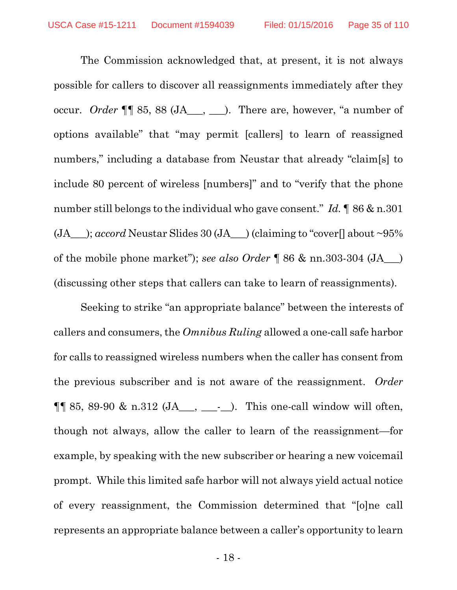The Commission acknowledged that, at present, it is not always possible for callers to discover all reassignments immediately after they occur. *Order* ¶¶ 85, 88 (JA\_\_\_, \_\_\_). There are, however, "a number of options available" that "may permit [callers] to learn of reassigned numbers," including a database from Neustar that already "claim[s] to include 80 percent of wireless [numbers]" and to "verify that the phone number still belongs to the individual who gave consent." *Id.* ¶ 86 & n.301 (JA\_\_\_); *accord* Neustar Slides 30 (JA\_\_\_) (claiming to "cover[] about ~95% of the mobile phone market"); *see also Order* ¶ 86 & nn.303-304 (JA\_\_\_) (discussing other steps that callers can take to learn of reassignments).

Seeking to strike "an appropriate balance" between the interests of callers and consumers, the *Omnibus Ruling* allowed a one-call safe harbor for calls to reassigned wireless numbers when the caller has consent from the previous subscriber and is not aware of the reassignment. *Order*  $\P\P$  85, 89-90 & n.312 (JA\_\_\_, \_\_\_\_\_\_\_\_). This one-call window will often, though not always, allow the caller to learn of the reassignment—for example, by speaking with the new subscriber or hearing a new voicemail prompt. While this limited safe harbor will not always yield actual notice of every reassignment, the Commission determined that "[o]ne call represents an appropriate balance between a caller's opportunity to learn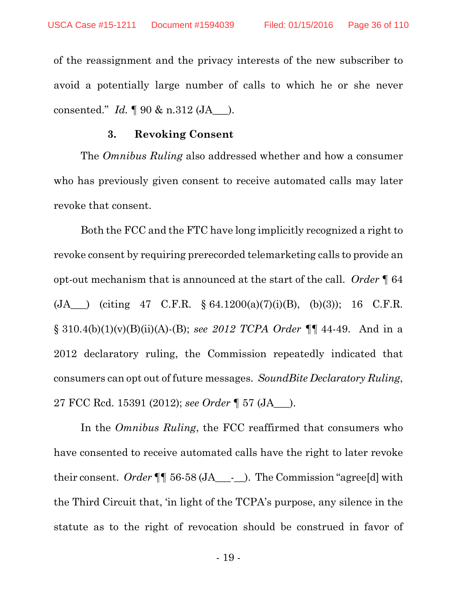of the reassignment and the privacy interests of the new subscriber to avoid a potentially large number of calls to which he or she never consented." *Id.* ¶ 90 & n.312 (JA\_\_\_).

#### **3. Revoking Consent**

The *Omnibus Ruling* also addressed whether and how a consumer who has previously given consent to receive automated calls may later revoke that consent.

Both the FCC and the FTC have long implicitly recognized a right to revoke consent by requiring prerecorded telemarketing calls to provide an opt-out mechanism that is announced at the start of the call. *Order* ¶ 64  $(JA)$  (citing 47 C.F.R. § 64.1200(a)(7)(i)(B), (b)(3)); 16 C.F.R. § 310.4(b)(1)(v)(B)(ii)(A)-(B); *see 2012 TCPA Order* ¶¶ 44-49. And in a 2012 declaratory ruling, the Commission repeatedly indicated that consumers can opt out of future messages. *SoundBite Declaratory Ruling*, 27 FCC Rcd. 15391 (2012); *see Order* ¶ 57 (JA\_\_\_).

In the *Omnibus Ruling*, the FCC reaffirmed that consumers who have consented to receive automated calls have the right to later revoke their consent. *Order* ¶¶ 56-58 (JA\_\_\_-\_\_). The Commission "agree[d] with the Third Circuit that, 'in light of the TCPA's purpose, any silence in the statute as to the right of revocation should be construed in favor of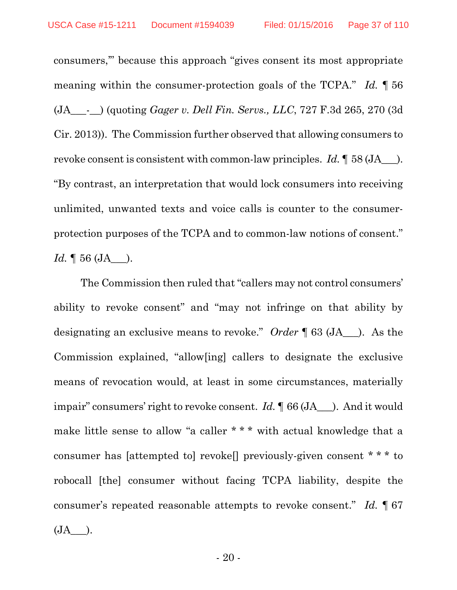consumers,'" because this approach "gives consent its most appropriate meaning within the consumer-protection goals of the TCPA." *Id.* ¶ 56 (JA\_\_\_-\_\_) (quoting *Gager v. Dell Fin. Servs., LLC*, 727 F.3d 265, 270 (3d Cir. 2013)). The Commission further observed that allowing consumers to revoke consent is consistent with common-law principles. *Id.* ¶ 58 (JA\_\_\_). "By contrast, an interpretation that would lock consumers into receiving unlimited, unwanted texts and voice calls is counter to the consumerprotection purposes of the TCPA and to common-law notions of consent." *Id.* 1 56 (JA ).

The Commission then ruled that "callers may not control consumers' ability to revoke consent" and "may not infringe on that ability by designating an exclusive means to revoke." *Order* ¶ 63 (JA\_\_\_). As the Commission explained, "allow[ing] callers to designate the exclusive means of revocation would, at least in some circumstances, materially impair" consumers' right to revoke consent. *Id.* ¶ 66 (JA\_\_\_). And it would make little sense to allow "a caller \* \* \* with actual knowledge that a consumer has [attempted to] revoke[] previously-given consent \* \* \* to robocall [the] consumer without facing TCPA liability, despite the consumer's repeated reasonable attempts to revoke consent." *Id.* ¶ 67  $(JA$ .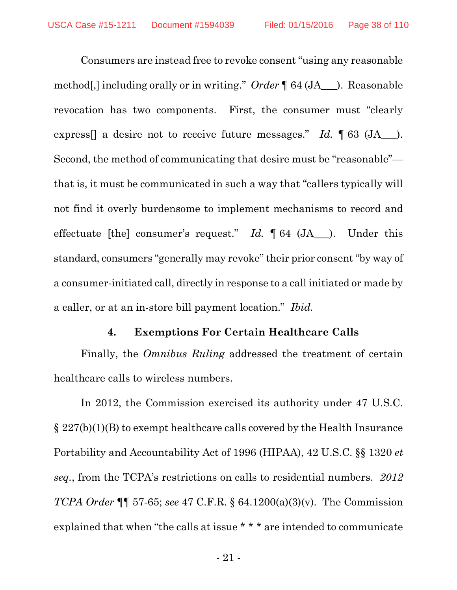Consumers are instead free to revoke consent "using any reasonable method[,] including orally or in writing." *Order* ¶ 64 (JA\_\_\_). Reasonable revocation has two components. First, the consumer must "clearly express[] a desire not to receive future messages." *Id.* ¶ 63 (JA\_\_\_). Second, the method of communicating that desire must be "reasonable" that is, it must be communicated in such a way that "callers typically will not find it overly burdensome to implement mechanisms to record and effectuate [the] consumer's request." *Id.* ¶ 64 (JA\_\_\_). Under this standard, consumers "generally may revoke" their prior consent "by way of a consumer-initiated call, directly in response to a call initiated or made by a caller, or at an in-store bill payment location." *Ibid.*

### **4. Exemptions For Certain Healthcare Calls**

Finally, the *Omnibus Ruling* addressed the treatment of certain healthcare calls to wireless numbers.

In 2012, the Commission exercised its authority under 47 U.S.C. § 227(b)(1)(B) to exempt healthcare calls covered by the Health Insurance Portability and Accountability Act of 1996 (HIPAA), 42 U.S.C. §§ 1320 *et seq.*, from the TCPA's restrictions on calls to residential numbers. *2012 TCPA Order* ¶¶ 57-65; *see* 47 C.F.R. § 64.1200(a)(3)(v). The Commission explained that when "the calls at issue \* \* \* are intended to communicate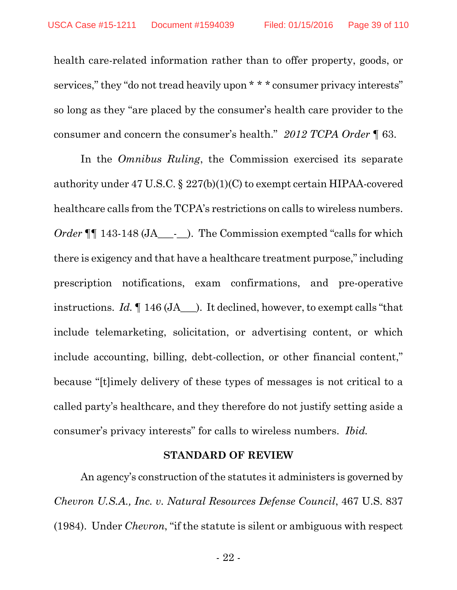health care-related information rather than to offer property, goods, or services," they "do not tread heavily upon \* \* \* consumer privacy interests" so long as they "are placed by the consumer's health care provider to the consumer and concern the consumer's health." *2012 TCPA Order* ¶ 63.

In the *Omnibus Ruling*, the Commission exercised its separate authority under 47 U.S.C. § 227(b)(1)(C) to exempt certain HIPAA-covered healthcare calls from the TCPA's restrictions on calls to wireless numbers. *Order* ¶ 143-148 (JA\_\_\_-\_\_). The Commission exempted "calls for which there is exigency and that have a healthcare treatment purpose," including prescription notifications, exam confirmations, and pre-operative instructions. *Id.* ¶ 146 (JA\_\_\_). It declined, however, to exempt calls "that include telemarketing, solicitation, or advertising content, or which include accounting, billing, debt-collection, or other financial content," because "[t]imely delivery of these types of messages is not critical to a called party's healthcare, and they therefore do not justify setting aside a consumer's privacy interests" for calls to wireless numbers. *Ibid.*

#### **STANDARD OF REVIEW**

An agency's construction of the statutes it administers is governed by *Chevron U.S.A., Inc. v. Natural Resources Defense Council*, 467 U.S. 837 (1984). Under *Chevron*, "if the statute is silent or ambiguous with respect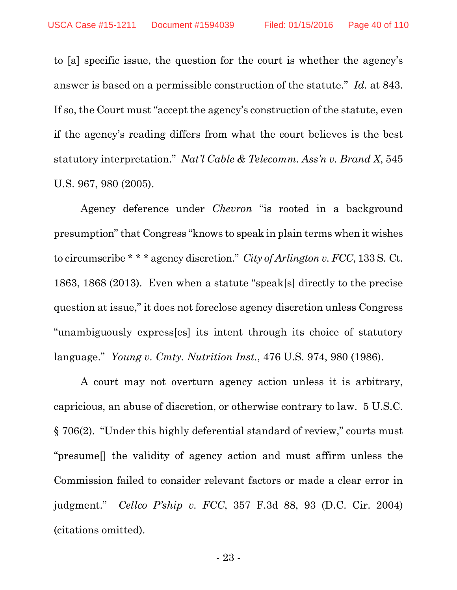to [a] specific issue, the question for the court is whether the agency's answer is based on a permissible construction of the statute." *Id.* at 843. If so, the Court must "accept the agency's construction of the statute, even if the agency's reading differs from what the court believes is the best statutory interpretation." *Nat'l Cable & Telecomm. Ass'n v. Brand X*, 545 U.S. 967, 980 (2005).

Agency deference under *Chevron* "is rooted in a background presumption" that Congress "knows to speak in plain terms when it wishes to circumscribe \* \* \* agency discretion." *City of Arlington v. FCC*, 133 S. Ct. 1863, 1868 (2013). Even when a statute "speak[s] directly to the precise question at issue," it does not foreclose agency discretion unless Congress "unambiguously express[es] its intent through its choice of statutory language." *Young v. Cmty. Nutrition Inst.*, 476 U.S. 974, 980 (1986).

A court may not overturn agency action unless it is arbitrary, capricious, an abuse of discretion, or otherwise contrary to law. 5 U.S.C. § 706(2). "Under this highly deferential standard of review," courts must "presume[] the validity of agency action and must affirm unless the Commission failed to consider relevant factors or made a clear error in judgment." *Cellco P'ship v. FCC*, 357 F.3d 88, 93 (D.C. Cir. 2004) (citations omitted).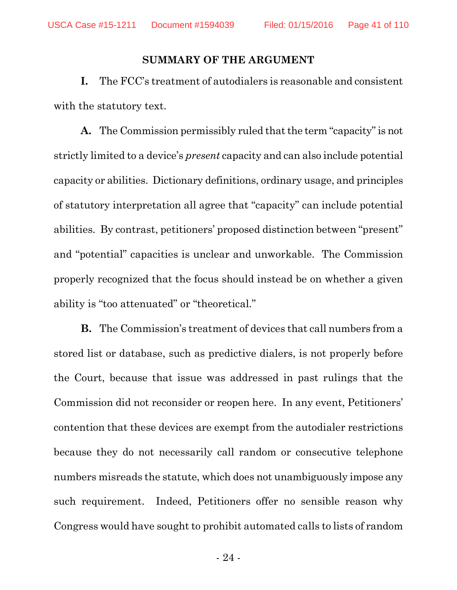#### **SUMMARY OF THE ARGUMENT**

**I.** The FCC's treatment of autodialers is reasonable and consistent with the statutory text.

**A.** The Commission permissibly ruled that the term "capacity" is not strictly limited to a device's *present* capacity and can also include potential capacity or abilities. Dictionary definitions, ordinary usage, and principles of statutory interpretation all agree that "capacity" can include potential abilities. By contrast, petitioners' proposed distinction between "present" and "potential" capacities is unclear and unworkable. The Commission properly recognized that the focus should instead be on whether a given ability is "too attenuated" or "theoretical."

**B.** The Commission's treatment of devices that call numbers from a stored list or database, such as predictive dialers, is not properly before the Court, because that issue was addressed in past rulings that the Commission did not reconsider or reopen here. In any event, Petitioners' contention that these devices are exempt from the autodialer restrictions because they do not necessarily call random or consecutive telephone numbers misreads the statute, which does not unambiguously impose any such requirement. Indeed, Petitioners offer no sensible reason why Congress would have sought to prohibit automated calls to lists of random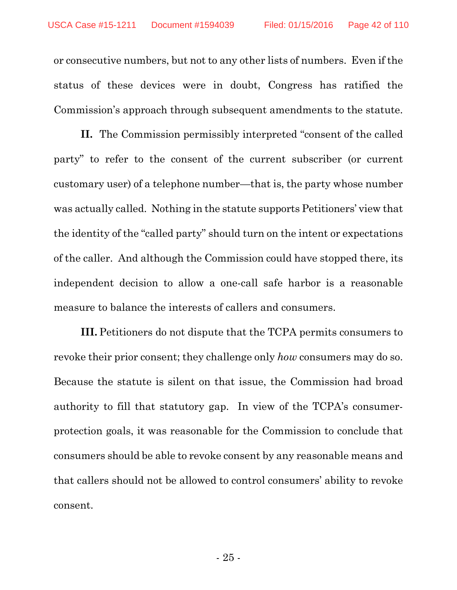or consecutive numbers, but not to any other lists of numbers. Even if the status of these devices were in doubt, Congress has ratified the Commission's approach through subsequent amendments to the statute.

**II.** The Commission permissibly interpreted "consent of the called party" to refer to the consent of the current subscriber (or current customary user) of a telephone number—that is, the party whose number was actually called. Nothing in the statute supports Petitioners' view that the identity of the "called party" should turn on the intent or expectations of the caller. And although the Commission could have stopped there, its independent decision to allow a one-call safe harbor is a reasonable measure to balance the interests of callers and consumers.

**III.** Petitioners do not dispute that the TCPA permits consumers to revoke their prior consent; they challenge only *how* consumers may do so. Because the statute is silent on that issue, the Commission had broad authority to fill that statutory gap. In view of the TCPA's consumerprotection goals, it was reasonable for the Commission to conclude that consumers should be able to revoke consent by any reasonable means and that callers should not be allowed to control consumers' ability to revoke consent.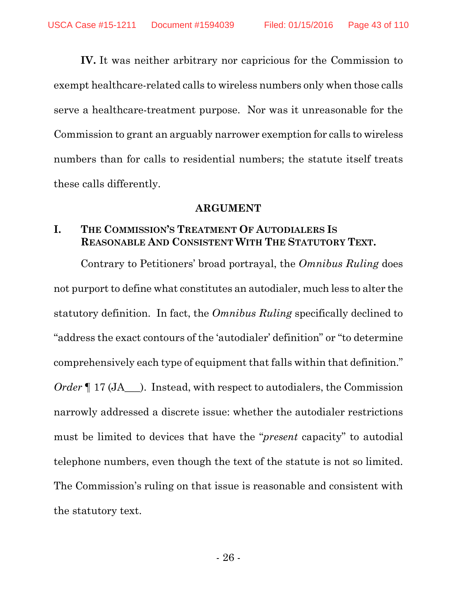**IV.** It was neither arbitrary nor capricious for the Commission to exempt healthcare-related calls to wireless numbers only when those calls serve a healthcare-treatment purpose. Nor was it unreasonable for the Commission to grant an arguably narrower exemption for calls to wireless numbers than for calls to residential numbers; the statute itself treats these calls differently.

### **ARGUMENT**

# **I. THE COMMISSION'S TREATMENT OF AUTODIALERS IS REASONABLE AND CONSISTENT WITH THE STATUTORY TEXT.**

Contrary to Petitioners' broad portrayal, the *Omnibus Ruling* does not purport to define what constitutes an autodialer, much less to alter the statutory definition. In fact, the *Omnibus Ruling* specifically declined to "address the exact contours of the 'autodialer' definition" or "to determine comprehensively each type of equipment that falls within that definition." *Order*  $\P$  17 (JA ). Instead, with respect to autodialers, the Commission narrowly addressed a discrete issue: whether the autodialer restrictions must be limited to devices that have the "*present* capacity" to autodial telephone numbers, even though the text of the statute is not so limited. The Commission's ruling on that issue is reasonable and consistent with the statutory text.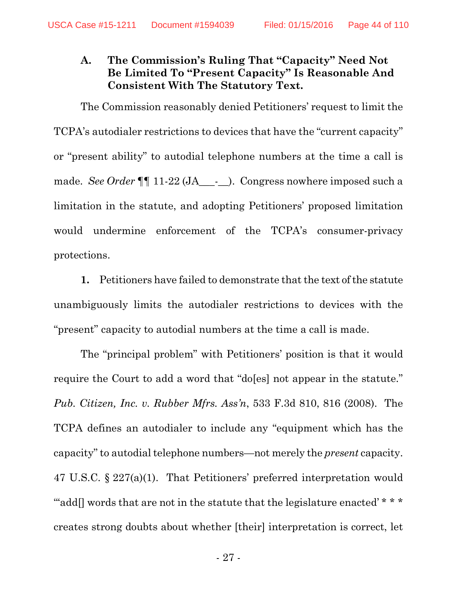# **A. The Commission's Ruling That "Capacity" Need Not Be Limited To "Present Capacity" Is Reasonable And Consistent With The Statutory Text.**

The Commission reasonably denied Petitioners' request to limit the TCPA's autodialer restrictions to devices that have the "current capacity" or "present ability" to autodial telephone numbers at the time a call is made. *See Order*  $\P\P$  11-22 (JA - ). Congress nowhere imposed such a limitation in the statute, and adopting Petitioners' proposed limitation would undermine enforcement of the TCPA's consumer-privacy protections.

**1.** Petitioners have failed to demonstrate that the text of the statute unambiguously limits the autodialer restrictions to devices with the "present" capacity to autodial numbers at the time a call is made.

The "principal problem" with Petitioners' position is that it would require the Court to add a word that "do[es] not appear in the statute." *Pub. Citizen, Inc. v. Rubber Mfrs. Ass'n*, 533 F.3d 810, 816 (2008). The TCPA defines an autodialer to include any "equipment which has the capacity" to autodial telephone numbers—not merely the *present* capacity. 47 U.S.C. § 227(a)(1). That Petitioners' preferred interpretation would ""add[] words that are not in the statute that the legislature enacted' \* \* \* creates strong doubts about whether [their] interpretation is correct, let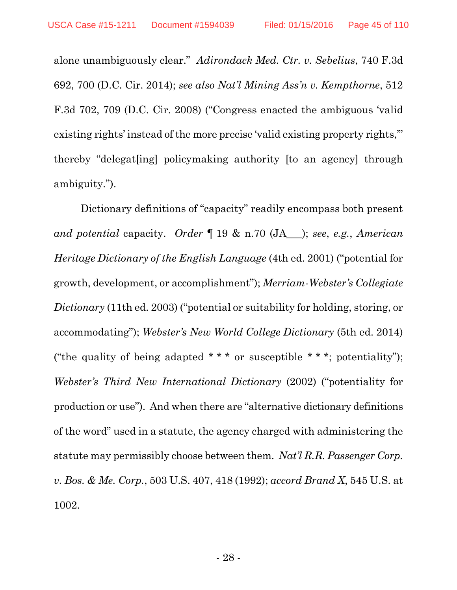alone unambiguously clear." *Adirondack Med. Ctr. v. Sebelius*, 740 F.3d 692, 700 (D.C. Cir. 2014); *see also Nat'l Mining Ass'n v. Kempthorne*, 512 F.3d 702, 709 (D.C. Cir. 2008) ("Congress enacted the ambiguous 'valid existing rights' instead of the more precise 'valid existing property rights,'" thereby "delegat[ing] policymaking authority [to an agency] through ambiguity.").

Dictionary definitions of "capacity" readily encompass both present *and potential* capacity. *Order* ¶ 19 & n.70 (JA\_\_\_); *see*, *e.g.*, *American Heritage Dictionary of the English Language* (4th ed. 2001) ("potential for growth, development, or accomplishment"); *Merriam-Webster's Collegiate Dictionary* (11th ed. 2003) ("potential or suitability for holding, storing, or accommodating"); *Webster's New World College Dictionary* (5th ed. 2014) ("the quality of being adapted  $***$  or susceptible  $***$ ; potentiality"); *Webster's Third New International Dictionary* (2002) ("potentiality for production or use"). And when there are "alternative dictionary definitions of the word" used in a statute, the agency charged with administering the statute may permissibly choose between them. *Nat'l R.R. Passenger Corp. v. Bos. & Me. Corp.*, 503 U.S. 407, 418 (1992); *accord Brand X*, 545 U.S. at 1002.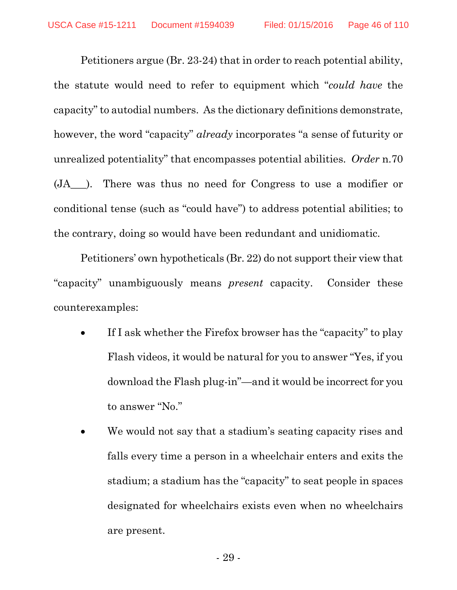Petitioners argue (Br. 23-24) that in order to reach potential ability, the statute would need to refer to equipment which "*could have* the capacity" to autodial numbers. As the dictionary definitions demonstrate, however, the word "capacity" *already* incorporates "a sense of futurity or unrealized potentiality" that encompasses potential abilities. *Order* n.70 (JA\_\_\_). There was thus no need for Congress to use a modifier or conditional tense (such as "could have") to address potential abilities; to the contrary, doing so would have been redundant and unidiomatic.

Petitioners' own hypotheticals (Br. 22) do not support their view that "capacity" unambiguously means *present* capacity. Consider these counterexamples:

- If I ask whether the Firefox browser has the "capacity" to play Flash videos, it would be natural for you to answer "Yes, if you download the Flash plug-in"—and it would be incorrect for you to answer "No."
- We would not say that a stadium's seating capacity rises and falls every time a person in a wheelchair enters and exits the stadium; a stadium has the "capacity" to seat people in spaces designated for wheelchairs exists even when no wheelchairs are present.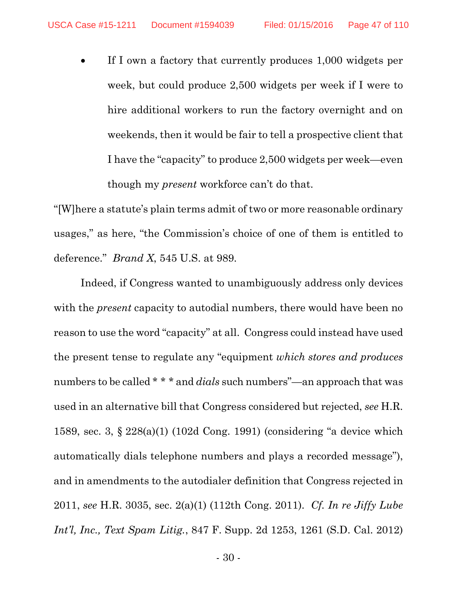• If I own a factory that currently produces 1,000 widgets per week, but could produce 2,500 widgets per week if I were to hire additional workers to run the factory overnight and on weekends, then it would be fair to tell a prospective client that I have the "capacity" to produce 2,500 widgets per week—even though my *present* workforce can't do that.

"[W]here a statute's plain terms admit of two or more reasonable ordinary usages," as here, "the Commission's choice of one of them is entitled to deference." *Brand X*, 545 U.S. at 989.

Indeed, if Congress wanted to unambiguously address only devices with the *present* capacity to autodial numbers, there would have been no reason to use the word "capacity" at all. Congress could instead have used the present tense to regulate any "equipment *which stores and produces* numbers to be called \* \* \* and *dials* such numbers"—an approach that was used in an alternative bill that Congress considered but rejected, *see* H.R. 1589, sec. 3, § 228(a)(1) (102d Cong. 1991) (considering "a device which automatically dials telephone numbers and plays a recorded message"), and in amendments to the autodialer definition that Congress rejected in 2011, *see* H.R. 3035, sec. 2(a)(1) (112th Cong. 2011). *Cf. In re Jiffy Lube Int'l, Inc., Text Spam Litig.*, 847 F. Supp. 2d 1253, 1261 (S.D. Cal. 2012)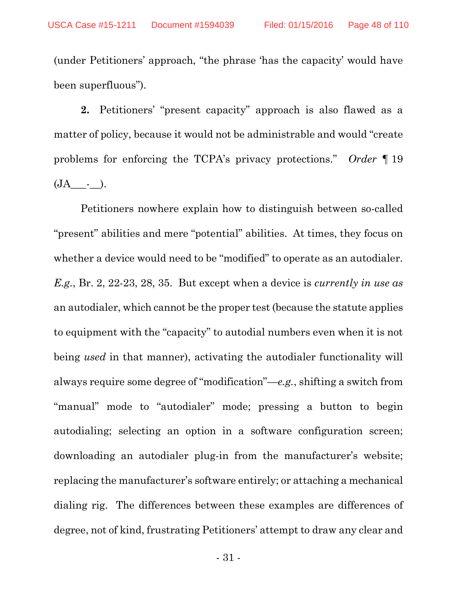(under Petitioners' approach, "the phrase 'has the capacity' would have been superfluous").

**2.** Petitioners' "present capacity" approach is also flawed as a matter of policy, because it would not be administrable and would "create problems for enforcing the TCPA's privacy protections." *Order* ¶ 19 (JA\_\_\_-\_\_).

Petitioners nowhere explain how to distinguish between so-called "present" abilities and mere "potential" abilities. At times, they focus on whether a device would need to be "modified" to operate as an autodialer. *E.g.*, Br. 2, 22-23, 28, 35. But except when a device is *currently in use as* an autodialer, which cannot be the proper test (because the statute applies to equipment with the "capacity" to autodial numbers even when it is not being *used* in that manner), activating the autodialer functionality will always require some degree of "modification"—*e.g.*, shifting a switch from "manual" mode to "autodialer" mode; pressing a button to begin autodialing; selecting an option in a software configuration screen; downloading an autodialer plug-in from the manufacturer's website; replacing the manufacturer's software entirely; or attaching a mechanical dialing rig. The differences between these examples are differences of degree, not of kind, frustrating Petitioners' attempt to draw any clear and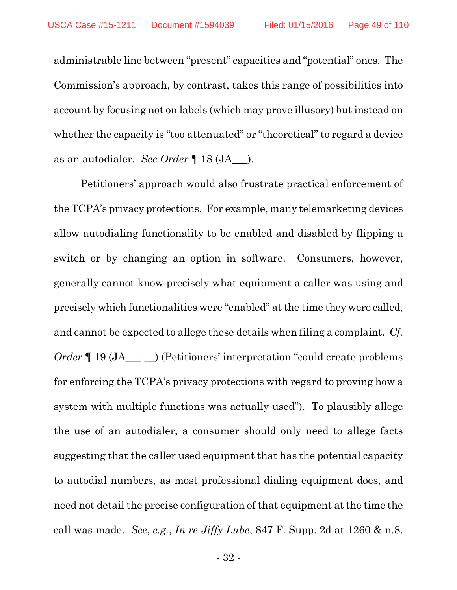administrable line between "present" capacities and "potential" ones. The Commission's approach, by contrast, takes this range of possibilities into account by focusing not on labels (which may prove illusory) but instead on whether the capacity is "too attenuated" or "theoretical" to regard a device as an autodialer. *See Order* ¶ 18 (JA\_\_\_).

Petitioners' approach would also frustrate practical enforcement of the TCPA's privacy protections. For example, many telemarketing devices allow autodialing functionality to be enabled and disabled by flipping a switch or by changing an option in software. Consumers, however, generally cannot know precisely what equipment a caller was using and precisely which functionalities were "enabled" at the time they were called, and cannot be expected to allege these details when filing a complaint. *Cf. Order*  $\P$  19 (JA<sub>\_\_\_</sub>-\_\_) (Petitioners' interpretation "could create problems for enforcing the TCPA's privacy protections with regard to proving how a system with multiple functions was actually used"). To plausibly allege the use of an autodialer, a consumer should only need to allege facts suggesting that the caller used equipment that has the potential capacity to autodial numbers, as most professional dialing equipment does, and need not detail the precise configuration of that equipment at the time the call was made. *See*, *e.g.*, *In re Jiffy Lube*, 847 F. Supp. 2d at 1260 & n.8.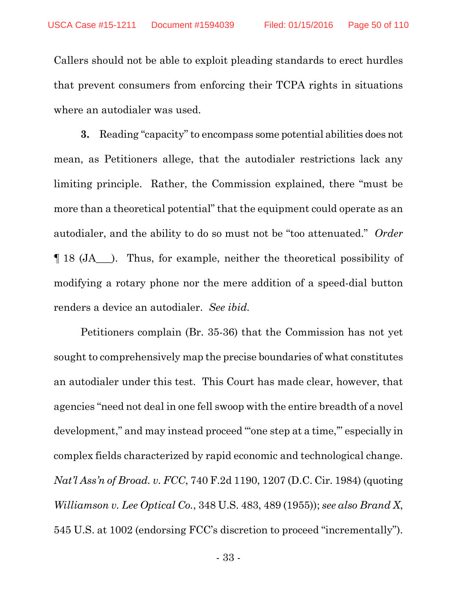Callers should not be able to exploit pleading standards to erect hurdles that prevent consumers from enforcing their TCPA rights in situations where an autodialer was used.

**3.** Reading "capacity" to encompass some potential abilities does not mean, as Petitioners allege, that the autodialer restrictions lack any limiting principle. Rather, the Commission explained, there "must be more than a theoretical potential" that the equipment could operate as an autodialer, and the ability to do so must not be "too attenuated." *Order* ¶ 18 (JA\_\_\_). Thus, for example, neither the theoretical possibility of modifying a rotary phone nor the mere addition of a speed-dial button renders a device an autodialer. *See ibid.*

Petitioners complain (Br. 35-36) that the Commission has not yet sought to comprehensively map the precise boundaries of what constitutes an autodialer under this test. This Court has made clear, however, that agencies "need not deal in one fell swoop with the entire breadth of a novel development," and may instead proceed "'one step at a time,'" especially in complex fields characterized by rapid economic and technological change. *Nat'l Ass'n of Broad. v. FCC*, 740 F.2d 1190, 1207 (D.C. Cir. 1984) (quoting *Williamson v. Lee Optical Co.*, 348 U.S. 483, 489 (1955)); *see also Brand X*, 545 U.S. at 1002 (endorsing FCC's discretion to proceed "incrementally").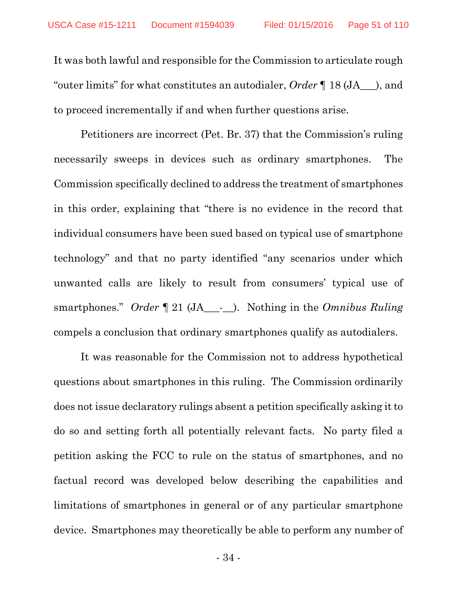It was both lawful and responsible for the Commission to articulate rough "outer limits" for what constitutes an autodialer, *Order* ¶ 18 (JA\_\_\_), and to proceed incrementally if and when further questions arise.

Petitioners are incorrect (Pet. Br. 37) that the Commission's ruling necessarily sweeps in devices such as ordinary smartphones. The Commission specifically declined to address the treatment of smartphones in this order, explaining that "there is no evidence in the record that individual consumers have been sued based on typical use of smartphone technology" and that no party identified "any scenarios under which unwanted calls are likely to result from consumers' typical use of smartphones." *Order* ¶ 21 (JA\_\_\_-\_\_). Nothing in the *Omnibus Ruling* compels a conclusion that ordinary smartphones qualify as autodialers.

It was reasonable for the Commission not to address hypothetical questions about smartphones in this ruling. The Commission ordinarily does not issue declaratory rulings absent a petition specifically asking it to do so and setting forth all potentially relevant facts. No party filed a petition asking the FCC to rule on the status of smartphones, and no factual record was developed below describing the capabilities and limitations of smartphones in general or of any particular smartphone device. Smartphones may theoretically be able to perform any number of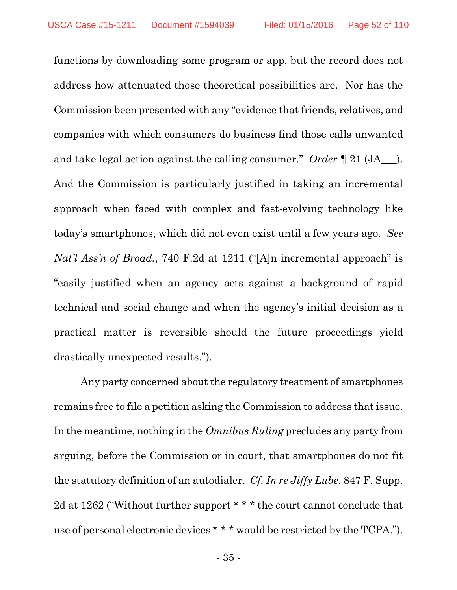functions by downloading some program or app, but the record does not address how attenuated those theoretical possibilities are. Nor has the Commission been presented with any "evidence that friends, relatives, and companies with which consumers do business find those calls unwanted and take legal action against the calling consumer." *Order* ¶ 21 (JA\_\_\_). And the Commission is particularly justified in taking an incremental approach when faced with complex and fast-evolving technology like today's smartphones, which did not even exist until a few years ago. *See Nat'l Ass'n of Broad.*, 740 F.2d at 1211 ("[A]n incremental approach" is "easily justified when an agency acts against a background of rapid technical and social change and when the agency's initial decision as a practical matter is reversible should the future proceedings yield drastically unexpected results.").

Any party concerned about the regulatory treatment of smartphones remains free to file a petition asking the Commission to address that issue. In the meantime, nothing in the *Omnibus Ruling* precludes any party from arguing, before the Commission or in court, that smartphones do not fit the statutory definition of an autodialer. *Cf. In re Jiffy Lube*, 847 F. Supp. 2d at 1262 ("Without further support \* \* \* the court cannot conclude that use of personal electronic devices \* \* \* would be restricted by the TCPA.").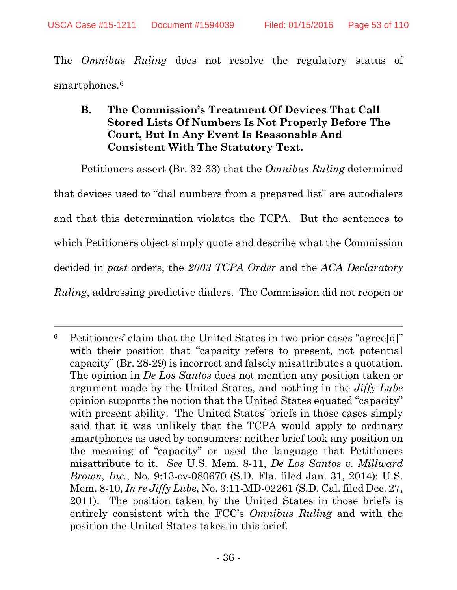$\overline{a}$ 

The *Omnibus Ruling* does not resolve the regulatory status of smartphones.<sup>6</sup>

# **B. The Commission's Treatment Of Devices That Call Stored Lists Of Numbers Is Not Properly Before The Court, But In Any Event Is Reasonable And Consistent With The Statutory Text.**

Petitioners assert (Br. 32-33) that the *Omnibus Ruling* determined that devices used to "dial numbers from a prepared list" are autodialers and that this determination violates the TCPA. But the sentences to which Petitioners object simply quote and describe what the Commission decided in *past* orders, the *2003 TCPA Order* and the *ACA Declaratory Ruling*, addressing predictive dialers. The Commission did not reopen or

<sup>6</sup> Petitioners' claim that the United States in two prior cases "agree[d]" with their position that "capacity refers to present, not potential capacity" (Br. 28-29) is incorrect and falsely misattributes a quotation. The opinion in *De Los Santos* does not mention any position taken or argument made by the United States, and nothing in the *Jiffy Lube* opinion supports the notion that the United States equated "capacity" with present ability. The United States' briefs in those cases simply said that it was unlikely that the TCPA would apply to ordinary smartphones as used by consumers; neither brief took any position on the meaning of "capacity" or used the language that Petitioners misattribute to it. *See* U.S. Mem. 8-11, *De Los Santos v. Millward Brown, Inc.*, No. 9:13-cv-080670 (S.D. Fla. filed Jan. 31, 2014); U.S. Mem. 8-10, *In re Jiffy Lube*, No. 3:11-MD-02261 (S.D. Cal. filed Dec. 27, 2011). The position taken by the United States in those briefs is entirely consistent with the FCC's *Omnibus Ruling* and with the position the United States takes in this brief.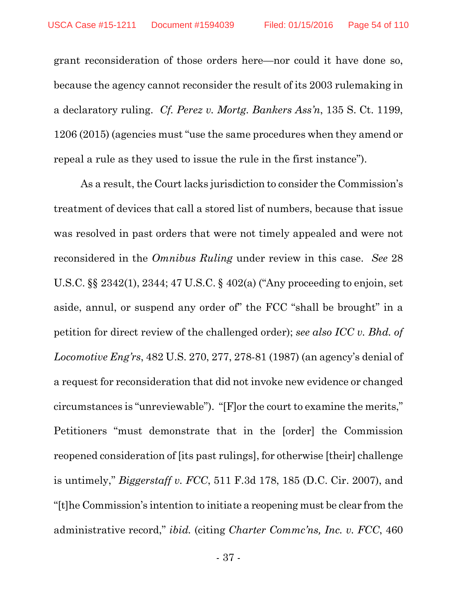grant reconsideration of those orders here—nor could it have done so, because the agency cannot reconsider the result of its 2003 rulemaking in a declaratory ruling. *Cf. Perez v. Mortg. Bankers Ass'n*, 135 S. Ct. 1199, 1206 (2015) (agencies must "use the same procedures when they amend or repeal a rule as they used to issue the rule in the first instance").

As a result, the Court lacks jurisdiction to consider the Commission's treatment of devices that call a stored list of numbers, because that issue was resolved in past orders that were not timely appealed and were not reconsidered in the *Omnibus Ruling* under review in this case. *See* 28 U.S.C. §§ 2342(1), 2344; 47 U.S.C. § 402(a) ("Any proceeding to enjoin, set aside, annul, or suspend any order of" the FCC "shall be brought" in a petition for direct review of the challenged order); *see also ICC v. Bhd. of Locomotive Eng'rs*, 482 U.S. 270, 277, 278-81 (1987) (an agency's denial of a request for reconsideration that did not invoke new evidence or changed circumstances is "unreviewable"). "[F]or the court to examine the merits," Petitioners "must demonstrate that in the [order] the Commission reopened consideration of [its past rulings], for otherwise [their] challenge is untimely," *Biggerstaff v. FCC*, 511 F.3d 178, 185 (D.C. Cir. 2007), and "[t]he Commission's intention to initiate a reopening must be clear from the administrative record," *ibid.* (citing *Charter Commc'ns, Inc. v. FCC*, 460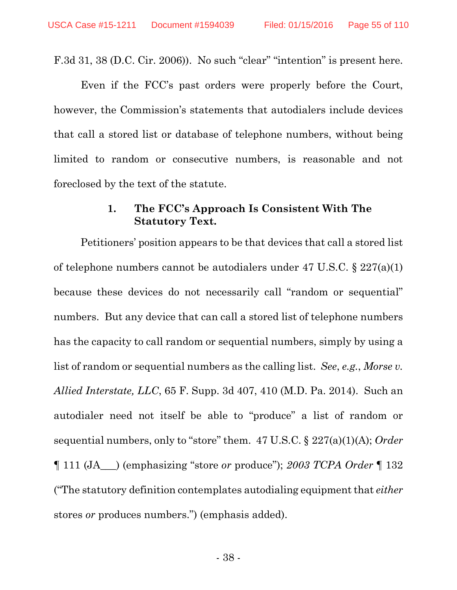F.3d 31, 38 (D.C. Cir. 2006)). No such "clear" "intention" is present here.

Even if the FCC's past orders were properly before the Court, however, the Commission's statements that autodialers include devices that call a stored list or database of telephone numbers, without being limited to random or consecutive numbers, is reasonable and not foreclosed by the text of the statute.

## **1. The FCC's Approach Is Consistent With The Statutory Text.**

Petitioners' position appears to be that devices that call a stored list of telephone numbers cannot be autodialers under 47 U.S.C. § 227(a)(1) because these devices do not necessarily call "random or sequential" numbers. But any device that can call a stored list of telephone numbers has the capacity to call random or sequential numbers, simply by using a list of random or sequential numbers as the calling list. *See*, *e.g.*, *Morse v. Allied Interstate, LLC*, 65 F. Supp. 3d 407, 410 (M.D. Pa. 2014). Such an autodialer need not itself be able to "produce" a list of random or sequential numbers, only to "store" them. 47 U.S.C. § 227(a)(1)(A); *Order* ¶ 111 (JA\_\_\_) (emphasizing "store *or* produce"); *2003 TCPA Order* ¶ 132 ("The statutory definition contemplates autodialing equipment that *either* stores *or* produces numbers.") (emphasis added).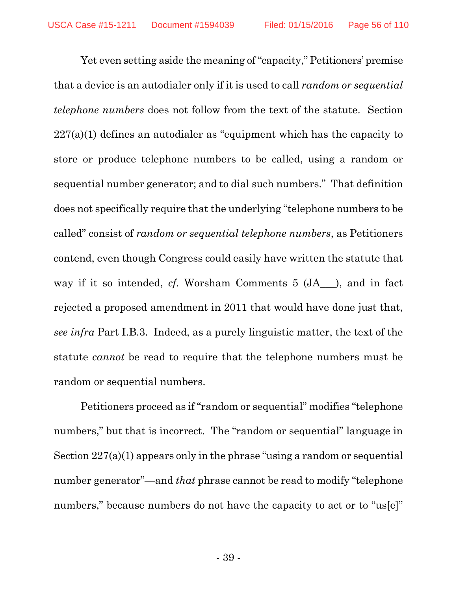Yet even setting aside the meaning of "capacity," Petitioners' premise that a device is an autodialer only if it is used to call *random or sequential telephone numbers* does not follow from the text of the statute. Section 227(a)(1) defines an autodialer as "equipment which has the capacity to store or produce telephone numbers to be called, using a random or sequential number generator; and to dial such numbers." That definition does not specifically require that the underlying "telephone numbers to be called" consist of *random or sequential telephone numbers*, as Petitioners contend, even though Congress could easily have written the statute that way if it so intended, *cf.* Worsham Comments 5 (JA – ), and in fact rejected a proposed amendment in 2011 that would have done just that, *see infra* Part I.B.3. Indeed, as a purely linguistic matter, the text of the statute *cannot* be read to require that the telephone numbers must be random or sequential numbers.

Petitioners proceed as if "random or sequential" modifies "telephone numbers," but that is incorrect. The "random or sequential" language in Section 227(a)(1) appears only in the phrase "using a random or sequential number generator"—and *that* phrase cannot be read to modify "telephone numbers," because numbers do not have the capacity to act or to "us[e]"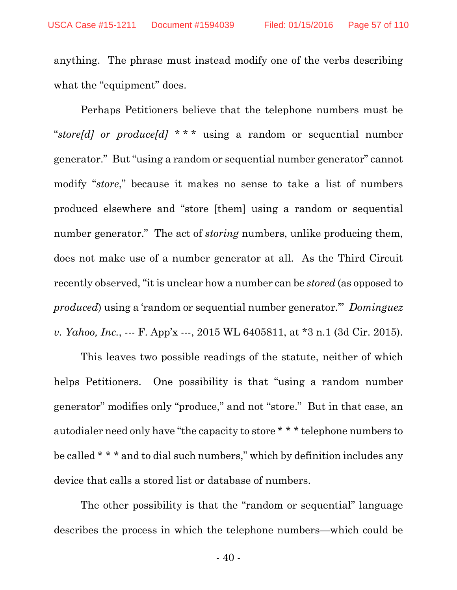anything. The phrase must instead modify one of the verbs describing what the "equipment" does.

Perhaps Petitioners believe that the telephone numbers must be "*store[d] or produce[d]* \* \* \* using a random or sequential number generator." But "using a random or sequential number generator" cannot modify "*store*," because it makes no sense to take a list of numbers produced elsewhere and "store [them] using a random or sequential number generator." The act of *storing* numbers, unlike producing them, does not make use of a number generator at all. As the Third Circuit recently observed, "it is unclear how a number can be *stored* (as opposed to *produced*) using a 'random or sequential number generator.'" *Dominguez v. Yahoo, Inc.*, --- F. App'x ---, 2015 WL 6405811, at \*3 n.1 (3d Cir. 2015).

This leaves two possible readings of the statute, neither of which helps Petitioners. One possibility is that "using a random number generator" modifies only "produce," and not "store." But in that case, an autodialer need only have "the capacity to store \* \* \* telephone numbers to be called \* \* \* and to dial such numbers," which by definition includes any device that calls a stored list or database of numbers.

The other possibility is that the "random or sequential" language describes the process in which the telephone numbers—which could be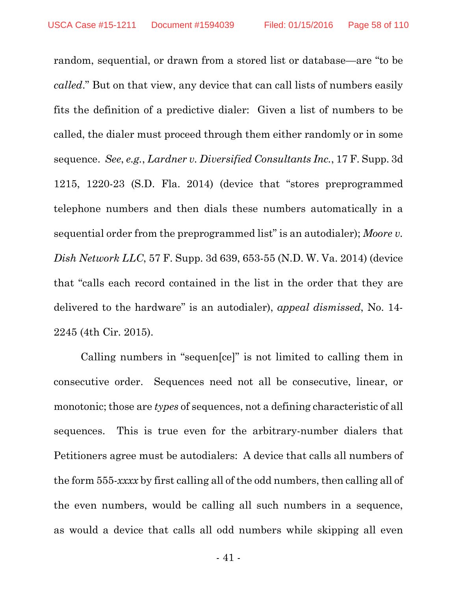random, sequential, or drawn from a stored list or database—are "to be *called*." But on that view, any device that can call lists of numbers easily fits the definition of a predictive dialer: Given a list of numbers to be called, the dialer must proceed through them either randomly or in some sequence. *See*, *e.g.*, *Lardner v. Diversified Consultants Inc.*, 17 F. Supp. 3d 1215, 1220-23 (S.D. Fla. 2014) (device that "stores preprogrammed telephone numbers and then dials these numbers automatically in a sequential order from the preprogrammed list" is an autodialer); *Moore v. Dish Network LLC*, 57 F. Supp. 3d 639, 653-55 (N.D. W. Va. 2014) (device that "calls each record contained in the list in the order that they are delivered to the hardware" is an autodialer), *appeal dismissed*, No. 14- 2245 (4th Cir. 2015).

Calling numbers in "sequen[ce]" is not limited to calling them in consecutive order. Sequences need not all be consecutive, linear, or monotonic; those are *types* of sequences, not a defining characteristic of all sequences. This is true even for the arbitrary-number dialers that Petitioners agree must be autodialers: A device that calls all numbers of the form 555-*xxxx* by first calling all of the odd numbers, then calling all of the even numbers, would be calling all such numbers in a sequence, as would a device that calls all odd numbers while skipping all even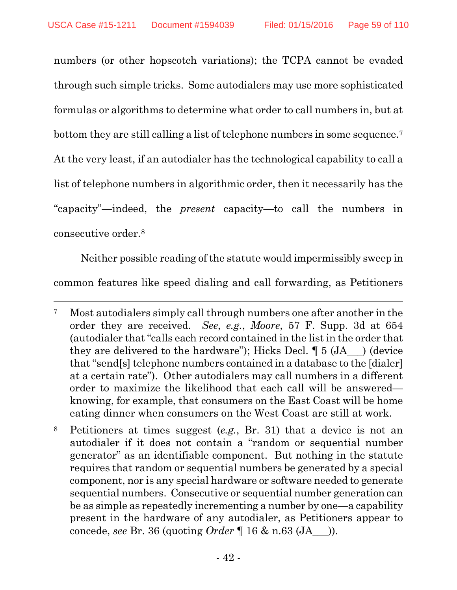$\overline{a}$ 

numbers (or other hopscotch variations); the TCPA cannot be evaded through such simple tricks. Some autodialers may use more sophisticated formulas or algorithms to determine what order to call numbers in, but at bottom they are still calling a list of telephone numbers in some sequence.7 At the very least, if an autodialer has the technological capability to call a list of telephone numbers in algorithmic order, then it necessarily has the "capacity"—indeed, the *present* capacity—to call the numbers in consecutive order.8

Neither possible reading of the statute would impermissibly sweep in common features like speed dialing and call forwarding, as Petitioners

<sup>7</sup> Most autodialers simply call through numbers one after another in the order they are received. *See*, *e.g.*, *Moore*, 57 F. Supp. 3d at 654 (autodialer that "calls each record contained in the list in the order that they are delivered to the hardware"); Hicks Decl.  $\P 5$  (JA  $\rightarrow$  ) (device that "send[s] telephone numbers contained in a database to the [dialer] at a certain rate"). Other autodialers may call numbers in a different order to maximize the likelihood that each call will be answered knowing, for example, that consumers on the East Coast will be home eating dinner when consumers on the West Coast are still at work.

<sup>8</sup> Petitioners at times suggest (*e.g.*, Br. 31) that a device is not an autodialer if it does not contain a "random or sequential number generator" as an identifiable component. But nothing in the statute requires that random or sequential numbers be generated by a special component, nor is any special hardware or software needed to generate sequential numbers. Consecutive or sequential number generation can be as simple as repeatedly incrementing a number by one—a capability present in the hardware of any autodialer, as Petitioners appear to concede, *see* Br. 36 (quoting *Order* ¶ 16 & n.63 (JA\_\_\_)).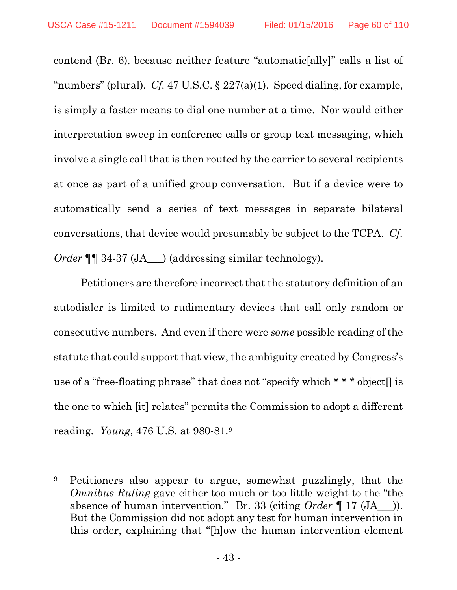contend (Br. 6), because neither feature "automatic[ally]" calls a list of "numbers" (plural). *Cf.* 47 U.S.C. § 227(a)(1). Speed dialing, for example, is simply a faster means to dial one number at a time. Nor would either interpretation sweep in conference calls or group text messaging, which involve a single call that is then routed by the carrier to several recipients at once as part of a unified group conversation. But if a device were to automatically send a series of text messages in separate bilateral conversations, that device would presumably be subject to the TCPA. *Cf. Order*  $\P\P$  34-37 (JA\_\_\_) (addressing similar technology).

Petitioners are therefore incorrect that the statutory definition of an autodialer is limited to rudimentary devices that call only random or consecutive numbers. And even if there were *some* possible reading of the statute that could support that view, the ambiguity created by Congress's use of a "free-floating phrase" that does not "specify which  $* * *$  object  $\parallel$  is the one to which [it] relates" permits the Commission to adopt a different reading. *Young*, 476 U.S. at 980-81.9

<sup>9</sup> Petitioners also appear to argue, somewhat puzzlingly, that the *Omnibus Ruling* gave either too much or too little weight to the "the absence of human intervention." Br. 33 (citing *Order* ¶ 17 (JA\_\_\_)). But the Commission did not adopt any test for human intervention in this order, explaining that "[h]ow the human intervention element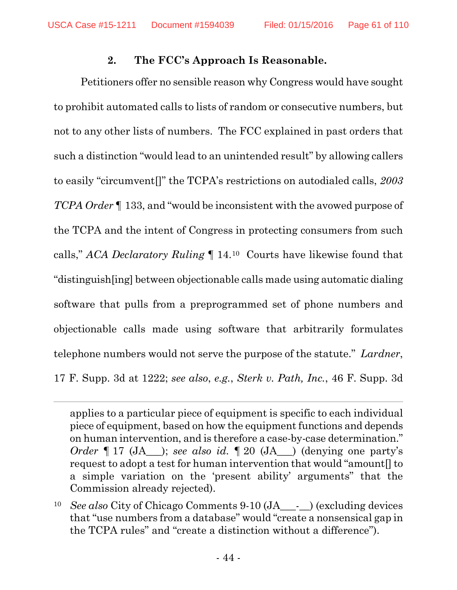## **2. The FCC's Approach Is Reasonable.**

Petitioners offer no sensible reason why Congress would have sought to prohibit automated calls to lists of random or consecutive numbers, but not to any other lists of numbers. The FCC explained in past orders that such a distinction "would lead to an unintended result" by allowing callers to easily "circumvent[]" the TCPA's restrictions on autodialed calls, *2003 TCPA Order* ¶ 133, and "would be inconsistent with the avowed purpose of the TCPA and the intent of Congress in protecting consumers from such calls," *ACA Declaratory Ruling* ¶ 14.10 Courts have likewise found that "distinguish[ing] between objectionable calls made using automatic dialing software that pulls from a preprogrammed set of phone numbers and objectionable calls made using software that arbitrarily formulates telephone numbers would not serve the purpose of the statute." *Lardner*, 17 F. Supp. 3d at 1222; *see also*, *e.g.*, *Sterk v. Path, Inc.*, 46 F. Supp. 3d

applies to a particular piece of equipment is specific to each individual piece of equipment, based on how the equipment functions and depends on human intervention, and is therefore a case-by-case determination." *Order*  $\P 17$  (JA ); *see also id.*  $\P 20$  (JA ) (denying one party's request to adopt a test for human intervention that would "amount[] to a simple variation on the 'present ability' arguments" that the Commission already rejected).

<sup>&</sup>lt;sup>10</sup> *See also* City of Chicago Comments 9-10 (JA - ) (excluding devices that "use numbers from a database" would "create a nonsensical gap in the TCPA rules" and "create a distinction without a difference").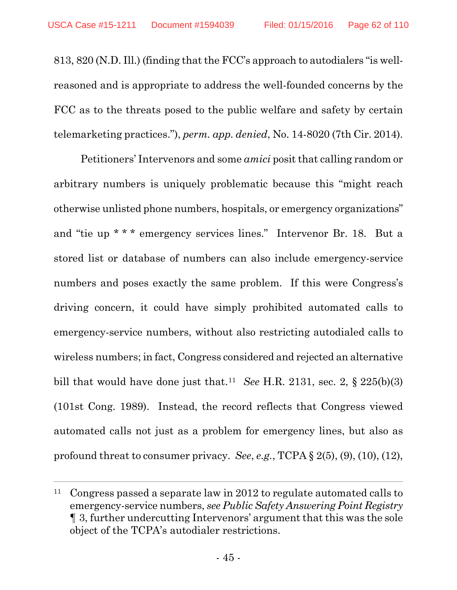813, 820 (N.D. Ill.) (finding that the FCC's approach to autodialers "is wellreasoned and is appropriate to address the well-founded concerns by the FCC as to the threats posed to the public welfare and safety by certain telemarketing practices."), *perm. app. denied*, No. 14-8020 (7th Cir. 2014).

Petitioners' Intervenors and some *amici* posit that calling random or arbitrary numbers is uniquely problematic because this "might reach otherwise unlisted phone numbers, hospitals, or emergency organizations" and "tie up \* \* \* emergency services lines." Intervenor Br. 18. But a stored list or database of numbers can also include emergency-service numbers and poses exactly the same problem. If this were Congress's driving concern, it could have simply prohibited automated calls to emergency-service numbers, without also restricting autodialed calls to wireless numbers; in fact, Congress considered and rejected an alternative bill that would have done just that.<sup>11</sup> *See* H.R. 2131, sec. 2,  $\S$  225(b)(3) (101st Cong. 1989). Instead, the record reflects that Congress viewed automated calls not just as a problem for emergency lines, but also as profound threat to consumer privacy. *See*, *e.g.*, TCPA § 2(5), (9), (10), (12),

<sup>&</sup>lt;sup>11</sup> Congress passed a separate law in 2012 to regulate automated calls to emergency-service numbers, *see Public Safety Answering Point Registry* ¶ 3, further undercutting Intervenors' argument that this was the sole object of the TCPA's autodialer restrictions.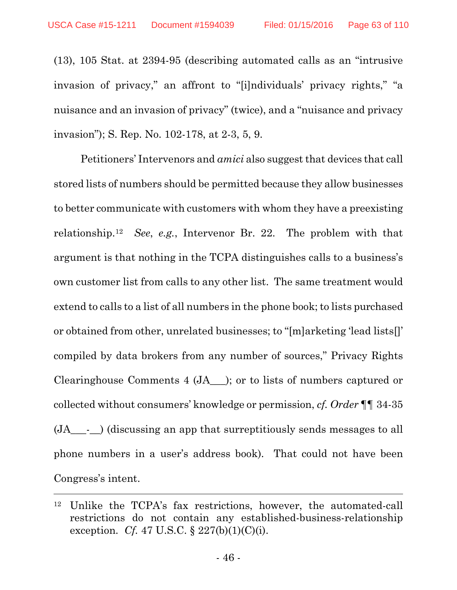(13), 105 Stat. at 2394-95 (describing automated calls as an "intrusive invasion of privacy," an affront to "[i]ndividuals' privacy rights," "a nuisance and an invasion of privacy" (twice), and a "nuisance and privacy invasion"); S. Rep. No. 102-178, at 2-3, 5, 9.

Petitioners' Intervenors and *amici* also suggest that devices that call stored lists of numbers should be permitted because they allow businesses to better communicate with customers with whom they have a preexisting relationship.12 *See*, *e.g.*, Intervenor Br. 22. The problem with that argument is that nothing in the TCPA distinguishes calls to a business's own customer list from calls to any other list. The same treatment would extend to calls to a list of all numbers in the phone book; to lists purchased or obtained from other, unrelated businesses; to "[m]arketing 'lead lists[]' compiled by data brokers from any number of sources," Privacy Rights Clearinghouse Comments 4 (JA\_\_\_); or to lists of numbers captured or collected without consumers' knowledge or permission, *cf. Order* ¶¶ 34-35 (JA\_\_\_-\_\_) (discussing an app that surreptitiously sends messages to all phone numbers in a user's address book). That could not have been Congress's intent.

<sup>12</sup> Unlike the TCPA's fax restrictions, however, the automated-call restrictions do not contain any established-business-relationship exception. *Cf.* 47 U.S.C. § 227(b)(1)(C)(i).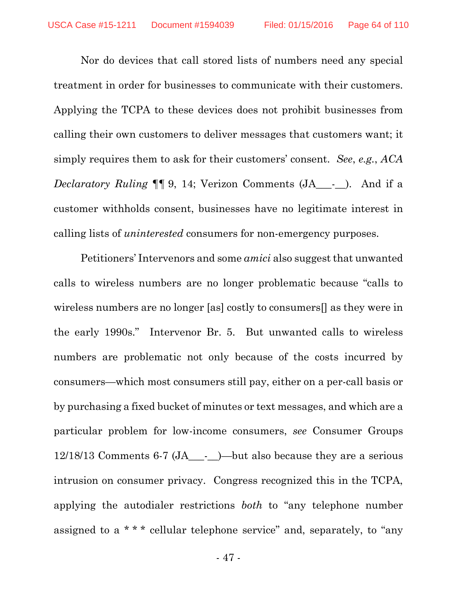Nor do devices that call stored lists of numbers need any special treatment in order for businesses to communicate with their customers. Applying the TCPA to these devices does not prohibit businesses from calling their own customers to deliver messages that customers want; it simply requires them to ask for their customers' consent. *See*, *e.g.*, *ACA Declaratory Ruling*  $\P\P$  9, 14; Verizon Comments (JA<sub>\_\_\_-</sub>\_\_). And if a customer withholds consent, businesses have no legitimate interest in calling lists of *uninterested* consumers for non-emergency purposes.

Petitioners' Intervenors and some *amici* also suggest that unwanted calls to wireless numbers are no longer problematic because "calls to wireless numbers are no longer [as] costly to consumers[] as they were in the early 1990s." Intervenor Br. 5. But unwanted calls to wireless numbers are problematic not only because of the costs incurred by consumers—which most consumers still pay, either on a per-call basis or by purchasing a fixed bucket of minutes or text messages, and which are a particular problem for low-income consumers, *see* Consumer Groups 12/18/13 Comments 6-7 (JA\_\_\_-\_\_)—but also because they are a serious intrusion on consumer privacy. Congress recognized this in the TCPA, applying the autodialer restrictions *both* to "any telephone number assigned to a \* \* \* cellular telephone service" and, separately, to "any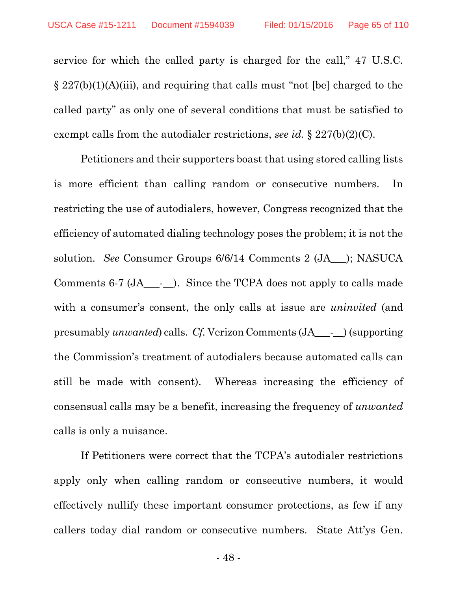service for which the called party is charged for the call," 47 U.S.C. § 227(b)(1)(A)(iii), and requiring that calls must "not [be] charged to the called party" as only one of several conditions that must be satisfied to exempt calls from the autodialer restrictions, *see id.* § 227(b)(2)(C).

Petitioners and their supporters boast that using stored calling lists is more efficient than calling random or consecutive numbers. In restricting the use of autodialers, however, Congress recognized that the efficiency of automated dialing technology poses the problem; it is not the solution. *See* Consumer Groups 6/6/14 Comments 2 (JA\_\_\_); NASUCA Comments 6-7 (JA\_\_\_-\_\_). Since the TCPA does not apply to calls made with a consumer's consent, the only calls at issue are *uninvited* (and presumably *unwanted*) calls. *Cf.* Verizon Comments (JA\_\_\_-\_\_) (supporting the Commission's treatment of autodialers because automated calls can still be made with consent). Whereas increasing the efficiency of consensual calls may be a benefit, increasing the frequency of *unwanted* calls is only a nuisance.

If Petitioners were correct that the TCPA's autodialer restrictions apply only when calling random or consecutive numbers, it would effectively nullify these important consumer protections, as few if any callers today dial random or consecutive numbers. State Att'ys Gen.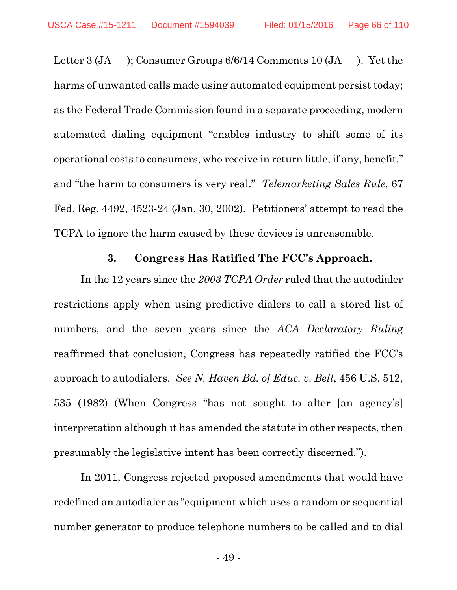Letter 3 (JA\_\_\_); Consumer Groups 6/6/14 Comments 10 (JA\_\_\_). Yet the harms of unwanted calls made using automated equipment persist today; as the Federal Trade Commission found in a separate proceeding, modern automated dialing equipment "enables industry to shift some of its operational costs to consumers, who receive in return little, if any, benefit," and "the harm to consumers is very real." *Telemarketing Sales Rule*, 67 Fed. Reg. 4492, 4523-24 (Jan. 30, 2002). Petitioners' attempt to read the TCPA to ignore the harm caused by these devices is unreasonable.

#### **3. Congress Has Ratified The FCC's Approach.**

In the 12 years since the *2003 TCPA Order* ruled that the autodialer restrictions apply when using predictive dialers to call a stored list of numbers, and the seven years since the *ACA Declaratory Ruling* reaffirmed that conclusion, Congress has repeatedly ratified the FCC's approach to autodialers. *See N. Haven Bd. of Educ. v. Bell*, 456 U.S. 512, 535 (1982) (When Congress "has not sought to alter [an agency's] interpretation although it has amended the statute in other respects, then presumably the legislative intent has been correctly discerned.").

In 2011, Congress rejected proposed amendments that would have redefined an autodialer as "equipment which uses a random or sequential number generator to produce telephone numbers to be called and to dial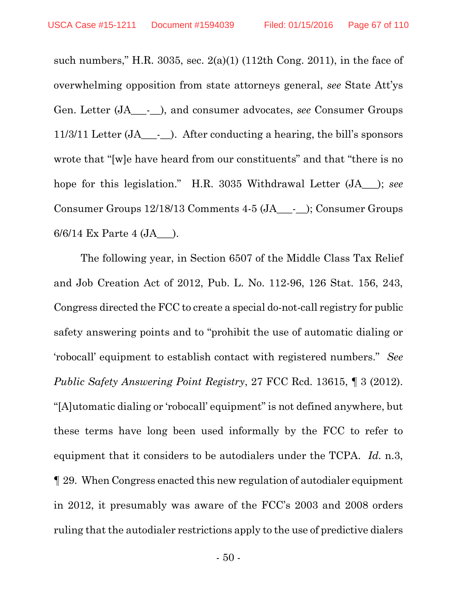such numbers," H.R. 3035, sec.  $2(a)(1)$  (112th Cong. 2011), in the face of overwhelming opposition from state attorneys general, *see* State Att'ys Gen. Letter (JA\_\_\_-\_\_), and consumer advocates, *see* Consumer Groups 11/3/11 Letter (JA\_\_\_-\_\_). After conducting a hearing, the bill's sponsors wrote that "[w]e have heard from our constituents" and that "there is no hope for this legislation." H.R. 3035 Withdrawal Letter (JA\_\_\_); *see* Consumer Groups 12/18/13 Comments 4-5 (JA\_\_\_-\_\_); Consumer Groups 6/6/14 Ex Parte 4 (JA\_\_\_).

The following year, in Section 6507 of the Middle Class Tax Relief and Job Creation Act of 2012, Pub. L. No. 112-96, 126 Stat. 156, 243, Congress directed the FCC to create a special do-not-call registry for public safety answering points and to "prohibit the use of automatic dialing or 'robocall' equipment to establish contact with registered numbers." *See Public Safety Answering Point Registry*, 27 FCC Rcd. 13615, ¶ 3 (2012). "[A]utomatic dialing or 'robocall' equipment" is not defined anywhere, but these terms have long been used informally by the FCC to refer to equipment that it considers to be autodialers under the TCPA. *Id.* n.3, ¶ 29. When Congress enacted this new regulation of autodialer equipment in 2012, it presumably was aware of the FCC's 2003 and 2008 orders ruling that the autodialer restrictions apply to the use of predictive dialers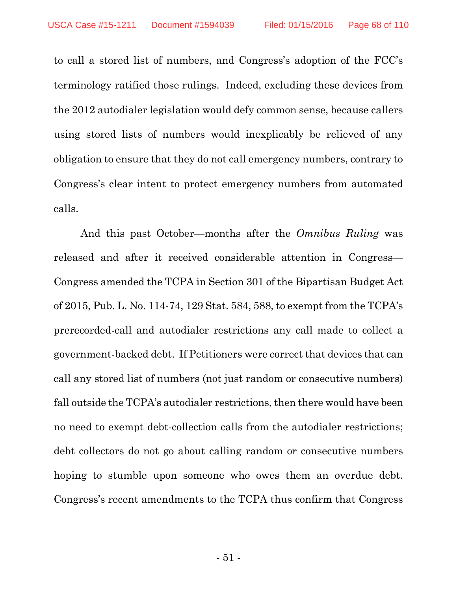to call a stored list of numbers, and Congress's adoption of the FCC's terminology ratified those rulings. Indeed, excluding these devices from the 2012 autodialer legislation would defy common sense, because callers using stored lists of numbers would inexplicably be relieved of any obligation to ensure that they do not call emergency numbers, contrary to Congress's clear intent to protect emergency numbers from automated calls.

And this past October—months after the *Omnibus Ruling* was released and after it received considerable attention in Congress— Congress amended the TCPA in Section 301 of the Bipartisan Budget Act of 2015, Pub. L. No. 114-74, 129 Stat. 584, 588, to exempt from the TCPA's prerecorded-call and autodialer restrictions any call made to collect a government-backed debt. If Petitioners were correct that devices that can call any stored list of numbers (not just random or consecutive numbers) fall outside the TCPA's autodialer restrictions, then there would have been no need to exempt debt-collection calls from the autodialer restrictions; debt collectors do not go about calling random or consecutive numbers hoping to stumble upon someone who owes them an overdue debt. Congress's recent amendments to the TCPA thus confirm that Congress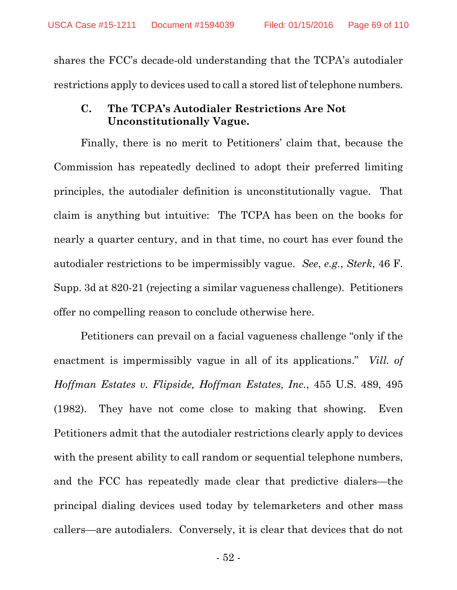shares the FCC's decade-old understanding that the TCPA's autodialer restrictions apply to devices used to call a stored list of telephone numbers.

### **C. The TCPA's Autodialer Restrictions Are Not Unconstitutionally Vague.**

Finally, there is no merit to Petitioners' claim that, because the Commission has repeatedly declined to adopt their preferred limiting principles, the autodialer definition is unconstitutionally vague. That claim is anything but intuitive: The TCPA has been on the books for nearly a quarter century, and in that time, no court has ever found the autodialer restrictions to be impermissibly vague. *See*, *e.g.*, *Sterk*, 46 F. Supp. 3d at 820-21 (rejecting a similar vagueness challenge). Petitioners offer no compelling reason to conclude otherwise here.

Petitioners can prevail on a facial vagueness challenge "only if the enactment is impermissibly vague in all of its applications." *Vill. of Hoffman Estates v. Flipside, Hoffman Estates, Inc.*, 455 U.S. 489, 495 (1982). They have not come close to making that showing. Even Petitioners admit that the autodialer restrictions clearly apply to devices with the present ability to call random or sequential telephone numbers, and the FCC has repeatedly made clear that predictive dialers—the principal dialing devices used today by telemarketers and other mass callers—are autodialers. Conversely, it is clear that devices that do not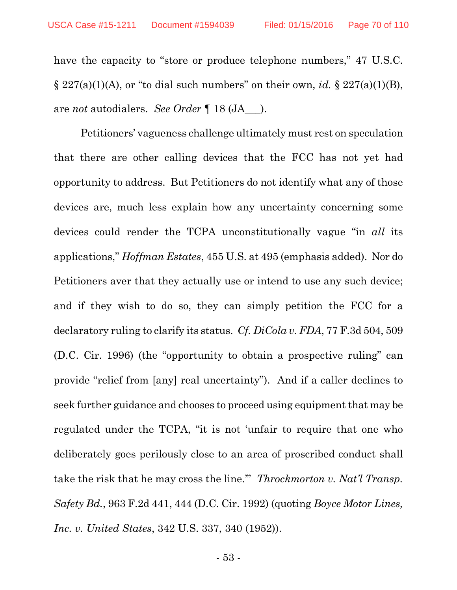have the capacity to "store or produce telephone numbers," 47 U.S.C.  $\S 227(a)(1)(A)$ , or "to dial such numbers" on their own, *id.*  $\S 227(a)(1)(B)$ , are *not* autodialers. *See Order* ¶ 18 (JA\_\_\_).

Petitioners' vagueness challenge ultimately must rest on speculation that there are other calling devices that the FCC has not yet had opportunity to address. But Petitioners do not identify what any of those devices are, much less explain how any uncertainty concerning some devices could render the TCPA unconstitutionally vague "in *all* its applications," *Hoffman Estates*, 455 U.S. at 495 (emphasis added). Nor do Petitioners aver that they actually use or intend to use any such device; and if they wish to do so, they can simply petition the FCC for a declaratory ruling to clarify its status. *Cf. DiCola v. FDA*, 77 F.3d 504, 509 (D.C. Cir. 1996) (the "opportunity to obtain a prospective ruling" can provide "relief from [any] real uncertainty"). And if a caller declines to seek further guidance and chooses to proceed using equipment that may be regulated under the TCPA, "it is not 'unfair to require that one who deliberately goes perilously close to an area of proscribed conduct shall take the risk that he may cross the line.'" *Throckmorton v. Nat'l Transp. Safety Bd.*, 963 F.2d 441, 444 (D.C. Cir. 1992) (quoting *Boyce Motor Lines, Inc. v. United States*, 342 U.S. 337, 340 (1952)).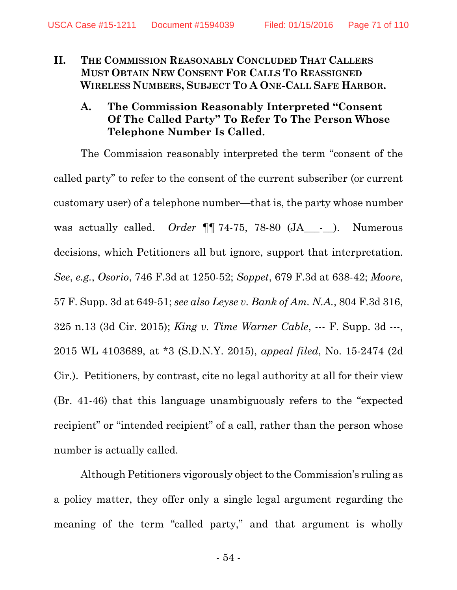- **II. THE COMMISSION REASONABLY CONCLUDED THAT CALLERS MUST OBTAIN NEW CONSENT FOR CALLS TO REASSIGNED WIRELESS NUMBERS, SUBJECT TO A ONE-CALL SAFE HARBOR.** 
	- **A. The Commission Reasonably Interpreted "Consent Of The Called Party" To Refer To The Person Whose Telephone Number Is Called.**

The Commission reasonably interpreted the term "consent of the called party" to refer to the consent of the current subscriber (or current customary user) of a telephone number—that is, the party whose number was actually called. *Order* **[1** 74-75, 78-80 (JA\_\_\_-\_\_). Numerous decisions, which Petitioners all but ignore, support that interpretation. *See*, *e.g.*, *Osorio*, 746 F.3d at 1250-52; *Soppet*, 679 F.3d at 638-42; *Moore*, 57 F. Supp. 3d at 649-51; *see also Leyse v. Bank of Am. N.A.*, 804 F.3d 316, 325 n.13 (3d Cir. 2015); *King v. Time Warner Cable*, --- F. Supp. 3d ---, 2015 WL 4103689, at \*3 (S.D.N.Y. 2015), *appeal filed*, No. 15-2474 (2d Cir.). Petitioners, by contrast, cite no legal authority at all for their view (Br. 41-46) that this language unambiguously refers to the "expected recipient" or "intended recipient" of a call, rather than the person whose number is actually called.

Although Petitioners vigorously object to the Commission's ruling as a policy matter, they offer only a single legal argument regarding the meaning of the term "called party," and that argument is wholly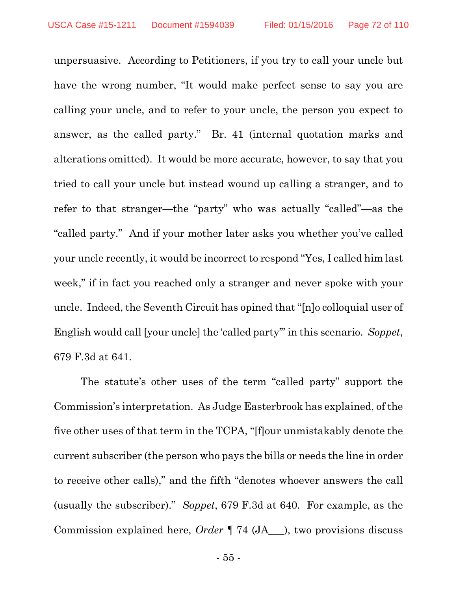unpersuasive. According to Petitioners, if you try to call your uncle but have the wrong number, "It would make perfect sense to say you are calling your uncle, and to refer to your uncle, the person you expect to answer, as the called party." Br. 41 (internal quotation marks and alterations omitted). It would be more accurate, however, to say that you tried to call your uncle but instead wound up calling a stranger, and to refer to that stranger—the "party" who was actually "called"—as the "called party." And if your mother later asks you whether you've called your uncle recently, it would be incorrect to respond "Yes, I called him last week," if in fact you reached only a stranger and never spoke with your uncle. Indeed, the Seventh Circuit has opined that "[n]o colloquial user of English would call [your uncle] the 'called party'" in this scenario. *Soppet*, 679 F.3d at 641.

The statute's other uses of the term "called party" support the Commission's interpretation. As Judge Easterbrook has explained, of the five other uses of that term in the TCPA, "[f]our unmistakably denote the current subscriber (the person who pays the bills or needs the line in order to receive other calls)," and the fifth "denotes whoever answers the call (usually the subscriber)." *Soppet*, 679 F.3d at 640. For example, as the Commission explained here, *Order* ¶ 74 (JA\_\_\_), two provisions discuss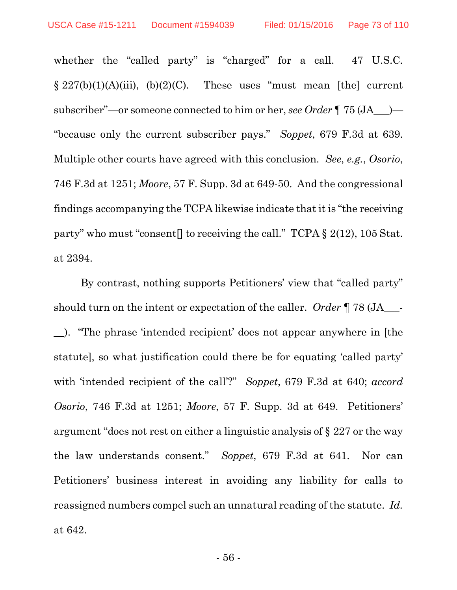whether the "called party" is "charged" for a call. 47 U.S.C.  $\S 227(b)(1)(A)(iii)$ ,  $(b)(2)(C)$ . These uses "must mean [the] current subscriber"—or someone connected to him or her, *see Order* ¶ 75 (JA\_\_\_)— "because only the current subscriber pays." *Soppet*, 679 F.3d at 639. Multiple other courts have agreed with this conclusion. *See*, *e.g.*, *Osorio*, 746 F.3d at 1251; *Moore*, 57 F. Supp. 3d at 649-50. And the congressional findings accompanying the TCPA likewise indicate that it is "the receiving party" who must "consent] to receiving the call." TCPA  $\S 2(12)$ , 105 Stat. at 2394.

By contrast, nothing supports Petitioners' view that "called party" should turn on the intent or expectation of the caller. *Order* ¶ 78 (JA\_\_\_- \_\_). "The phrase 'intended recipient' does not appear anywhere in [the statute], so what justification could there be for equating 'called party' with 'intended recipient of the call'?" *Soppet*, 679 F.3d at 640; *accord Osorio*, 746 F.3d at 1251; *Moore*, 57 F. Supp. 3d at 649. Petitioners' argument "does not rest on either a linguistic analysis of § 227 or the way the law understands consent." *Soppet*, 679 F.3d at 641. Nor can Petitioners' business interest in avoiding any liability for calls to reassigned numbers compel such an unnatural reading of the statute. *Id.* at 642.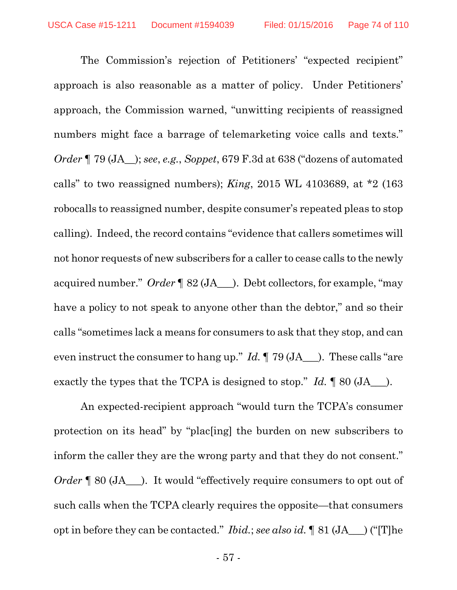The Commission's rejection of Petitioners' "expected recipient" approach is also reasonable as a matter of policy. Under Petitioners' approach, the Commission warned, "unwitting recipients of reassigned numbers might face a barrage of telemarketing voice calls and texts." *Order* ¶ 79 (JA\_\_); *see*, *e.g.*, *Soppet*, 679 F.3d at 638 ("dozens of automated calls" to two reassigned numbers); *King*, 2015 WL 4103689, at \*2 (163 robocalls to reassigned number, despite consumer's repeated pleas to stop calling). Indeed, the record contains "evidence that callers sometimes will not honor requests of new subscribers for a caller to cease calls to the newly acquired number." *Order* ¶ 82 (JA\_\_\_). Debt collectors, for example, "may have a policy to not speak to anyone other than the debtor," and so their calls "sometimes lack a means for consumers to ask that they stop, and can even instruct the consumer to hang up." *Id.* ¶ 79 (JA\_\_\_). These calls "are exactly the types that the TCPA is designed to stop." *Id.*  $\parallel$  80 (JA  $\parallel$ ).

An expected-recipient approach "would turn the TCPA's consumer protection on its head" by "plac[ing] the burden on new subscribers to inform the caller they are the wrong party and that they do not consent." *Order*  $\llbracket 80 \left( JA \right)$ . It would "effectively require consumers to opt out of such calls when the TCPA clearly requires the opposite—that consumers opt in before they can be contacted." *Ibid.*; *see also id.* ¶ 81 (JA\_\_\_) ("[T]he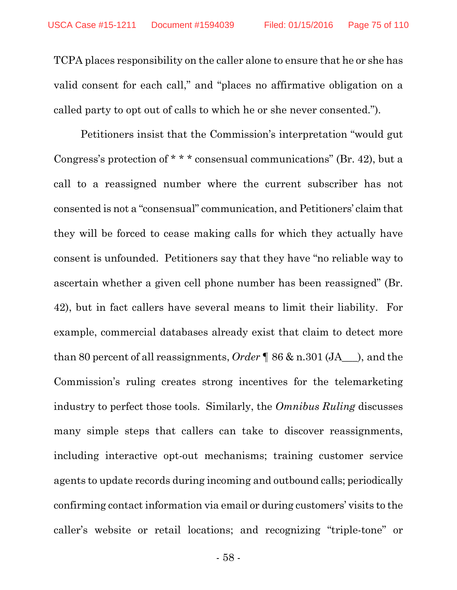TCPA places responsibility on the caller alone to ensure that he or she has valid consent for each call," and "places no affirmative obligation on a called party to opt out of calls to which he or she never consented.").

Petitioners insist that the Commission's interpretation "would gut Congress's protection of \* \* \* consensual communications" (Br. 42), but a call to a reassigned number where the current subscriber has not consented is not a "consensual" communication, and Petitioners' claim that they will be forced to cease making calls for which they actually have consent is unfounded. Petitioners say that they have "no reliable way to ascertain whether a given cell phone number has been reassigned" (Br. 42), but in fact callers have several means to limit their liability. For example, commercial databases already exist that claim to detect more than 80 percent of all reassignments, *Order* ¶ 86 & n.301 (JA\_\_\_), and the Commission's ruling creates strong incentives for the telemarketing industry to perfect those tools. Similarly, the *Omnibus Ruling* discusses many simple steps that callers can take to discover reassignments, including interactive opt-out mechanisms; training customer service agents to update records during incoming and outbound calls; periodically confirming contact information via email or during customers' visits to the caller's website or retail locations; and recognizing "triple-tone" or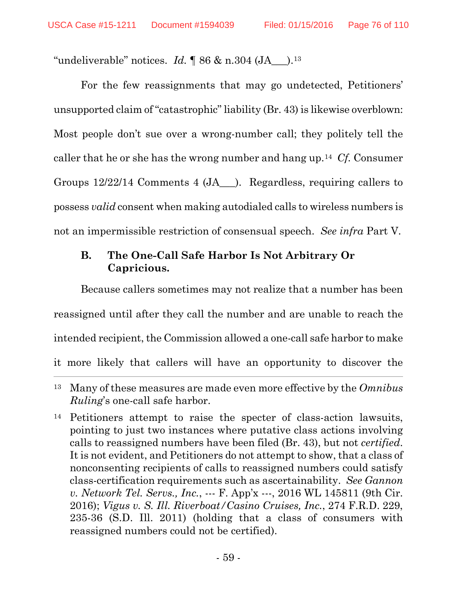"undeliverable" notices. *Id.*  $\parallel$  86 & n.304 (JA  $\parallel$ ).<sup>13</sup>

For the few reassignments that may go undetected, Petitioners' unsupported claim of "catastrophic" liability (Br. 43) is likewise overblown: Most people don't sue over a wrong-number call; they politely tell the caller that he or she has the wrong number and hang up.14 *Cf.* Consumer Groups 12/22/14 Comments 4 (JA\_\_\_). Regardless, requiring callers to possess *valid* consent when making autodialed calls to wireless numbers is not an impermissible restriction of consensual speech. *See infra* Part V.

## **B. The One-Call Safe Harbor Is Not Arbitrary Or Capricious.**

Because callers sometimes may not realize that a number has been reassigned until after they call the number and are unable to reach the intended recipient, the Commission allowed a one-call safe harbor to make it more likely that callers will have an opportunity to discover the  $\overline{a}$ 

<sup>13</sup> Many of these measures are made even more effective by the *Omnibus Ruling*'s one-call safe harbor.

<sup>14</sup> Petitioners attempt to raise the specter of class-action lawsuits, pointing to just two instances where putative class actions involving calls to reassigned numbers have been filed (Br. 43), but not *certified*. It is not evident, and Petitioners do not attempt to show, that a class of nonconsenting recipients of calls to reassigned numbers could satisfy class-certification requirements such as ascertainability. *See Gannon v. Network Tel. Servs., Inc.*, --- F. App'x ---, 2016 WL 145811 (9th Cir. 2016); *Vigus v. S. Ill. Riverboat/Casino Cruises, Inc.*, 274 F.R.D. 229, 235-36 (S.D. Ill. 2011) (holding that a class of consumers with reassigned numbers could not be certified).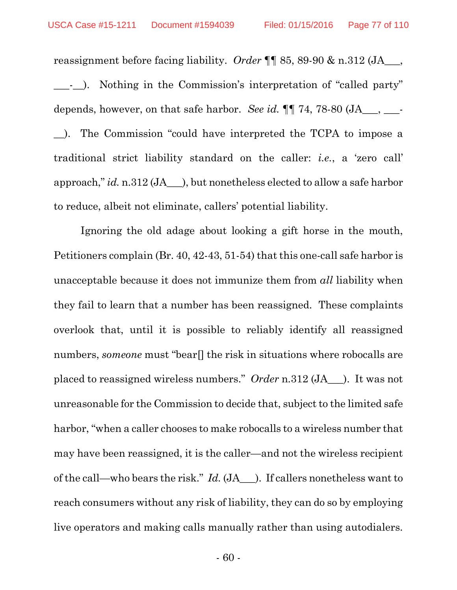reassignment before facing liability. *Order* ¶¶ 85, 89-90 & n.312 (JA\_\_\_, \_\_\_-\_\_). Nothing in the Commission's interpretation of "called party" depends, however, on that safe harbor. *See id.* ¶¶ 74, 78-80 (JA\_\_\_, \_\_\_- \_\_). The Commission "could have interpreted the TCPA to impose a traditional strict liability standard on the caller: *i.e.*, a 'zero call' approach," *id.* n.312 (JA\_\_\_), but nonetheless elected to allow a safe harbor to reduce, albeit not eliminate, callers' potential liability.

Ignoring the old adage about looking a gift horse in the mouth, Petitioners complain (Br. 40, 42-43, 51-54) that this one-call safe harbor is unacceptable because it does not immunize them from *all* liability when they fail to learn that a number has been reassigned. These complaints overlook that, until it is possible to reliably identify all reassigned numbers, *someone* must "bear[] the risk in situations where robocalls are placed to reassigned wireless numbers." *Order* n.312 (JA\_\_\_). It was not unreasonable for the Commission to decide that, subject to the limited safe harbor, "when a caller chooses to make robocalls to a wireless number that may have been reassigned, it is the caller—and not the wireless recipient of the call—who bears the risk." *Id.* (JA\_\_\_). If callers nonetheless want to reach consumers without any risk of liability, they can do so by employing live operators and making calls manually rather than using autodialers.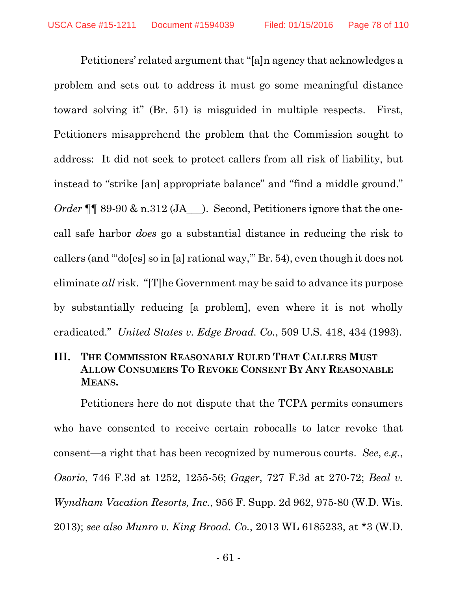Petitioners' related argument that "[a]n agency that acknowledges a problem and sets out to address it must go some meaningful distance toward solving it" (Br. 51) is misguided in multiple respects. First, Petitioners misapprehend the problem that the Commission sought to address: It did not seek to protect callers from all risk of liability, but instead to "strike [an] appropriate balance" and "find a middle ground." *Order* ¶ 89-90 & n.312 (JA ). Second, Petitioners ignore that the onecall safe harbor *does* go a substantial distance in reducing the risk to callers (and "'do[es] so in [a] rational way,'" Br. 54), even though it does not eliminate *all* risk. "[T]he Government may be said to advance its purpose by substantially reducing [a problem], even where it is not wholly eradicated." *United States v. Edge Broad. Co.*, 509 U.S. 418, 434 (1993).

## **III. THE COMMISSION REASONABLY RULED THAT CALLERS MUST ALLOW CONSUMERS TO REVOKE CONSENT BY ANY REASONABLE MEANS.**

Petitioners here do not dispute that the TCPA permits consumers who have consented to receive certain robocalls to later revoke that consent—a right that has been recognized by numerous courts. *See*, *e.g.*, *Osorio*, 746 F.3d at 1252, 1255-56; *Gager*, 727 F.3d at 270-72; *Beal v. Wyndham Vacation Resorts, Inc.*, 956 F. Supp. 2d 962, 975-80 (W.D. Wis. 2013); *see also Munro v. King Broad. Co.*, 2013 WL 6185233, at \*3 (W.D.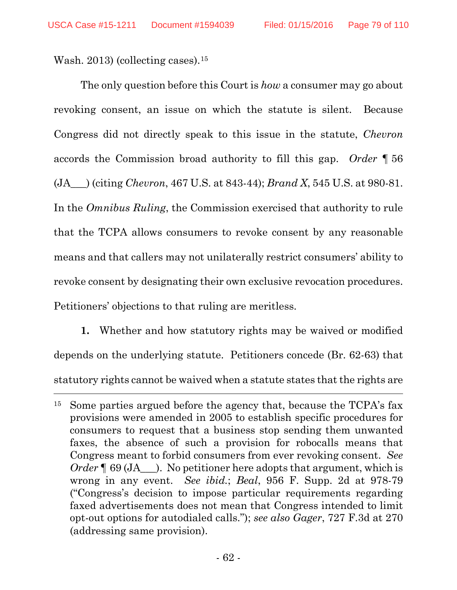Wash. 2013) (collecting cases).15

 $\overline{a}$ 

The only question before this Court is *how* a consumer may go about revoking consent, an issue on which the statute is silent. Because Congress did not directly speak to this issue in the statute, *Chevron* accords the Commission broad authority to fill this gap. *Order* ¶ 56 (JA\_\_\_) (citing *Chevron*, 467 U.S. at 843-44); *Brand X*, 545 U.S. at 980-81. In the *Omnibus Ruling*, the Commission exercised that authority to rule that the TCPA allows consumers to revoke consent by any reasonable means and that callers may not unilaterally restrict consumers' ability to revoke consent by designating their own exclusive revocation procedures. Petitioners' objections to that ruling are meritless.

**1.** Whether and how statutory rights may be waived or modified depends on the underlying statute. Petitioners concede (Br. 62-63) that statutory rights cannot be waived when a statute states that the rights are

<sup>&</sup>lt;sup>15</sup> Some parties argued before the agency that, because the TCPA's fax provisions were amended in 2005 to establish specific procedures for consumers to request that a business stop sending them unwanted faxes, the absence of such a provision for robocalls means that Congress meant to forbid consumers from ever revoking consent. *See Order* **[69 (JA**). No petitioner here adopts that argument, which is wrong in any event. *See ibid.*; *Beal*, 956 F. Supp. 2d at 978-79 ("Congress's decision to impose particular requirements regarding faxed advertisements does not mean that Congress intended to limit opt-out options for autodialed calls."); *see also Gager*, 727 F.3d at 270 (addressing same provision).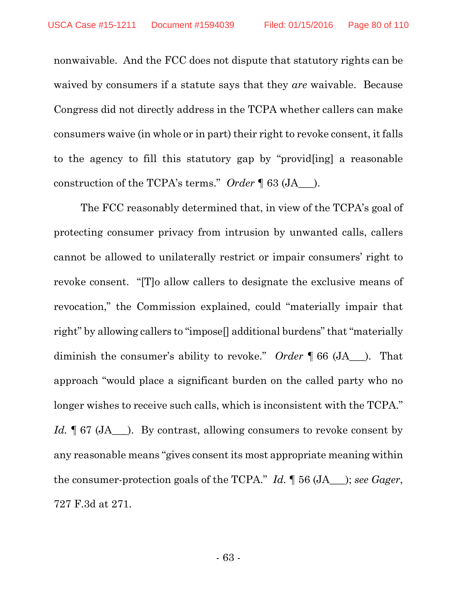nonwaivable. And the FCC does not dispute that statutory rights can be waived by consumers if a statute says that they *are* waivable. Because Congress did not directly address in the TCPA whether callers can make consumers waive (in whole or in part) their right to revoke consent, it falls to the agency to fill this statutory gap by "provid[ing] a reasonable construction of the TCPA's terms." *Order* ¶ 63 (JA\_\_\_).

The FCC reasonably determined that, in view of the TCPA's goal of protecting consumer privacy from intrusion by unwanted calls, callers cannot be allowed to unilaterally restrict or impair consumers' right to revoke consent. "[T]o allow callers to designate the exclusive means of revocation," the Commission explained, could "materially impair that right" by allowing callers to "impose[] additional burdens" that "materially diminish the consumer's ability to revoke." *Order* ¶ 66 (JA\_\_\_). That approach "would place a significant burden on the called party who no longer wishes to receive such calls, which is inconsistent with the TCPA." *Id.* **[67 (JA**). By contrast, allowing consumers to revoke consent by any reasonable means "gives consent its most appropriate meaning within the consumer-protection goals of the TCPA." *Id.* ¶ 56 (JA\_\_\_); *see Gager*, 727 F.3d at 271.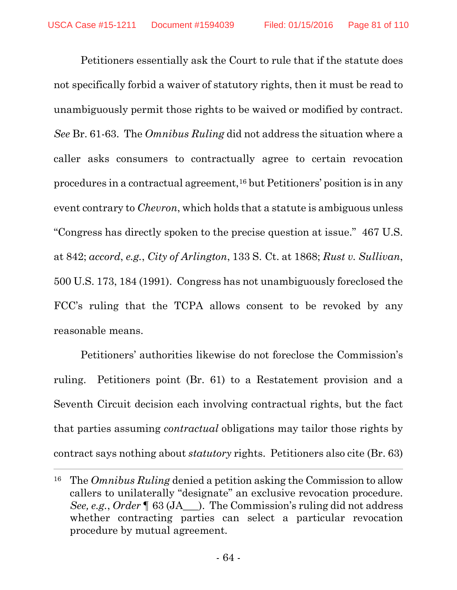Petitioners essentially ask the Court to rule that if the statute does not specifically forbid a waiver of statutory rights, then it must be read to unambiguously permit those rights to be waived or modified by contract. *See* Br. 61-63. The *Omnibus Ruling* did not address the situation where a caller asks consumers to contractually agree to certain revocation procedures in a contractual agreement,16 but Petitioners' position is in any event contrary to *Chevron*, which holds that a statute is ambiguous unless "Congress has directly spoken to the precise question at issue." 467 U.S. at 842; *accord*, *e.g.*, *City of Arlington*, 133 S. Ct. at 1868; *Rust v. Sullivan*, 500 U.S. 173, 184 (1991). Congress has not unambiguously foreclosed the FCC's ruling that the TCPA allows consent to be revoked by any reasonable means.

Petitioners' authorities likewise do not foreclose the Commission's ruling. Petitioners point (Br. 61) to a Restatement provision and a Seventh Circuit decision each involving contractual rights, but the fact that parties assuming *contractual* obligations may tailor those rights by contract says nothing about *statutory* rights. Petitioners also cite (Br. 63)

 $\overline{a}$ 

<sup>16</sup> The *Omnibus Ruling* denied a petition asking the Commission to allow callers to unilaterally "designate" an exclusive revocation procedure. *See, e.g.*, *Order* ¶ 63 (JA\_\_\_). The Commission's ruling did not address whether contracting parties can select a particular revocation procedure by mutual agreement.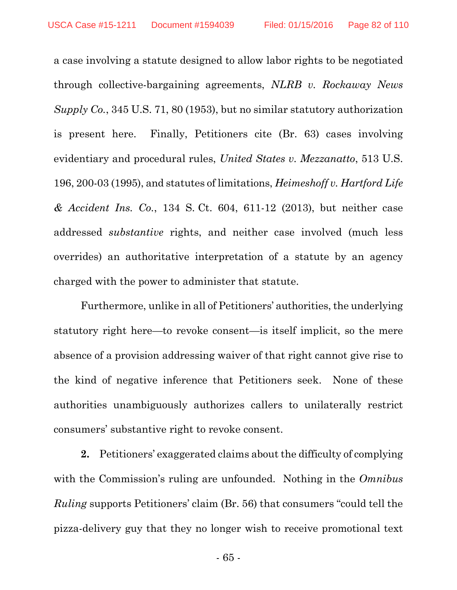a case involving a statute designed to allow labor rights to be negotiated through collective-bargaining agreements, *NLRB v. Rockaway News Supply Co.*, 345 U.S. 71, 80 (1953), but no similar statutory authorization is present here. Finally, Petitioners cite (Br. 63) cases involving evidentiary and procedural rules, *United States v. Mezzanatto*, 513 U.S. 196, 200-03 (1995), and statutes of limitations, *Heimeshoff v. Hartford Life & Accident Ins. Co.*, 134 S. Ct. 604, 611-12 (2013), but neither case addressed *substantive* rights, and neither case involved (much less overrides) an authoritative interpretation of a statute by an agency charged with the power to administer that statute.

Furthermore, unlike in all of Petitioners' authorities, the underlying statutory right here—to revoke consent—is itself implicit, so the mere absence of a provision addressing waiver of that right cannot give rise to the kind of negative inference that Petitioners seek. None of these authorities unambiguously authorizes callers to unilaterally restrict consumers' substantive right to revoke consent.

**2.** Petitioners' exaggerated claims about the difficulty of complying with the Commission's ruling are unfounded. Nothing in the *Omnibus Ruling* supports Petitioners' claim (Br. 56) that consumers "could tell the pizza-delivery guy that they no longer wish to receive promotional text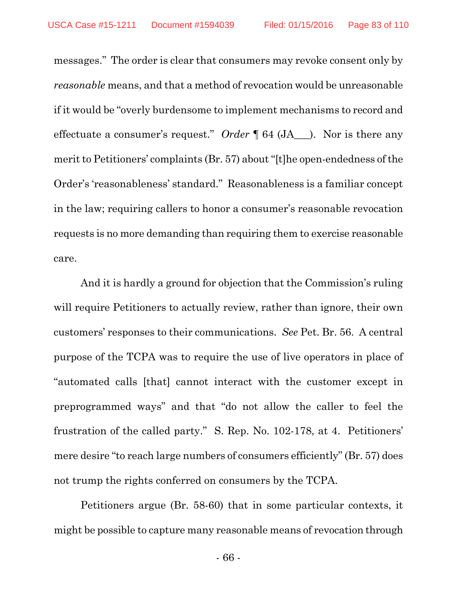messages." The order is clear that consumers may revoke consent only by *reasonable* means, and that a method of revocation would be unreasonable if it would be "overly burdensome to implement mechanisms to record and effectuate a consumer's request." *Order* ¶ 64 (JA\_\_\_). Nor is there any merit to Petitioners' complaints (Br. 57) about "[t]he open-endedness of the Order's 'reasonableness' standard." Reasonableness is a familiar concept in the law; requiring callers to honor a consumer's reasonable revocation requests is no more demanding than requiring them to exercise reasonable care.

And it is hardly a ground for objection that the Commission's ruling will require Petitioners to actually review, rather than ignore, their own customers' responses to their communications. *See* Pet. Br. 56. A central purpose of the TCPA was to require the use of live operators in place of "automated calls [that] cannot interact with the customer except in preprogrammed ways" and that "do not allow the caller to feel the frustration of the called party." S. Rep. No. 102-178, at 4. Petitioners' mere desire "to reach large numbers of consumers efficiently" (Br. 57) does not trump the rights conferred on consumers by the TCPA.

Petitioners argue (Br. 58-60) that in some particular contexts, it might be possible to capture many reasonable means of revocation through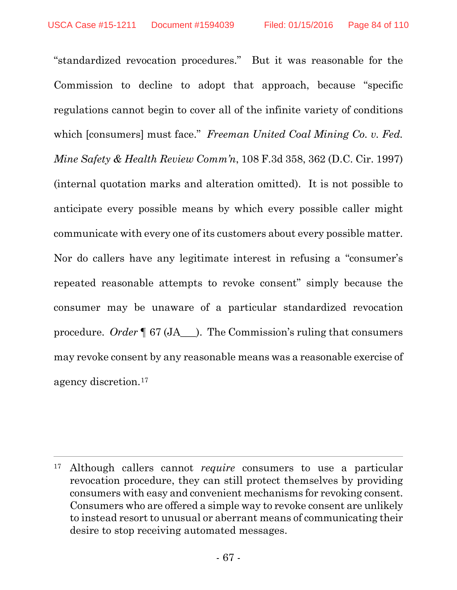$\overline{a}$ 

"standardized revocation procedures." But it was reasonable for the Commission to decline to adopt that approach, because "specific regulations cannot begin to cover all of the infinite variety of conditions which [consumers] must face." *Freeman United Coal Mining Co. v. Fed. Mine Safety & Health Review Comm'n*, 108 F.3d 358, 362 (D.C. Cir. 1997) (internal quotation marks and alteration omitted). It is not possible to anticipate every possible means by which every possible caller might communicate with every one of its customers about every possible matter. Nor do callers have any legitimate interest in refusing a "consumer's repeated reasonable attempts to revoke consent" simply because the consumer may be unaware of a particular standardized revocation procedure. *Order* ¶ 67 (JA\_\_\_). The Commission's ruling that consumers may revoke consent by any reasonable means was a reasonable exercise of agency discretion.17

<sup>17</sup> Although callers cannot *require* consumers to use a particular revocation procedure, they can still protect themselves by providing consumers with easy and convenient mechanisms for revoking consent. Consumers who are offered a simple way to revoke consent are unlikely to instead resort to unusual or aberrant means of communicating their desire to stop receiving automated messages.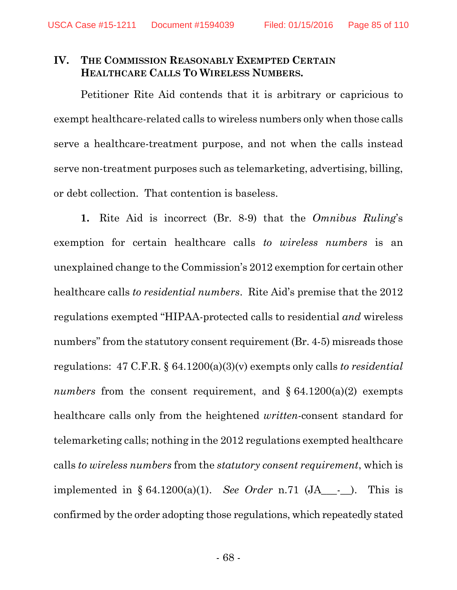#### **IV. THE COMMISSION REASONABLY EXEMPTED CERTAIN HEALTHCARE CALLS TO WIRELESS NUMBERS.**

Petitioner Rite Aid contends that it is arbitrary or capricious to exempt healthcare-related calls to wireless numbers only when those calls serve a healthcare-treatment purpose, and not when the calls instead serve non-treatment purposes such as telemarketing, advertising, billing, or debt collection. That contention is baseless.

**1.** Rite Aid is incorrect (Br. 8-9) that the *Omnibus Ruling*'s exemption for certain healthcare calls *to wireless numbers* is an unexplained change to the Commission's 2012 exemption for certain other healthcare calls *to residential numbers*. Rite Aid's premise that the 2012 regulations exempted "HIPAA-protected calls to residential *and* wireless numbers" from the statutory consent requirement (Br. 4-5) misreads those regulations: 47 C.F.R. § 64.1200(a)(3)(v) exempts only calls *to residential numbers* from the consent requirement, and  $\S 64.1200(a)(2)$  exempts healthcare calls only from the heightened *written*-consent standard for telemarketing calls; nothing in the 2012 regulations exempted healthcare calls *to wireless numbers* from the *statutory consent requirement*, which is implemented in § 64.1200(a)(1). *See Order* n.71 (JA\_\_\_-\_\_). This is confirmed by the order adopting those regulations, which repeatedly stated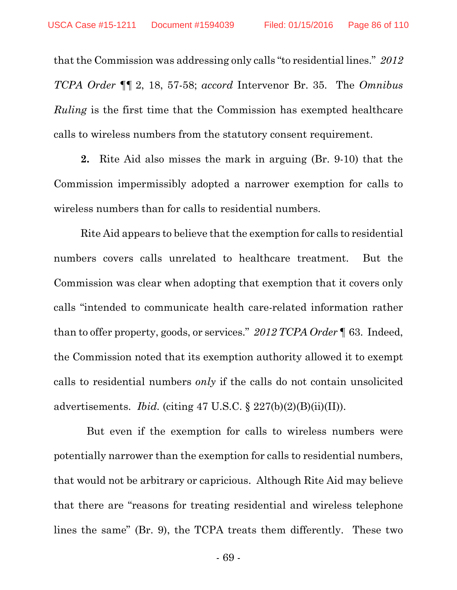that the Commission was addressing only calls "to residential lines." *2012 TCPA Order* ¶¶ 2, 18, 57-58; *accord* Intervenor Br. 35. The *Omnibus Ruling* is the first time that the Commission has exempted healthcare calls to wireless numbers from the statutory consent requirement.

**2.** Rite Aid also misses the mark in arguing (Br. 9-10) that the Commission impermissibly adopted a narrower exemption for calls to wireless numbers than for calls to residential numbers.

Rite Aid appears to believe that the exemption for calls to residential numbers covers calls unrelated to healthcare treatment. But the Commission was clear when adopting that exemption that it covers only calls "intended to communicate health care-related information rather than to offer property, goods, or services." *2012 TCPA Order* ¶ 63. Indeed, the Commission noted that its exemption authority allowed it to exempt calls to residential numbers *only* if the calls do not contain unsolicited advertisements. *Ibid.* (citing 47 U.S.C. § 227(b)(2)(B)(ii)(II)).

 But even if the exemption for calls to wireless numbers were potentially narrower than the exemption for calls to residential numbers, that would not be arbitrary or capricious. Although Rite Aid may believe that there are "reasons for treating residential and wireless telephone lines the same" (Br. 9), the TCPA treats them differently. These two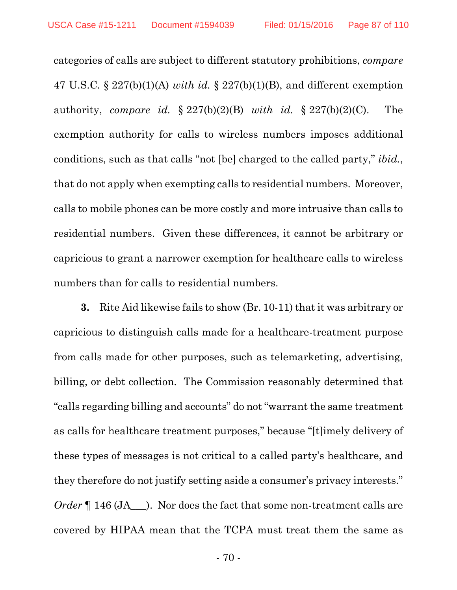categories of calls are subject to different statutory prohibitions, *compare* 47 U.S.C. § 227(b)(1)(A) *with id.* § 227(b)(1)(B), and different exemption authority, *compare id.* § 227(b)(2)(B) *with id.* § 227(b)(2)(C). The exemption authority for calls to wireless numbers imposes additional conditions, such as that calls "not [be] charged to the called party," *ibid.*, that do not apply when exempting calls to residential numbers. Moreover, calls to mobile phones can be more costly and more intrusive than calls to residential numbers. Given these differences, it cannot be arbitrary or capricious to grant a narrower exemption for healthcare calls to wireless numbers than for calls to residential numbers.

**3.** Rite Aid likewise fails to show (Br. 10-11) that it was arbitrary or capricious to distinguish calls made for a healthcare-treatment purpose from calls made for other purposes, such as telemarketing, advertising, billing, or debt collection. The Commission reasonably determined that "calls regarding billing and accounts" do not "warrant the same treatment as calls for healthcare treatment purposes," because "[t]imely delivery of these types of messages is not critical to a called party's healthcare, and they therefore do not justify setting aside a consumer's privacy interests." *Order*  $\parallel$  146 (JA  $\parallel$ ). Nor does the fact that some non-treatment calls are covered by HIPAA mean that the TCPA must treat them the same as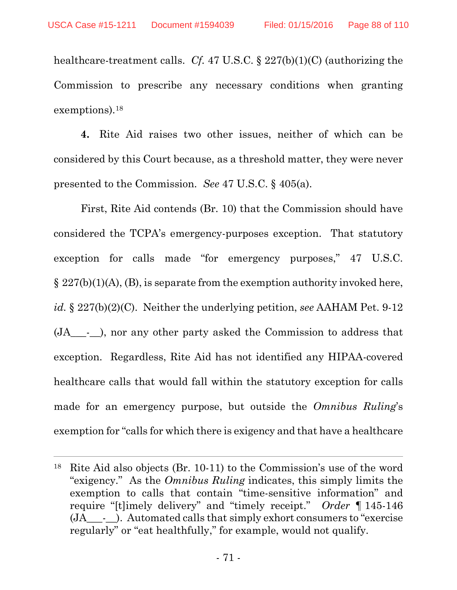$\overline{a}$ 

healthcare-treatment calls. *Cf.* 47 U.S.C. § 227(b)(1)(C) (authorizing the Commission to prescribe any necessary conditions when granting exemptions).18

**4.** Rite Aid raises two other issues, neither of which can be considered by this Court because, as a threshold matter, they were never presented to the Commission. *See* 47 U.S.C. § 405(a).

First, Rite Aid contends (Br. 10) that the Commission should have considered the TCPA's emergency-purposes exception. That statutory exception for calls made "for emergency purposes," 47 U.S.C.  $\S 227(b)(1)(A)$ , (B), is separate from the exemption authority invoked here, *id.* § 227(b)(2)(C). Neither the underlying petition, *see* AAHAM Pet. 9-12 (JA\_\_\_-\_\_), nor any other party asked the Commission to address that exception. Regardless, Rite Aid has not identified any HIPAA-covered healthcare calls that would fall within the statutory exception for calls made for an emergency purpose, but outside the *Omnibus Ruling*'s exemption for "calls for which there is exigency and that have a healthcare

<sup>18</sup> Rite Aid also objects (Br. 10-11) to the Commission's use of the word "exigency." As the *Omnibus Ruling* indicates, this simply limits the exemption to calls that contain "time-sensitive information" and require "[t]imely delivery" and "timely receipt." *Order* ¶ 145-146 (JA\_\_\_-\_\_). Automated calls that simply exhort consumers to "exercise regularly" or "eat healthfully," for example, would not qualify.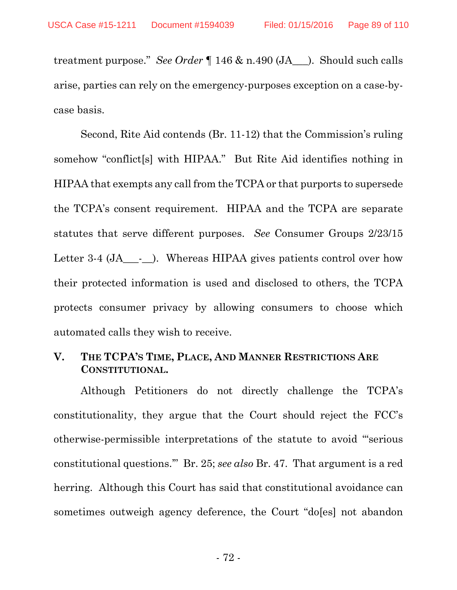treatment purpose." *See Order* ¶ 146 & n.490 (JA\_\_\_). Should such calls arise, parties can rely on the emergency-purposes exception on a case-bycase basis.

Second, Rite Aid contends (Br. 11-12) that the Commission's ruling somehow "conflict[s] with HIPAA." But Rite Aid identifies nothing in HIPAA that exempts any call from the TCPA or that purports to supersede the TCPA's consent requirement. HIPAA and the TCPA are separate statutes that serve different purposes. *See* Consumer Groups 2/23/15 Letter 3-4 (JA<sub>\_\_\_</sub>-\_\_\_). Whereas HIPAA gives patients control over how their protected information is used and disclosed to others, the TCPA protects consumer privacy by allowing consumers to choose which automated calls they wish to receive.

#### **V. THE TCPA'S TIME, PLACE, AND MANNER RESTRICTIONS ARE CONSTITUTIONAL.**

Although Petitioners do not directly challenge the TCPA's constitutionality, they argue that the Court should reject the FCC's otherwise-permissible interpretations of the statute to avoid '"serious constitutional questions.'" Br. 25; *see also* Br. 47. That argument is a red herring. Although this Court has said that constitutional avoidance can sometimes outweigh agency deference, the Court "do[es] not abandon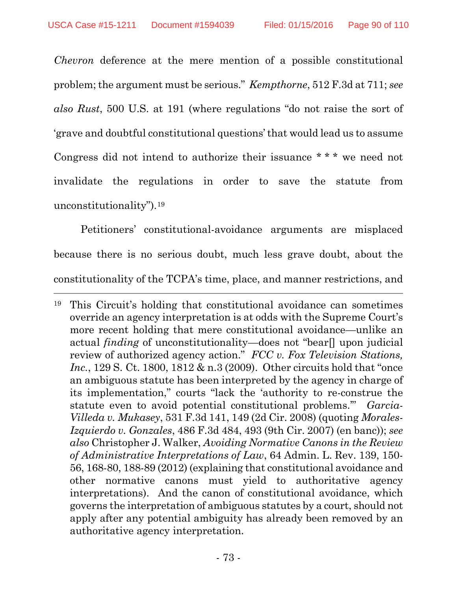*Chevron* deference at the mere mention of a possible constitutional problem; the argument must be serious." *Kempthorne*, 512 F.3d at 711; *see also Rust*, 500 U.S. at 191 (where regulations "do not raise the sort of 'grave and doubtful constitutional questions' that would lead us to assume Congress did not intend to authorize their issuance \* \* \* we need not invalidate the regulations in order to save the statute from unconstitutionality").19

Petitioners' constitutional-avoidance arguments are misplaced because there is no serious doubt, much less grave doubt, about the constitutionality of the TCPA's time, place, and manner restrictions, and

 $\overline{a}$ 

<sup>19</sup> This Circuit's holding that constitutional avoidance can sometimes override an agency interpretation is at odds with the Supreme Court's more recent holding that mere constitutional avoidance—unlike an actual *finding* of unconstitutionality—does not "bear[] upon judicial review of authorized agency action." *FCC v. Fox Television Stations, Inc.*, 129 S. Ct. 1800, 1812 & n.3 (2009). Other circuits hold that "once an ambiguous statute has been interpreted by the agency in charge of its implementation," courts "lack the 'authority to re-construe the statute even to avoid potential constitutional problems.'" *Garcia-Villeda v. Mukasey*, 531 F.3d 141, 149 (2d Cir. 2008) (quoting *Morales-Izquierdo v. Gonzales*, 486 F.3d 484, 493 (9th Cir. 2007) (en banc)); *see also* Christopher J. Walker, *Avoiding Normative Canons in the Review of Administrative Interpretations of Law*, 64 Admin. L. Rev. 139, 150- 56, 168-80, 188-89 (2012) (explaining that constitutional avoidance and other normative canons must yield to authoritative agency interpretations). And the canon of constitutional avoidance, which governs the interpretation of ambiguous statutes by a court, should not apply after any potential ambiguity has already been removed by an authoritative agency interpretation.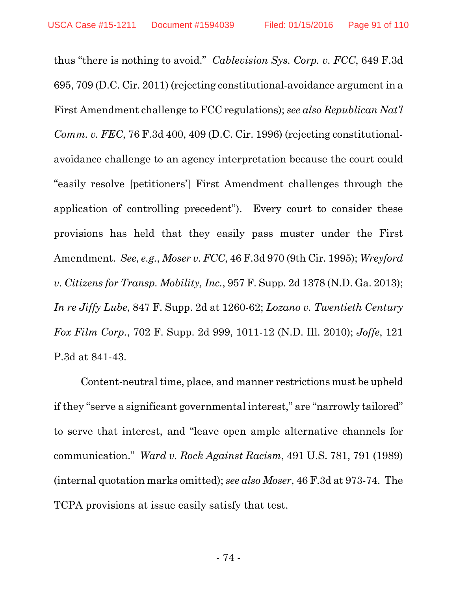thus "there is nothing to avoid." *Cablevision Sys. Corp. v. FCC*, 649 F.3d 695, 709 (D.C. Cir. 2011) (rejecting constitutional-avoidance argument in a First Amendment challenge to FCC regulations); *see also Republican Nat'l Comm. v. FEC*, 76 F.3d 400, 409 (D.C. Cir. 1996) (rejecting constitutionalavoidance challenge to an agency interpretation because the court could "easily resolve [petitioners'] First Amendment challenges through the application of controlling precedent"). Every court to consider these provisions has held that they easily pass muster under the First Amendment. *See*, *e.g.*, *Moser v. FCC*, 46 F.3d 970 (9th Cir. 1995); *Wreyford v. Citizens for Transp. Mobility, Inc.*, 957 F. Supp. 2d 1378 (N.D. Ga. 2013); *In re Jiffy Lube*, 847 F. Supp. 2d at 1260-62; *Lozano v. Twentieth Century Fox Film Corp.*, 702 F. Supp. 2d 999, 1011-12 (N.D. Ill. 2010); *Joffe*, 121 P.3d at 841-43.

Content-neutral time, place, and manner restrictions must be upheld if they "serve a significant governmental interest," are "narrowly tailored" to serve that interest, and "leave open ample alternative channels for communication." *Ward v. Rock Against Racism*, 491 U.S. 781, 791 (1989) (internal quotation marks omitted); *see also Moser*, 46 F.3d at 973-74. The TCPA provisions at issue easily satisfy that test.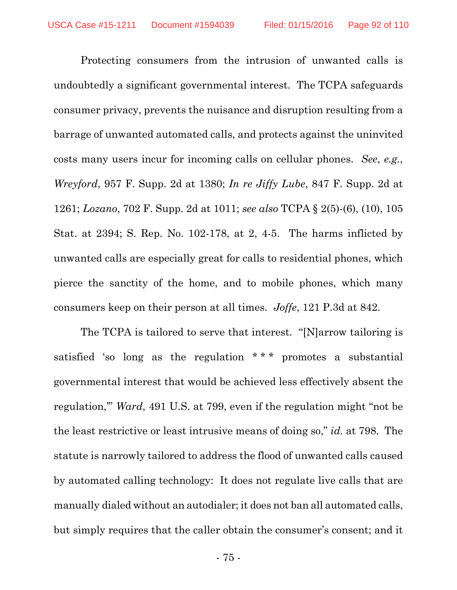Protecting consumers from the intrusion of unwanted calls is undoubtedly a significant governmental interest. The TCPA safeguards consumer privacy, prevents the nuisance and disruption resulting from a barrage of unwanted automated calls, and protects against the uninvited costs many users incur for incoming calls on cellular phones. *See*, *e.g.*, *Wreyford*, 957 F. Supp. 2d at 1380; *In re Jiffy Lube*, 847 F. Supp. 2d at 1261; *Lozano*, 702 F. Supp. 2d at 1011; *see also* TCPA § 2(5)-(6), (10), 105 Stat. at 2394; S. Rep. No. 102-178, at 2, 4-5. The harms inflicted by unwanted calls are especially great for calls to residential phones, which pierce the sanctity of the home, and to mobile phones, which many consumers keep on their person at all times. *Joffe*, 121 P.3d at 842.

The TCPA is tailored to serve that interest. "[N]arrow tailoring is satisfied 'so long as the regulation \*\*\* promotes a substantial governmental interest that would be achieved less effectively absent the regulation,'" *Ward*, 491 U.S. at 799, even if the regulation might "not be the least restrictive or least intrusive means of doing so," *id.* at 798. The statute is narrowly tailored to address the flood of unwanted calls caused by automated calling technology: It does not regulate live calls that are manually dialed without an autodialer; it does not ban all automated calls, but simply requires that the caller obtain the consumer's consent; and it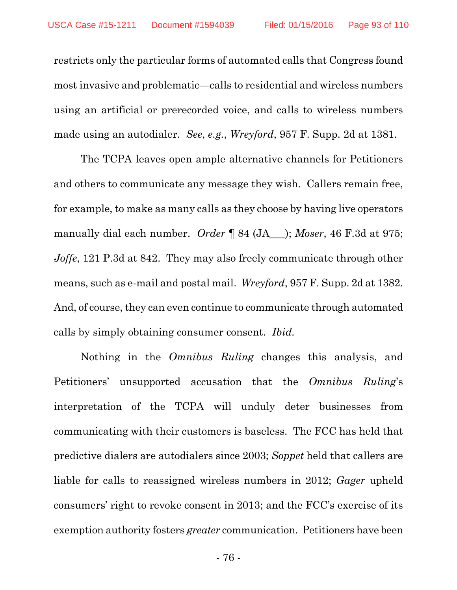restricts only the particular forms of automated calls that Congress found most invasive and problematic—calls to residential and wireless numbers using an artificial or prerecorded voice, and calls to wireless numbers made using an autodialer. *See*, *e.g.*, *Wreyford*, 957 F. Supp. 2d at 1381.

The TCPA leaves open ample alternative channels for Petitioners and others to communicate any message they wish. Callers remain free, for example, to make as many calls as they choose by having live operators manually dial each number. *Order* ¶ 84 (JA\_\_\_); *Moser*, 46 F.3d at 975; *Joffe*, 121 P.3d at 842. They may also freely communicate through other means, such as e-mail and postal mail. *Wreyford*, 957 F. Supp. 2d at 1382. And, of course, they can even continue to communicate through automated calls by simply obtaining consumer consent. *Ibid.*

Nothing in the *Omnibus Ruling* changes this analysis, and Petitioners' unsupported accusation that the *Omnibus Ruling*'s interpretation of the TCPA will unduly deter businesses from communicating with their customers is baseless. The FCC has held that predictive dialers are autodialers since 2003; *Soppet* held that callers are liable for calls to reassigned wireless numbers in 2012; *Gager* upheld consumers' right to revoke consent in 2013; and the FCC's exercise of its exemption authority fosters *greater* communication. Petitioners have been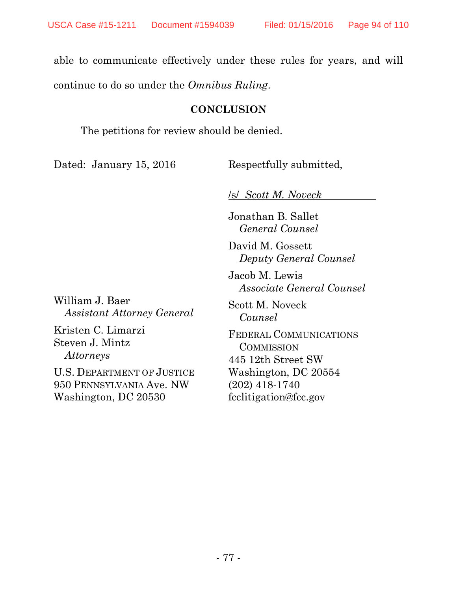able to communicate effectively under these rules for years, and will continue to do so under the *Omnibus Ruling*.

#### **CONCLUSION**

The petitions for review should be denied.

Dated: January 15, 2016 Respectfully submitted,

/s/ *Scott M. Noveck*

Jonathan B. Sallet *General Counsel*

David M. Gossett *Deputy General Counsel*

Jacob M. Lewis *Associate General Counsel*

Scott M. Noveck *Counsel*

FEDERAL COMMUNICATIONS **COMMISSION** 445 12th Street SW Washington, DC 20554 (202) 418-1740 fcclitigation@fcc.gov

William J. Baer *Assistant Attorney General*

Kristen C. Limarzi Steven J. Mintz *Attorneys*

U.S. DEPARTMENT OF JUSTICE 950 PENNSYLVANIA Ave. NW Washington, DC 20530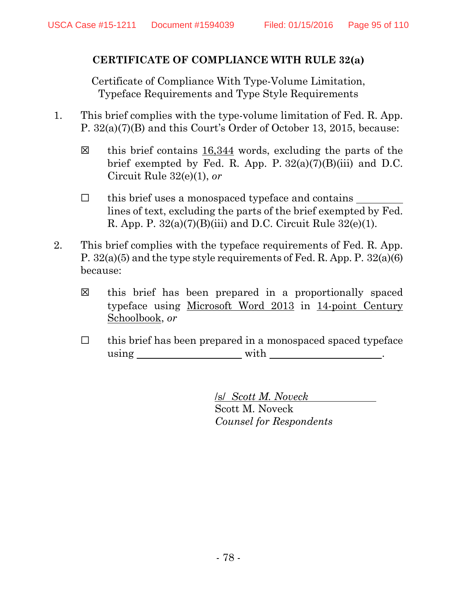## **CERTIFICATE OF COMPLIANCE WITH RULE 32(a)**

Certificate of Compliance With Type-Volume Limitation, Typeface Requirements and Type Style Requirements

- 1. This brief complies with the type-volume limitation of Fed. R. App. P. 32(a)(7)(B) and this Court's Order of October 13, 2015, because:
	- ☒ this brief contains 16,344 words, excluding the parts of the brief exempted by Fed. R. App. P.  $32(a)(7)(B)(iii)$  and D.C. Circuit Rule 32(e)(1), *or*
	- ☐ this brief uses a monospaced typeface and contains lines of text, excluding the parts of the brief exempted by Fed. R. App. P.  $32(a)(7)(B)(iii)$  and D.C. Circuit Rule  $32(e)(1)$ .
- 2. This brief complies with the typeface requirements of Fed. R. App. P. 32(a)(5) and the type style requirements of Fed. R. App. P. 32(a)(6) because:
	- ☒ this brief has been prepared in a proportionally spaced typeface using Microsoft Word 2013 in 14-point Century Schoolbook, *or*
	- $\Box$  this brief has been prepared in a monospaced spaced typeface using with  $\qquad \qquad$  with  $\qquad \qquad$  .

/s/ *Scott M. Noveck* Scott M. Noveck *Counsel for Respondents*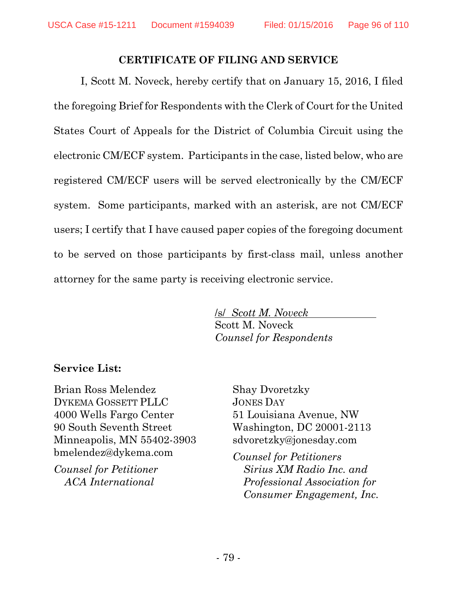#### **CERTIFICATE OF FILING AND SERVICE**

I, Scott M. Noveck, hereby certify that on January 15, 2016, I filed the foregoing Brief for Respondents with the Clerk of Court for the United States Court of Appeals for the District of Columbia Circuit using the electronic CM/ECF system. Participants in the case, listed below, who are registered CM/ECF users will be served electronically by the CM/ECF system. Some participants, marked with an asterisk, are not CM/ECF users; I certify that I have caused paper copies of the foregoing document to be served on those participants by first-class mail, unless another attorney for the same party is receiving electronic service.

> /s/ *Scott M. Noveck* Scott M. Noveck *Counsel for Respondents*

## **Service List:**

Brian Ross Melendez DYKEMA GOSSETT PLLC 4000 Wells Fargo Center 90 South Seventh Street Minneapolis, MN 55402-3903 bmelendez@dykema.com

*Counsel for Petitioner ACA International* 

Shay Dvoretzky JONES DAY 51 Louisiana Avenue, NW Washington, DC 20001-2113 sdvoretzky@jonesday.com

*Counsel for Petitioners Sirius XM Radio Inc. and Professional Association for Consumer Engagement, Inc.*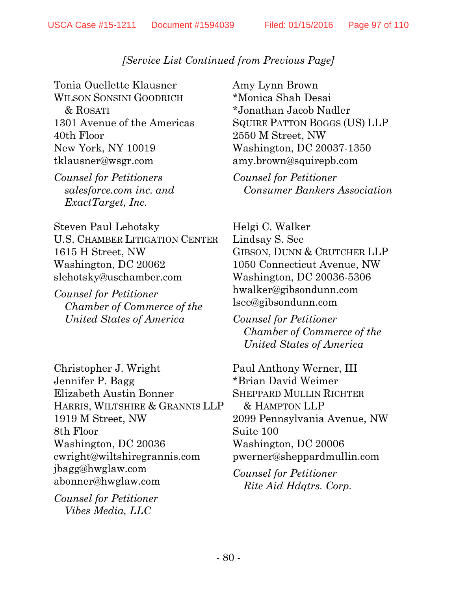Tonia Ouellette Klausner WILSON SONSINI GOODRICH & ROSATI 1301 Avenue of the Americas 40th Floor New York, NY 10019 tklausner@wsgr.com

*Counsel for Petitioners salesforce.com inc. and ExactTarget, Inc.*

Steven Paul Lehotsky U.S. CHAMBER LITIGATION CENTER 1615 H Street, NW Washington, DC 20062 slehotsky@uschamber.com

*Counsel for Petitioner Chamber of Commerce of the United States of America*

Christopher J. Wright Jennifer P. Bagg Elizabeth Austin Bonner HARRIS, WILTSHIRE & GRANNIS LLP 1919 M Street, NW 8th Floor Washington, DC 20036 cwright@wiltshiregrannis.com jbagg@hwglaw.com abonner@hwglaw.com

*Counsel for Petitioner Vibes Media, LLC*

Amy Lynn Brown \*Monica Shah Desai \*Jonathan Jacob Nadler SQUIRE PATTON BOGGS (US) LLP 2550 M Street, NW Washington, DC 20037-1350 amy.brown@squirepb.com

*Counsel for Petitioner Consumer Bankers Association*

Helgi C. Walker Lindsay S. See GIBSON, DUNN & CRUTCHER LLP 1050 Connecticut Avenue, NW Washington, DC 20036-5306 hwalker@gibsondunn.com lsee@gibsondunn.com

*Counsel for Petitioner Chamber of Commerce of the United States of America*

Paul Anthony Werner, III \*Brian David Weimer SHEPPARD MULLIN RICHTER & HAMPTON LLP 2099 Pennsylvania Avenue, NW Suite 100 Washington, DC 20006 pwerner@sheppardmullin.com

*Counsel for Petitioner Rite Aid Hdqtrs. Corp.*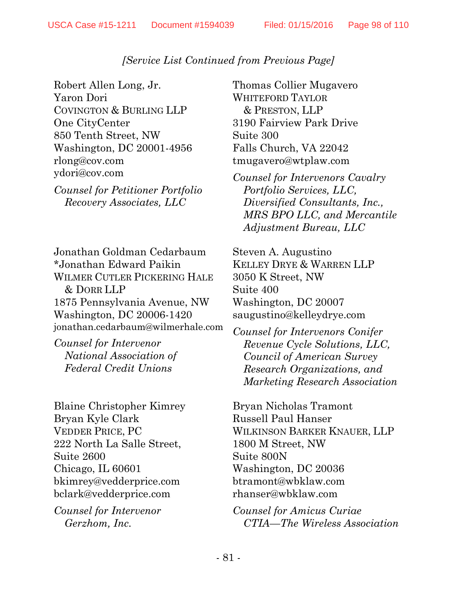Robert Allen Long, Jr. Yaron Dori COVINGTON & BURLING LLP One CityCenter 850 Tenth Street, NW Washington, DC 20001-4956 rlong@cov.com ydori@cov.com

*Counsel for Petitioner Portfolio Recovery Associates, LLC*

Jonathan Goldman Cedarbaum \*Jonathan Edward Paikin WILMER CUTLER PICKERING HALE & DORR LLP 1875 Pennsylvania Avenue, NW Washington, DC 20006-1420 jonathan.cedarbaum@wilmerhale.com

*Counsel for Intervenor National Association of Federal Credit Unions*

Blaine Christopher Kimrey Bryan Kyle Clark VEDDER PRICE, PC 222 North La Salle Street, Suite 2600 Chicago, IL 60601 bkimrey@vedderprice.com bclark@vedderprice.com

*Counsel for Intervenor Gerzhom, Inc.*

Thomas Collier Mugavero WHITEFORD TAYLOR & PRESTON, LLP 3190 Fairview Park Drive Suite 300 Falls Church, VA 22042 tmugavero@wtplaw.com

*Counsel for Intervenors Cavalry Portfolio Services, LLC, Diversified Consultants, Inc., MRS BPO LLC, and Mercantile Adjustment Bureau, LLC*

Steven A. Augustino KELLEY DRYE & WARREN LLP 3050 K Street, NW Suite 400 Washington, DC 20007 saugustino@kelleydrye.com

*Counsel for Intervenors Conifer Revenue Cycle Solutions, LLC, Council of American Survey Research Organizations, and Marketing Research Association*

Bryan Nicholas Tramont Russell Paul Hanser WILKINSON BARKER KNAUER, LLP 1800 M Street, NW Suite 800N Washington, DC 20036 btramont@wbklaw.com rhanser@wbklaw.com

*Counsel for Amicus Curiae CTIA—The Wireless Association*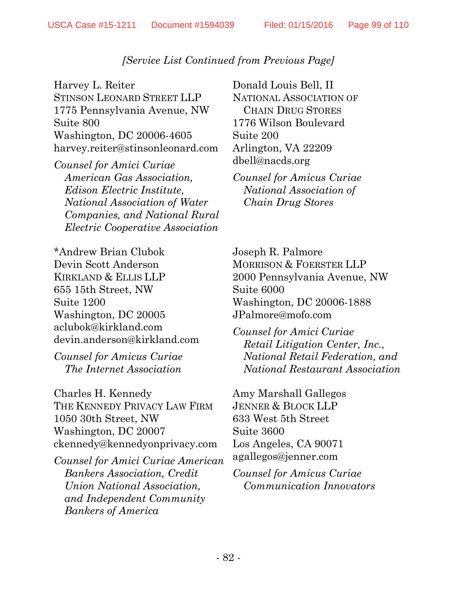Harvey L. Reiter STINSON LEONARD STREET LLP 1775 Pennsylvania Avenue, NW Suite 800 Washington, DC 20006-4605 harvey.reiter@stinsonleonard.com

*Counsel for Amici Curiae American Gas Association, Edison Electric Institute, National Association of Water Companies, and National Rural Electric Cooperative Association*

\*Andrew Brian Clubok Devin Scott Anderson KIRKLAND & ELLIS LLP 655 15th Street, NW Suite 1200 Washington, DC 20005 aclubok@kirkland.com devin.anderson@kirkland.com

*Counsel for Amicus Curiae The Internet Association*

Charles H. Kennedy THE KENNEDY PRIVACY LAW FIRM 1050 30th Street, NW Washington, DC 20007 ckennedy@kennedyonprivacy.com

*Counsel for Amici Curiae American Bankers Association, Credit Union National Association, and Independent Community Bankers of America*

Donald Louis Bell, II NATIONAL ASSOCIATION OF CHAIN DRUG STORES 1776 Wilson Boulevard Suite 200 Arlington, VA 22209 dbell@nacds.org

*Counsel for Amicus Curiae National Association of Chain Drug Stores*

Joseph R. Palmore MORRISON & FOERSTER LLP 2000 Pennsylvania Avenue, NW Suite 6000 Washington, DC 20006-1888 JPalmore@mofo.com

*Counsel for Amici Curiae Retail Litigation Center, Inc., National Retail Federation, and National Restaurant Association*

Amy Marshall Gallegos JENNER & BLOCK LLP 633 West 5th Street Suite 3600 Los Angeles, CA 90071 agallegos@jenner.com

*Counsel for Amicus Curiae Communication Innovators*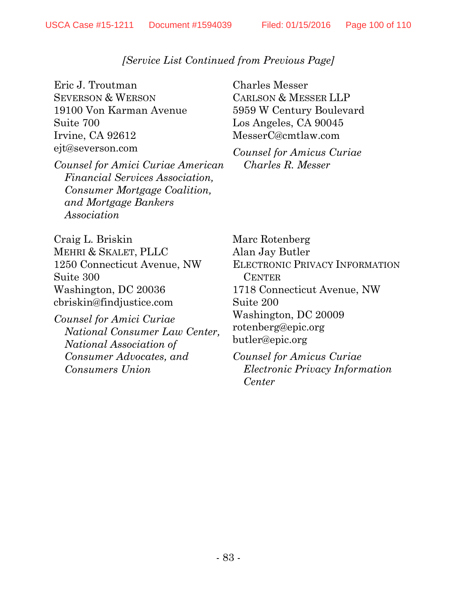Eric J. Troutman SEVERSON & WERSON 19100 Von Karman Avenue Suite 700 Irvine, CA 92612 ejt@severson.com

*Counsel for Amici Curiae American Financial Services Association, Consumer Mortgage Coalition, and Mortgage Bankers Association*

Charles Messer CARLSON & MESSER LLP 5959 W Century Boulevard Los Angeles, CA 90045 MesserC@cmtlaw.com

*Counsel for Amicus Curiae Charles R. Messer*

Craig L. Briskin MEHRI & SKALET, PLLC 1250 Connecticut Avenue, NW Suite 300 Washington, DC 20036 cbriskin@findjustice.com

*Counsel for Amici Curiae National Consumer Law Center, National Association of Consumer Advocates, and Consumers Union*

Marc Rotenberg Alan Jay Butler ELECTRONIC PRIVACY INFORMATION **CENTER** 1718 Connecticut Avenue, NW Suite 200 Washington, DC 20009 rotenberg@epic.org butler@epic.org

*Counsel for Amicus Curiae Electronic Privacy Information Center*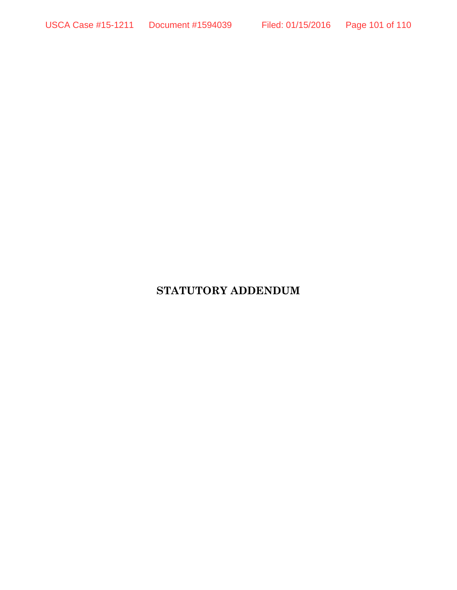# **STATUTORY ADDENDUM**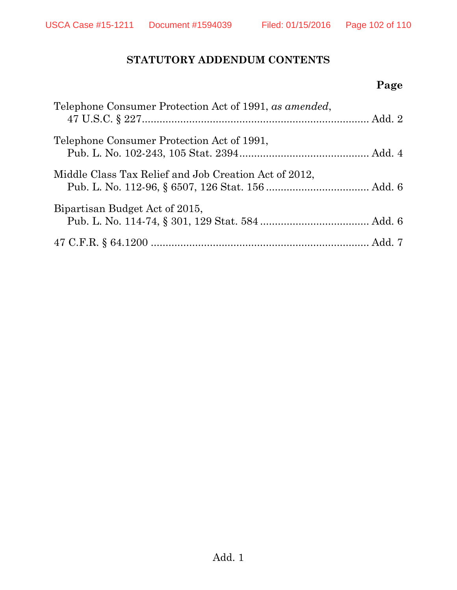## **STATUTORY ADDENDUM CONTENTS**

# **Page**

| Telephone Consumer Protection Act of 1991, as amended, |  |
|--------------------------------------------------------|--|
| Telephone Consumer Protection Act of 1991,             |  |
| Middle Class Tax Relief and Job Creation Act of 2012,  |  |
| Bipartisan Budget Act of 2015,                         |  |
|                                                        |  |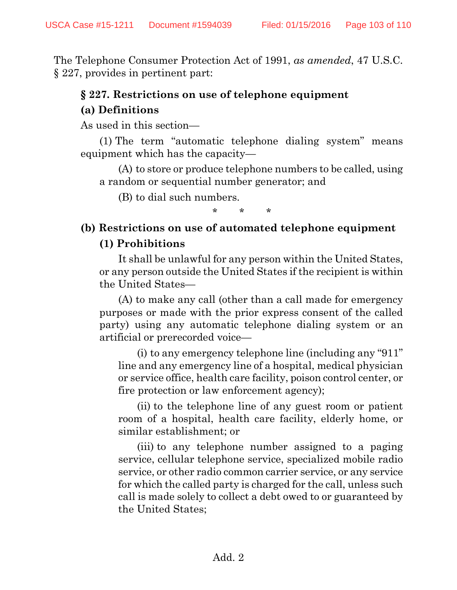The Telephone Consumer Protection Act of 1991, *as amended*, 47 U.S.C. § 227, provides in pertinent part:

## **§ 227. Restrictions on use of telephone equipment**

## **(a) Definitions**

As used in this section—

(1) The term "automatic telephone dialing system" means equipment which has the capacity—

(A) to store or produce telephone numbers to be called, using a random or sequential number generator; and

(B) to dial such numbers.

\* \* \*

# **(b) Restrictions on use of automated telephone equipment (1) Prohibitions**

It shall be unlawful for any person within the United States, or any person outside the United States if the recipient is within the United States—

(A) to make any call (other than a call made for emergency purposes or made with the prior express consent of the called party) using any automatic telephone dialing system or an artificial or prerecorded voice—

(i) to any emergency telephone line (including any "911" line and any emergency line of a hospital, medical physician or service office, health care facility, poison control center, or fire protection or law enforcement agency);

(ii) to the telephone line of any guest room or patient room of a hospital, health care facility, elderly home, or similar establishment; or

(iii) to any telephone number assigned to a paging service, cellular telephone service, specialized mobile radio service, or other radio common carrier service, or any service for which the called party is charged for the call, unless such call is made solely to collect a debt owed to or guaranteed by the United States;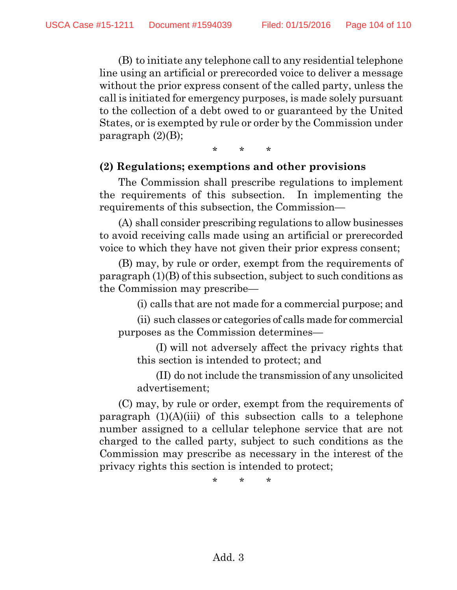(B) to initiate any telephone call to any residential telephone line using an artificial or prerecorded voice to deliver a message without the prior express consent of the called party, unless the call is initiated for emergency purposes, is made solely pursuant to the collection of a debt owed to or guaranteed by the United States, or is exempted by rule or order by the Commission under paragraph  $(2)(B)$ ;

\* \* \*

#### **(2) Regulations; exemptions and other provisions**

The Commission shall prescribe regulations to implement the requirements of this subsection. In implementing the requirements of this subsection, the Commission—

(A) shall consider prescribing regulations to allow businesses to avoid receiving calls made using an artificial or prerecorded voice to which they have not given their prior express consent;

(B) may, by rule or order, exempt from the requirements of paragraph (1)(B) of this subsection, subject to such conditions as the Commission may prescribe—

(i) calls that are not made for a commercial purpose; and

(ii) such classes or categories of calls made for commercial purposes as the Commission determines—

(I) will not adversely affect the privacy rights that this section is intended to protect; and

(II) do not include the transmission of any unsolicited advertisement;

(C) may, by rule or order, exempt from the requirements of paragraph  $(1)(A)(iii)$  of this subsection calls to a telephone number assigned to a cellular telephone service that are not charged to the called party, subject to such conditions as the Commission may prescribe as necessary in the interest of the privacy rights this section is intended to protect;

\* \* \*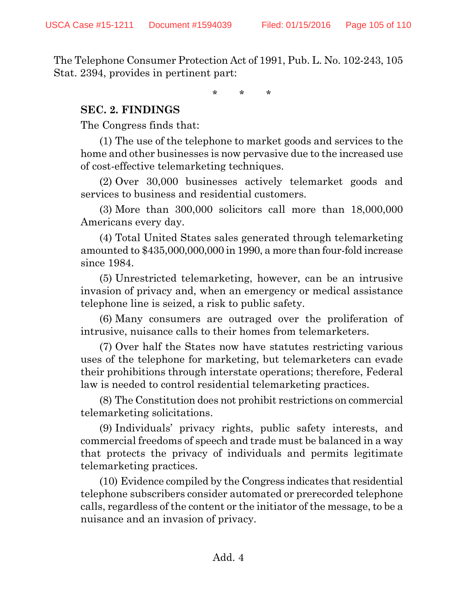The Telephone Consumer Protection Act of 1991, Pub. L. No. 102-243, 105 Stat. 2394, provides in pertinent part:

\* \* \*

#### **SEC. 2. FINDINGS**

The Congress finds that:

(1) The use of the telephone to market goods and services to the home and other businesses is now pervasive due to the increased use of cost-effective telemarketing techniques.

(2) Over 30,000 businesses actively telemarket goods and services to business and residential customers.

(3) More than 300,000 solicitors call more than 18,000,000 Americans every day.

(4) Total United States sales generated through telemarketing amounted to \$435,000,000,000 in 1990, a more than four-fold increase since 1984.

(5) Unrestricted telemarketing, however, can be an intrusive invasion of privacy and, when an emergency or medical assistance telephone line is seized, a risk to public safety.

(6) Many consumers are outraged over the proliferation of intrusive, nuisance calls to their homes from telemarketers.

(7) Over half the States now have statutes restricting various uses of the telephone for marketing, but telemarketers can evade their prohibitions through interstate operations; therefore, Federal law is needed to control residential telemarketing practices.

(8) The Constitution does not prohibit restrictions on commercial telemarketing solicitations.

(9) Individuals' privacy rights, public safety interests, and commercial freedoms of speech and trade must be balanced in a way that protects the privacy of individuals and permits legitimate telemarketing practices.

(10) Evidence compiled by the Congress indicates that residential telephone subscribers consider automated or prerecorded telephone calls, regardless of the content or the initiator of the message, to be a nuisance and an invasion of privacy.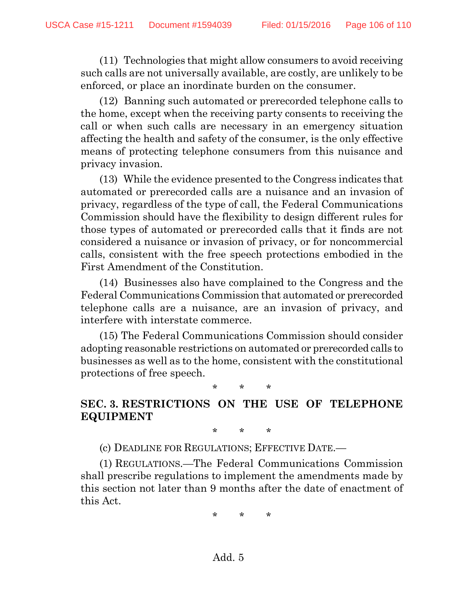(11) Technologies that might allow consumers to avoid receiving such calls are not universally available, are costly, are unlikely to be enforced, or place an inordinate burden on the consumer.

(12) Banning such automated or prerecorded telephone calls to the home, except when the receiving party consents to receiving the call or when such calls are necessary in an emergency situation affecting the health and safety of the consumer, is the only effective means of protecting telephone consumers from this nuisance and privacy invasion.

(13) While the evidence presented to the Congress indicates that automated or prerecorded calls are a nuisance and an invasion of privacy, regardless of the type of call, the Federal Communications Commission should have the flexibility to design different rules for those types of automated or prerecorded calls that it finds are not considered a nuisance or invasion of privacy, or for noncommercial calls, consistent with the free speech protections embodied in the First Amendment of the Constitution.

(14) Businesses also have complained to the Congress and the Federal Communications Commission that automated or prerecorded telephone calls are a nuisance, are an invasion of privacy, and interfere with interstate commerce.

(15) The Federal Communications Commission should consider adopting reasonable restrictions on automated or prerecorded calls to businesses as well as to the home, consistent with the constitutional protections of free speech.

\* \* \*

## **SEC. 3. RESTRICTIONS ON THE USE OF TELEPHONE EQUIPMENT**

\* \* \*

(c) DEADLINE FOR REGULATIONS; EFFECTIVE DATE.—

(1) REGULATIONS.—The Federal Communications Commission shall prescribe regulations to implement the amendments made by this section not later than 9 months after the date of enactment of this Act.

\* \* \*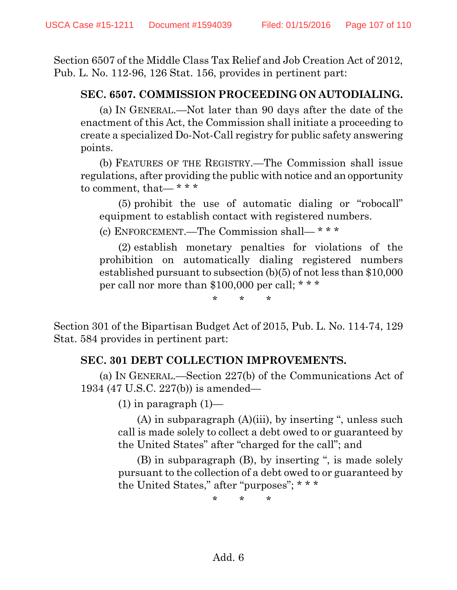Section 6507 of the Middle Class Tax Relief and Job Creation Act of 2012, Pub. L. No. 112-96, 126 Stat. 156, provides in pertinent part:

## **SEC. 6507. COMMISSION PROCEEDING ON AUTODIALING.**

(a) IN GENERAL.—Not later than 90 days after the date of the enactment of this Act, the Commission shall initiate a proceeding to create a specialized Do-Not-Call registry for public safety answering points.

(b) FEATURES OF THE REGISTRY.—The Commission shall issue regulations, after providing the public with notice and an opportunity to comment, that— \* \* \*

(5) prohibit the use of automatic dialing or "robocall" equipment to establish contact with registered numbers.

(c) ENFORCEMENT.—The Commission shall— \* \* \*

(2) establish monetary penalties for violations of the prohibition on automatically dialing registered numbers established pursuant to subsection (b)(5) of not less than \$10,000 per call nor more than \$100,000 per call; \* \* \*

\* \* \*

Section 301 of the Bipartisan Budget Act of 2015, Pub. L. No. 114-74, 129 Stat. 584 provides in pertinent part:

## **SEC. 301 DEBT COLLECTION IMPROVEMENTS.**

(a) IN GENERAL.—Section 227(b) of the Communications Act of 1934 (47 U.S.C. 227(b)) is amended—

 $(1)$  in paragraph  $(1)$ —

(A) in subparagraph (A)(iii), by inserting ", unless such call is made solely to collect a debt owed to or guaranteed by the United States" after "charged for the call"; and

(B) in subparagraph (B), by inserting ", is made solely pursuant to the collection of a debt owed to or guaranteed by the United States," after "purposes"; \* \* \*

\* \* \*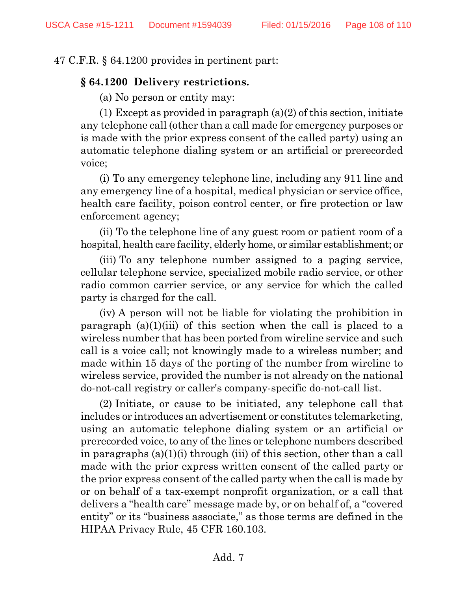#### 47 C.F.R. § 64.1200 provides in pertinent part:

#### **§ 64.1200 Delivery restrictions.**

(a) No person or entity may:

(1) Except as provided in paragraph (a)(2) of this section, initiate any telephone call (other than a call made for emergency purposes or is made with the prior express consent of the called party) using an automatic telephone dialing system or an artificial or prerecorded voice;

(i) To any emergency telephone line, including any 911 line and any emergency line of a hospital, medical physician or service office, health care facility, poison control center, or fire protection or law enforcement agency;

(ii) To the telephone line of any guest room or patient room of a hospital, health care facility, elderly home, or similar establishment; or

(iii) To any telephone number assigned to a paging service, cellular telephone service, specialized mobile radio service, or other radio common carrier service, or any service for which the called party is charged for the call.

(iv) A person will not be liable for violating the prohibition in paragraph (a)(1)(iii) of this section when the call is placed to a wireless number that has been ported from wireline service and such call is a voice call; not knowingly made to a wireless number; and made within 15 days of the porting of the number from wireline to wireless service, provided the number is not already on the national do-not-call registry or caller's company-specific do-not-call list.

(2) Initiate, or cause to be initiated, any telephone call that includes or introduces an advertisement or constitutes telemarketing, using an automatic telephone dialing system or an artificial or prerecorded voice, to any of the lines or telephone numbers described in paragraphs (a)(1)(i) through (iii) of this section, other than a call made with the prior express written consent of the called party or the prior express consent of the called party when the call is made by or on behalf of a tax-exempt nonprofit organization, or a call that delivers a "health care" message made by, or on behalf of, a "covered entity" or its "business associate," as those terms are defined in the HIPAA Privacy Rule, 45 CFR 160.103.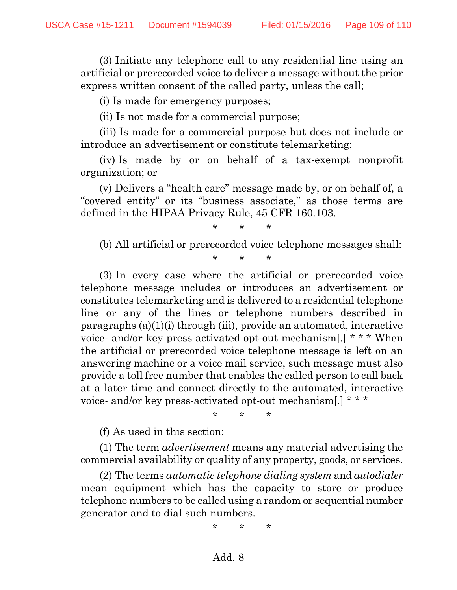(3) Initiate any telephone call to any residential line using an artificial or prerecorded voice to deliver a message without the prior express written consent of the called party, unless the call;

(i) Is made for emergency purposes;

(ii) Is not made for a commercial purpose;

(iii) Is made for a commercial purpose but does not include or introduce an advertisement or constitute telemarketing;

(iv) Is made by or on behalf of a tax-exempt nonprofit organization; or

(v) Delivers a "health care" message made by, or on behalf of, a "covered entity" or its "business associate," as those terms are defined in the HIPAA Privacy Rule, 45 CFR 160.103.

## \* \* \*

(b) All artificial or prerecorded voice telephone messages shall:

\* \* \*

(3) In every case where the artificial or prerecorded voice telephone message includes or introduces an advertisement or constitutes telemarketing and is delivered to a residential telephone line or any of the lines or telephone numbers described in paragraphs (a)(1)(i) through (iii), provide an automated, interactive voice- and/or key press-activated opt-out mechanism[.] \* \* \* When the artificial or prerecorded voice telephone message is left on an answering machine or a voice mail service, such message must also provide a toll free number that enables the called person to call back at a later time and connect directly to the automated, interactive voice- and/or key press-activated opt-out mechanism[.] \* \* \*

\* \* \*

(f) As used in this section:

(1) The term *advertisement* means any material advertising the commercial availability or quality of any property, goods, or services.

(2) The terms *automatic telephone dialing system* and *autodialer* mean equipment which has the capacity to store or produce telephone numbers to be called using a random or sequential number generator and to dial such numbers.

\* \* \*